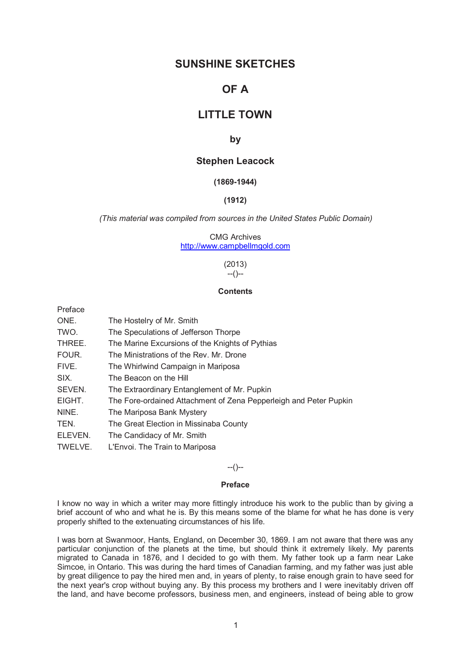## **SUNSHINE SKETCHES**

# **OF A**

## **LITTLE TOWN**

## **by**

## **Stephen Leacock**

## **(1869-1944)**

#### **(1912)**

*(This material was compiled from sources in the United States Public Domain)* 

CMG Archives http://www.campbellmgold.com

> (2013) --()--

### **Contents**

Preface

| ONE.    | The Hostelry of Mr. Smith                                         |
|---------|-------------------------------------------------------------------|
| TWO.    | The Speculations of Jefferson Thorpe                              |
| THREE.  | The Marine Excursions of the Knights of Pythias                   |
| FOUR.   | The Ministrations of the Rev. Mr. Drone                           |
| FIVE.   | The Whirlwind Campaign in Mariposa                                |
| SIX.    | The Beacon on the Hill                                            |
| SEVEN.  | The Extraordinary Entanglement of Mr. Pupkin                      |
| EIGHT.  | The Fore-ordained Attachment of Zena Pepperleigh and Peter Pupkin |
| NINE.   | The Mariposa Bank Mystery                                         |
| TEN.    | The Great Election in Missinaba County                            |
| ELEVEN. | The Candidacy of Mr. Smith                                        |
| TWELVE. | L'Envoi. The Train to Mariposa                                    |

#### --()--

#### **Preface**

I know no way in which a writer may more fittingly introduce his work to the public than by giving a brief account of who and what he is. By this means some of the blame for what he has done is very properly shifted to the extenuating circumstances of his life.

I was born at Swanmoor, Hants, England, on December 30, 1869. I am not aware that there was any particular conjunction of the planets at the time, but should think it extremely likely. My parents migrated to Canada in 1876, and I decided to go with them. My father took up a farm near Lake Simcoe, in Ontario. This was during the hard times of Canadian farming, and my father was just able by great diligence to pay the hired men and, in years of plenty, to raise enough grain to have seed for the next year's crop without buying any. By this process my brothers and I were inevitably driven off the land, and have become professors, business men, and engineers, instead of being able to grow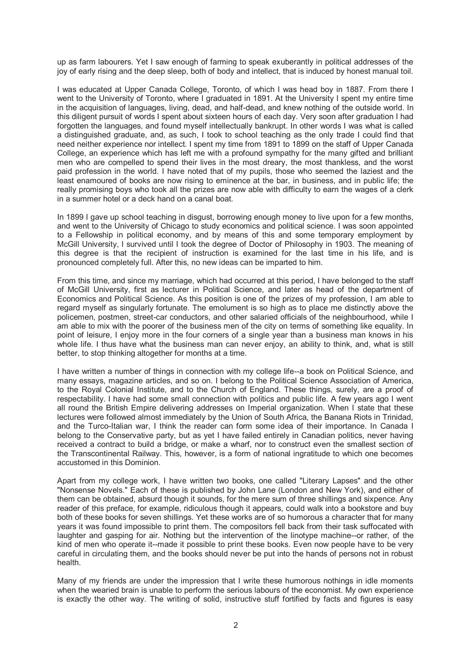up as farm labourers. Yet I saw enough of farming to speak exuberantly in political addresses of the joy of early rising and the deep sleep, both of body and intellect, that is induced by honest manual toil.

I was educated at Upper Canada College, Toronto, of which I was head boy in 1887. From there I went to the University of Toronto, where I graduated in 1891. At the University I spent my entire time in the acquisition of languages, living, dead, and half-dead, and knew nothing of the outside world. In this diligent pursuit of words I spent about sixteen hours of each day. Very soon after graduation I had forgotten the languages, and found myself intellectually bankrupt. In other words I was what is called a distinguished graduate, and, as such, I took to school teaching as the only trade I could find that need neither experience nor intellect. I spent my time from 1891 to 1899 on the staff of Upper Canada College, an experience which has left me with a profound sympathy for the many gifted and brilliant men who are compelled to spend their lives in the most dreary, the most thankless, and the worst paid profession in the world. I have noted that of my pupils, those who seemed the laziest and the least enamoured of books are now rising to eminence at the bar, in business, and in public life; the really promising boys who took all the prizes are now able with difficulty to earn the wages of a clerk in a summer hotel or a deck hand on a canal boat.

In 1899 I gave up school teaching in disgust, borrowing enough money to live upon for a few months, and went to the University of Chicago to study economics and political science. I was soon appointed to a Fellowship in political economy, and by means of this and some temporary employment by McGill University, I survived until I took the degree of Doctor of Philosophy in 1903. The meaning of this degree is that the recipient of instruction is examined for the last time in his life, and is pronounced completely full. After this, no new ideas can be imparted to him.

From this time, and since my marriage, which had occurred at this period, I have belonged to the staff of McGill University, first as lecturer in Political Science, and later as head of the department of Economics and Political Science. As this position is one of the prizes of my profession, I am able to regard myself as singularly fortunate. The emolument is so high as to place me distinctly above the policemen, postmen, street-car conductors, and other salaried officials of the neighbourhood, while I am able to mix with the poorer of the business men of the city on terms of something like equality. In point of leisure, I enjoy more in the four corners of a single year than a business man knows in his whole life. I thus have what the business man can never enjoy, an ability to think, and, what is still better, to stop thinking altogether for months at a time.

I have written a number of things in connection with my college life--a book on Political Science, and many essays, magazine articles, and so on. I belong to the Political Science Association of America, to the Royal Colonial Institute, and to the Church of England. These things, surely, are a proof of respectability. I have had some small connection with politics and public life. A few years ago I went all round the British Empire delivering addresses on Imperial organization. When I state that these lectures were followed almost immediately by the Union of South Africa, the Banana Riots in Trinidad, and the Turco-Italian war, I think the reader can form some idea of their importance. In Canada I belong to the Conservative party, but as yet I have failed entirely in Canadian politics, never having received a contract to build a bridge, or make a wharf, nor to construct even the smallest section of the Transcontinental Railway. This, however, is a form of national ingratitude to which one becomes accustomed in this Dominion.

Apart from my college work, I have written two books, one called "Literary Lapses" and the other "Nonsense Novels." Each of these is published by John Lane (London and New York), and either of them can be obtained, absurd though it sounds, for the mere sum of three shillings and sixpence. Any reader of this preface, for example, ridiculous though it appears, could walk into a bookstore and buy both of these books for seven shillings. Yet these works are of so humorous a character that for many years it was found impossible to print them. The compositors fell back from their task suffocated with laughter and gasping for air. Nothing but the intervention of the linotype machine--or rather, of the kind of men who operate it--made it possible to print these books. Even now people have to be very careful in circulating them, and the books should never be put into the hands of persons not in robust health.

Many of my friends are under the impression that I write these humorous nothings in idle moments when the wearied brain is unable to perform the serious labours of the economist. My own experience is exactly the other way. The writing of solid, instructive stuff fortified by facts and figures is easy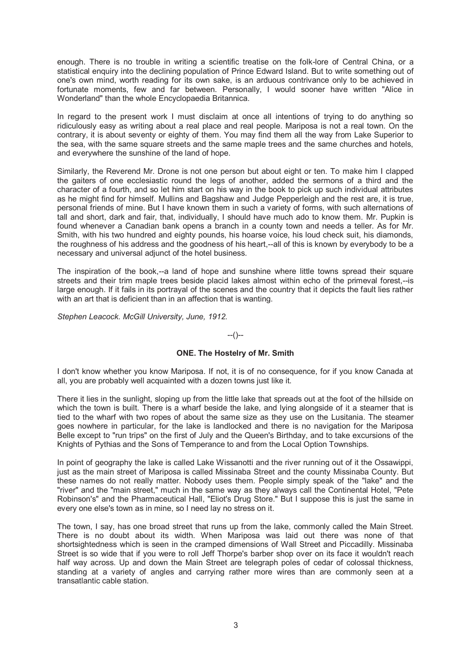enough. There is no trouble in writing a scientific treatise on the folk-lore of Central China, or a statistical enquiry into the declining population of Prince Edward Island. But to write something out of one's own mind, worth reading for its own sake, is an arduous contrivance only to be achieved in fortunate moments, few and far between. Personally, I would sooner have written "Alice in Wonderland" than the whole Encyclopaedia Britannica.

In regard to the present work I must disclaim at once all intentions of trying to do anything so ridiculously easy as writing about a real place and real people. Mariposa is not a real town. On the contrary, it is about seventy or eighty of them. You may find them all the way from Lake Superior to the sea, with the same square streets and the same maple trees and the same churches and hotels, and everywhere the sunshine of the land of hope.

Similarly, the Reverend Mr. Drone is not one person but about eight or ten. To make him I clapped the gaiters of one ecclesiastic round the legs of another, added the sermons of a third and the character of a fourth, and so let him start on his way in the book to pick up such individual attributes as he might find for himself. Mullins and Bagshaw and Judge Pepperleigh and the rest are, it is true, personal friends of mine. But I have known them in such a variety of forms, with such alternations of tall and short, dark and fair, that, individually, I should have much ado to know them. Mr. Pupkin is found whenever a Canadian bank opens a branch in a county town and needs a teller. As for Mr. Smith, with his two hundred and eighty pounds, his hoarse voice, his loud check suit, his diamonds, the roughness of his address and the goodness of his heart,--all of this is known by everybody to be a necessary and universal adjunct of the hotel business.

The inspiration of the book,--a land of hope and sunshine where little towns spread their square streets and their trim maple trees beside placid lakes almost within echo of the primeval forest,--is large enough. If it fails in its portrayal of the scenes and the country that it depicts the fault lies rather with an art that is deficient than in an affection that is wanting.

*Stephen Leacock. McGill University, June, 1912.* 

#### --()--

### **ONE. The Hostelry of Mr. Smith**

I don't know whether you know Mariposa. If not, it is of no consequence, for if you know Canada at all, you are probably well acquainted with a dozen towns just like it.

There it lies in the sunlight, sloping up from the little lake that spreads out at the foot of the hillside on which the town is built. There is a wharf beside the lake, and lying alongside of it a steamer that is tied to the wharf with two ropes of about the same size as they use on the Lusitania. The steamer goes nowhere in particular, for the lake is landlocked and there is no navigation for the Mariposa Belle except to "run trips" on the first of July and the Queen's Birthday, and to take excursions of the Knights of Pythias and the Sons of Temperance to and from the Local Option Townships.

In point of geography the lake is called Lake Wissanotti and the river running out of it the Ossawippi, just as the main street of Mariposa is called Missinaba Street and the county Missinaba County. But these names do not really matter. Nobody uses them. People simply speak of the "lake" and the "river" and the "main street," much in the same way as they always call the Continental Hotel, "Pete Robinson's" and the Pharmaceutical Hall, "Eliot's Drug Store." But I suppose this is just the same in every one else's town as in mine, so I need lay no stress on it.

The town, I say, has one broad street that runs up from the lake, commonly called the Main Street. There is no doubt about its width. When Mariposa was laid out there was none of that shortsightedness which is seen in the cramped dimensions of Wall Street and Piccadilly. Missinaba Street is so wide that if you were to roll Jeff Thorpe's barber shop over on its face it wouldn't reach half way across. Up and down the Main Street are telegraph poles of cedar of colossal thickness, standing at a variety of angles and carrying rather more wires than are commonly seen at a transatlantic cable station.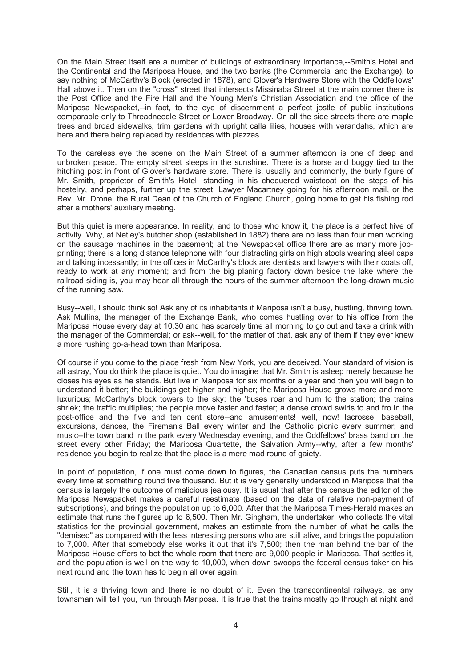On the Main Street itself are a number of buildings of extraordinary importance,--Smith's Hotel and the Continental and the Mariposa House, and the two banks (the Commercial and the Exchange), to say nothing of McCarthy's Block (erected in 1878), and Glover's Hardware Store with the Oddfellows' Hall above it. Then on the "cross" street that intersects Missinaba Street at the main corner there is the Post Office and the Fire Hall and the Young Men's Christian Association and the office of the Mariposa Newspacket,--in fact, to the eye of discernment a perfect jostle of public institutions comparable only to Threadneedle Street or Lower Broadway. On all the side streets there are maple trees and broad sidewalks, trim gardens with upright calla lilies, houses with verandahs, which are here and there being replaced by residences with piazzas.

To the careless eye the scene on the Main Street of a summer afternoon is one of deep and unbroken peace. The empty street sleeps in the sunshine. There is a horse and buggy tied to the hitching post in front of Glover's hardware store. There is, usually and commonly, the burly figure of Mr. Smith, proprietor of Smith's Hotel, standing in his chequered waistcoat on the steps of his hostelry, and perhaps, further up the street, Lawyer Macartney going for his afternoon mail, or the Rev. Mr. Drone, the Rural Dean of the Church of England Church, going home to get his fishing rod after a mothers' auxiliary meeting.

But this quiet is mere appearance. In reality, and to those who know it, the place is a perfect hive of activity. Why, at Netley's butcher shop (established in 1882) there are no less than four men working on the sausage machines in the basement; at the Newspacket office there are as many more jobprinting; there is a long distance telephone with four distracting girls on high stools wearing steel caps and talking incessantly; in the offices in McCarthy's block are dentists and lawyers with their coats off, ready to work at any moment; and from the big planing factory down beside the lake where the railroad siding is, you may hear all through the hours of the summer afternoon the long-drawn music of the running saw.

Busy--well, I should think so! Ask any of its inhabitants if Mariposa isn't a busy, hustling, thriving town. Ask Mullins, the manager of the Exchange Bank, who comes hustling over to his office from the Mariposa House every day at 10.30 and has scarcely time all morning to go out and take a drink with the manager of the Commercial; or ask--well, for the matter of that, ask any of them if they ever knew a more rushing go-a-head town than Mariposa.

Of course if you come to the place fresh from New York, you are deceived. Your standard of vision is all astray, You do think the place is quiet. You do imagine that Mr. Smith is asleep merely because he closes his eyes as he stands. But live in Mariposa for six months or a year and then you will begin to understand it better; the buildings get higher and higher; the Mariposa House grows more and more luxurious; McCarthy's block towers to the sky; the 'buses roar and hum to the station; the trains shriek; the traffic multiplies; the people move faster and faster; a dense crowd swirls to and fro in the post-office and the five and ten cent store--and amusements! well, now! lacrosse, baseball, excursions, dances, the Fireman's Ball every winter and the Catholic picnic every summer; and music--the town band in the park every Wednesday evening, and the Oddfellows' brass band on the street every other Friday; the Mariposa Quartette, the Salvation Army--why, after a few months' residence you begin to realize that the place is a mere mad round of gaiety.

In point of population, if one must come down to figures, the Canadian census puts the numbers every time at something round five thousand. But it is very generally understood in Mariposa that the census is largely the outcome of malicious jealousy. It is usual that after the census the editor of the Mariposa Newspacket makes a careful reestimate (based on the data of relative non-payment of subscriptions), and brings the population up to 6,000. After that the Mariposa Times-Herald makes an estimate that runs the figures up to 6,500. Then Mr. Gingham, the undertaker, who collects the vital statistics for the provincial government, makes an estimate from the number of what he calls the "demised" as compared with the less interesting persons who are still alive, and brings the population to 7,000. After that somebody else works it out that it's 7,500; then the man behind the bar of the Mariposa House offers to bet the whole room that there are 9,000 people in Mariposa. That settles it, and the population is well on the way to 10,000, when down swoops the federal census taker on his next round and the town has to begin all over again.

Still, it is a thriving town and there is no doubt of it. Even the transcontinental railways, as any townsman will tell you, run through Mariposa. It is true that the trains mostly go through at night and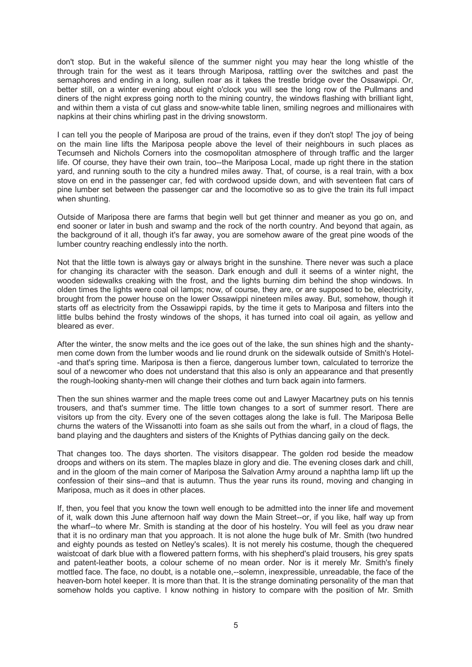don't stop. But in the wakeful silence of the summer night you may hear the long whistle of the through train for the west as it tears through Mariposa, rattling over the switches and past the semaphores and ending in a long, sullen roar as it takes the trestle bridge over the Ossawippi. Or, better still, on a winter evening about eight o'clock you will see the long row of the Pullmans and diners of the night express going north to the mining country, the windows flashing with brilliant light, and within them a vista of cut glass and snow-white table linen, smiling negroes and millionaires with napkins at their chins whirling past in the driving snowstorm.

I can tell you the people of Mariposa are proud of the trains, even if they don't stop! The joy of being on the main line lifts the Mariposa people above the level of their neighbours in such places as Tecumseh and Nichols Corners into the cosmopolitan atmosphere of through traffic and the larger life. Of course, they have their own train, too--the Mariposa Local, made up right there in the station yard, and running south to the city a hundred miles away. That, of course, is a real train, with a box stove on end in the passenger car, fed with cordwood upside down, and with seventeen flat cars of pine lumber set between the passenger car and the locomotive so as to give the train its full impact when shunting.

Outside of Mariposa there are farms that begin well but get thinner and meaner as you go on, and end sooner or later in bush and swamp and the rock of the north country. And beyond that again, as the background of it all, though it's far away, you are somehow aware of the great pine woods of the lumber country reaching endlessly into the north.

Not that the little town is always gay or always bright in the sunshine. There never was such a place for changing its character with the season. Dark enough and dull it seems of a winter night, the wooden sidewalks creaking with the frost, and the lights burning dim behind the shop windows. In olden times the lights were coal oil lamps; now, of course, they are, or are supposed to be, electricity, brought from the power house on the lower Ossawippi nineteen miles away. But, somehow, though it starts off as electricity from the Ossawippi rapids, by the time it gets to Mariposa and filters into the little bulbs behind the frosty windows of the shops, it has turned into coal oil again, as yellow and bleared as ever.

After the winter, the snow melts and the ice goes out of the lake, the sun shines high and the shantymen come down from the lumber woods and lie round drunk on the sidewalk outside of Smith's Hotel- -and that's spring time. Mariposa is then a fierce, dangerous lumber town, calculated to terrorize the soul of a newcomer who does not understand that this also is only an appearance and that presently the rough-looking shanty-men will change their clothes and turn back again into farmers.

Then the sun shines warmer and the maple trees come out and Lawyer Macartney puts on his tennis trousers, and that's summer time. The little town changes to a sort of summer resort. There are visitors up from the city. Every one of the seven cottages along the lake is full. The Mariposa Belle churns the waters of the Wissanotti into foam as she sails out from the wharf, in a cloud of flags, the band playing and the daughters and sisters of the Knights of Pythias dancing gaily on the deck.

That changes too. The days shorten. The visitors disappear. The golden rod beside the meadow droops and withers on its stem. The maples blaze in glory and die. The evening closes dark and chill, and in the gloom of the main corner of Mariposa the Salvation Army around a naphtha lamp lift up the confession of their sins--and that is autumn. Thus the year runs its round, moving and changing in Mariposa, much as it does in other places.

If, then, you feel that you know the town well enough to be admitted into the inner life and movement of it, walk down this June afternoon half way down the Main Street--or, if you like, half way up from the wharf--to where Mr. Smith is standing at the door of his hostelry. You will feel as you draw near that it is no ordinary man that you approach. It is not alone the huge bulk of Mr. Smith (two hundred and eighty pounds as tested on Netley's scales). It is not merely his costume, though the chequered waistcoat of dark blue with a flowered pattern forms, with his shepherd's plaid trousers, his grey spats and patent-leather boots, a colour scheme of no mean order. Nor is it merely Mr. Smith's finely mottled face. The face, no doubt, is a notable one,--solemn, inexpressible, unreadable, the face of the heaven-born hotel keeper. It is more than that. It is the strange dominating personality of the man that somehow holds you captive. I know nothing in history to compare with the position of Mr. Smith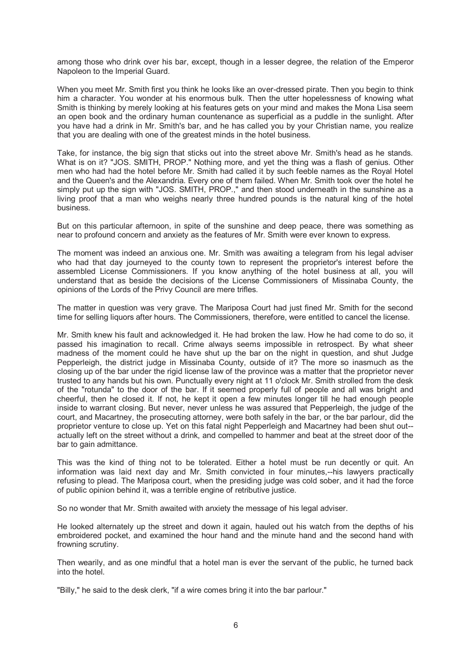among those who drink over his bar, except, though in a lesser degree, the relation of the Emperor Napoleon to the Imperial Guard.

When you meet Mr. Smith first you think he looks like an over-dressed pirate. Then you begin to think him a character. You wonder at his enormous bulk. Then the utter hopelessness of knowing what Smith is thinking by merely looking at his features gets on your mind and makes the Mona Lisa seem an open book and the ordinary human countenance as superficial as a puddle in the sunlight. After you have had a drink in Mr. Smith's bar, and he has called you by your Christian name, you realize that you are dealing with one of the greatest minds in the hotel business.

Take, for instance, the big sign that sticks out into the street above Mr. Smith's head as he stands. What is on it? "JOS. SMITH, PROP." Nothing more, and yet the thing was a flash of genius. Other men who had had the hotel before Mr. Smith had called it by such feeble names as the Royal Hotel and the Queen's and the Alexandria. Every one of them failed. When Mr. Smith took over the hotel he simply put up the sign with "JOS. SMITH, PROP.," and then stood underneath in the sunshine as a living proof that a man who weighs nearly three hundred pounds is the natural king of the hotel business.

But on this particular afternoon, in spite of the sunshine and deep peace, there was something as near to profound concern and anxiety as the features of Mr. Smith were ever known to express.

The moment was indeed an anxious one. Mr. Smith was awaiting a telegram from his legal adviser who had that day journeyed to the county town to represent the proprietor's interest before the assembled License Commissioners. If you know anything of the hotel business at all, you will understand that as beside the decisions of the License Commissioners of Missinaba County, the opinions of the Lords of the Privy Council are mere trifles.

The matter in question was very grave. The Mariposa Court had just fined Mr. Smith for the second time for selling liquors after hours. The Commissioners, therefore, were entitled to cancel the license.

Mr. Smith knew his fault and acknowledged it. He had broken the law. How he had come to do so, it passed his imagination to recall. Crime always seems impossible in retrospect. By what sheer madness of the moment could he have shut up the bar on the night in question, and shut Judge Pepperleigh, the district judge in Missinaba County, outside of it? The more so inasmuch as the closing up of the bar under the rigid license law of the province was a matter that the proprietor never trusted to any hands but his own. Punctually every night at 11 o'clock Mr. Smith strolled from the desk of the "rotunda" to the door of the bar. If it seemed properly full of people and all was bright and cheerful, then he closed it. If not, he kept it open a few minutes longer till he had enough people inside to warrant closing. But never, never unless he was assured that Pepperleigh, the judge of the court, and Macartney, the prosecuting attorney, were both safely in the bar, or the bar parlour, did the proprietor venture to close up. Yet on this fatal night Pepperleigh and Macartney had been shut out- actually left on the street without a drink, and compelled to hammer and beat at the street door of the bar to gain admittance.

This was the kind of thing not to be tolerated. Either a hotel must be run decently or quit. An information was laid next day and Mr. Smith convicted in four minutes,--his lawyers practically refusing to plead. The Mariposa court, when the presiding judge was cold sober, and it had the force of public opinion behind it, was a terrible engine of retributive justice.

So no wonder that Mr. Smith awaited with anxiety the message of his legal adviser.

He looked alternately up the street and down it again, hauled out his watch from the depths of his embroidered pocket, and examined the hour hand and the minute hand and the second hand with frowning scrutiny.

Then wearily, and as one mindful that a hotel man is ever the servant of the public, he turned back into the hotel.

"Billy," he said to the desk clerk, "if a wire comes bring it into the bar parlour."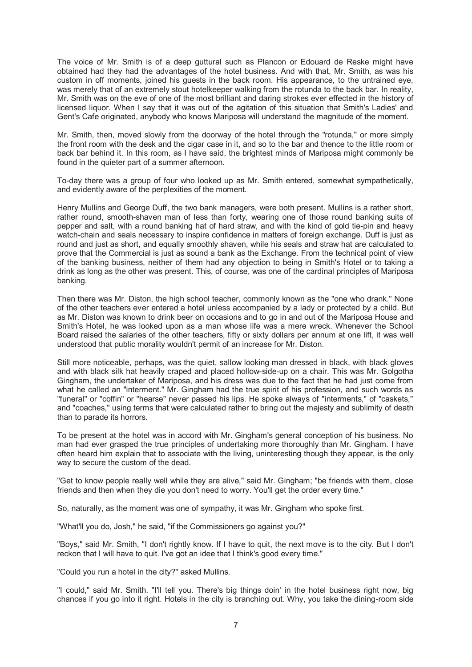The voice of Mr. Smith is of a deep guttural such as Plancon or Edouard de Reske might have obtained had they had the advantages of the hotel business. And with that, Mr. Smith, as was his custom in off moments, joined his guests in the back room. His appearance, to the untrained eye, was merely that of an extremely stout hotelkeeper walking from the rotunda to the back bar. In reality, Mr. Smith was on the eve of one of the most brilliant and daring strokes ever effected in the history of licensed liquor. When I say that it was out of the agitation of this situation that Smith's Ladies' and Gent's Cafe originated, anybody who knows Mariposa will understand the magnitude of the moment.

Mr. Smith, then, moved slowly from the doorway of the hotel through the "rotunda," or more simply the front room with the desk and the cigar case in it, and so to the bar and thence to the little room or back bar behind it. In this room, as I have said, the brightest minds of Mariposa might commonly be found in the quieter part of a summer afternoon.

To-day there was a group of four who looked up as Mr. Smith entered, somewhat sympathetically, and evidently aware of the perplexities of the moment.

Henry Mullins and George Duff, the two bank managers, were both present. Mullins is a rather short, rather round, smooth-shaven man of less than forty, wearing one of those round banking suits of pepper and salt, with a round banking hat of hard straw, and with the kind of gold tie-pin and heavy watch-chain and seals necessary to inspire confidence in matters of foreign exchange. Duff is just as round and just as short, and equally smoothly shaven, while his seals and straw hat are calculated to prove that the Commercial is just as sound a bank as the Exchange. From the technical point of view of the banking business, neither of them had any objection to being in Smith's Hotel or to taking a drink as long as the other was present. This, of course, was one of the cardinal principles of Mariposa banking.

Then there was Mr. Diston, the high school teacher, commonly known as the "one who drank." None of the other teachers ever entered a hotel unless accompanied by a lady or protected by a child. But as Mr. Diston was known to drink beer on occasions and to go in and out of the Mariposa House and Smith's Hotel, he was looked upon as a man whose life was a mere wreck. Whenever the School Board raised the salaries of the other teachers, fifty or sixty dollars per annum at one lift, it was well understood that public morality wouldn't permit of an increase for Mr. Diston.

Still more noticeable, perhaps, was the quiet, sallow looking man dressed in black, with black gloves and with black silk hat heavily craped and placed hollow-side-up on a chair. This was Mr. Golgotha Gingham, the undertaker of Mariposa, and his dress was due to the fact that he had just come from what he called an "interment." Mr. Gingham had the true spirit of his profession, and such words as "funeral" or "coffin" or "hearse" never passed his lips. He spoke always of "interments," of "caskets," and "coaches," using terms that were calculated rather to bring out the majesty and sublimity of death than to parade its horrors.

To be present at the hotel was in accord with Mr. Gingham's general conception of his business. No man had ever grasped the true principles of undertaking more thoroughly than Mr. Gingham. I have often heard him explain that to associate with the living, uninteresting though they appear, is the only way to secure the custom of the dead.

"Get to know people really well while they are alive," said Mr. Gingham; "be friends with them, close friends and then when they die you don't need to worry. You'll get the order every time."

So, naturally, as the moment was one of sympathy, it was Mr. Gingham who spoke first.

"What'll you do, Josh," he said, "if the Commissioners go against you?"

"Boys," said Mr. Smith, "I don't rightly know. If I have to quit, the next move is to the city. But I don't reckon that I will have to quit. I've got an idee that I think's good every time."

"Could you run a hotel in the city?" asked Mullins.

"I could," said Mr. Smith. "I'll tell you. There's big things doin' in the hotel business right now, big chances if you go into it right. Hotels in the city is branching out. Why, you take the dining-room side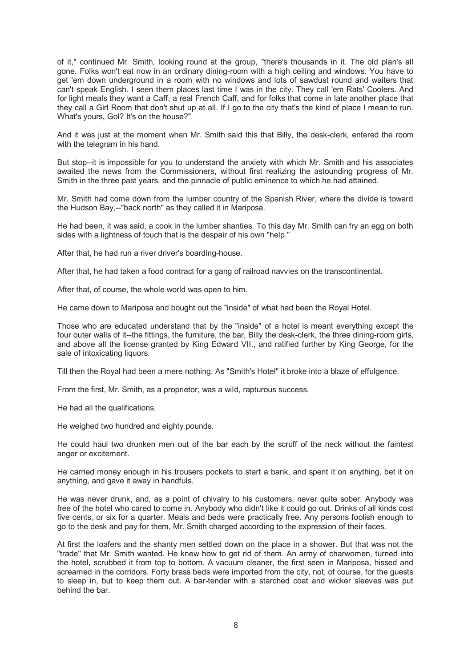of it," continued Mr. Smith, looking round at the group, "there's thousands in it. The old plan's all gone. Folks won't eat now in an ordinary dining-room with a high ceiling and windows. You have to get 'em down underground in a room with no windows and lots of sawdust round and waiters that can't speak English. I seen them places last time I was in the city. They call 'em Rats' Coolers. And for light meals they want a Caff, a real French Caff, and for folks that come in late another place that they call a Girl Room that don't shut up at all. If I go to the city that's the kind of place I mean to run. What's yours, Gol? It's on the house?"

And it was just at the moment when Mr. Smith said this that Billy, the desk-clerk, entered the room with the telegram in his hand.

But stop--it is impossible for you to understand the anxiety with which Mr. Smith and his associates awaited the news from the Commissioners, without first realizing the astounding progress of Mr. Smith in the three past years, and the pinnacle of public eminence to which he had attained.

Mr. Smith had come down from the lumber country of the Spanish River, where the divide is toward the Hudson Bay,--"back north" as they called it in Mariposa.

He had been, it was said, a cook in the lumber shanties. To this day Mr. Smith can fry an egg on both sides with a lightness of touch that is the despair of his own "help."

After that, he had run a river driver's boarding-house.

After that, he had taken a food contract for a gang of railroad navvies on the transcontinental.

After that, of course, the whole world was open to him.

He came down to Mariposa and bought out the "inside" of what had been the Royal Hotel.

Those who are educated understand that by the "inside" of a hotel is meant everything except the four outer walls of it--the fittings, the furniture, the bar, Billy the desk-clerk, the three dining-room girls, and above all the license granted by King Edward VII., and ratified further by King George, for the sale of intoxicating liquors.

Till then the Royal had been a mere nothing. As "Smith's Hotel" it broke into a blaze of effulgence.

From the first, Mr. Smith, as a proprietor, was a wild, rapturous success.

He had all the qualifications.

He weighed two hundred and eighty pounds.

He could haul two drunken men out of the bar each by the scruff of the neck without the faintest anger or excitement.

He carried money enough in his trousers pockets to start a bank, and spent it on anything, bet it on anything, and gave it away in handfuls.

He was never drunk, and, as a point of chivalry to his customers, never quite sober. Anybody was free of the hotel who cared to come in. Anybody who didn't like it could go out. Drinks of all kinds cost five cents, or six for a quarter. Meals and beds were practically free. Any persons foolish enough to go to the desk and pay for them, Mr. Smith charged according to the expression of their faces.

At first the loafers and the shanty men settled down on the place in a shower. But that was not the "trade" that Mr. Smith wanted. He knew how to get rid of them. An army of charwomen, turned into the hotel, scrubbed it from top to bottom. A vacuum cleaner, the first seen in Mariposa, hissed and screamed in the corridors. Forty brass beds were imported from the city, not, of course, for the guests to sleep in, but to keep them out. A bar-tender with a starched coat and wicker sleeves was put behind the bar.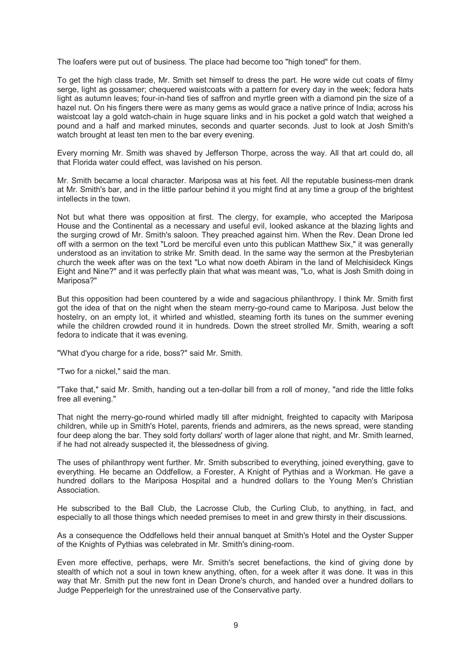The loafers were put out of business. The place had become too "high toned" for them.

To get the high class trade, Mr. Smith set himself to dress the part. He wore wide cut coats of filmy serge, light as gossamer; chequered waistcoats with a pattern for every day in the week; fedora hats light as autumn leaves; four-in-hand ties of saffron and myrtle green with a diamond pin the size of a hazel nut. On his fingers there were as many gems as would grace a native prince of India; across his waistcoat lay a gold watch-chain in huge square links and in his pocket a gold watch that weighed a pound and a half and marked minutes, seconds and quarter seconds. Just to look at Josh Smith's watch brought at least ten men to the bar every evening.

Every morning Mr. Smith was shaved by Jefferson Thorpe, across the way. All that art could do, all that Florida water could effect, was lavished on his person.

Mr. Smith became a local character. Mariposa was at his feet. All the reputable business-men drank at Mr. Smith's bar, and in the little parlour behind it you might find at any time a group of the brightest intellects in the town.

Not but what there was opposition at first. The clergy, for example, who accepted the Mariposa House and the Continental as a necessary and useful evil, looked askance at the blazing lights and the surging crowd of Mr. Smith's saloon. They preached against him. When the Rev. Dean Drone led off with a sermon on the text "Lord be merciful even unto this publican Matthew Six," it was generally understood as an invitation to strike Mr. Smith dead. In the same way the sermon at the Presbyterian church the week after was on the text "Lo what now doeth Abiram in the land of Melchisideck Kings Eight and Nine?" and it was perfectly plain that what was meant was, "Lo, what is Josh Smith doing in Mariposa?"

But this opposition had been countered by a wide and sagacious philanthropy. I think Mr. Smith first got the idea of that on the night when the steam merry-go-round came to Mariposa. Just below the hostelry, on an empty lot, it whirled and whistled, steaming forth its tunes on the summer evening while the children crowded round it in hundreds. Down the street strolled Mr. Smith, wearing a soft fedora to indicate that it was evening.

"What d'you charge for a ride, boss?" said Mr. Smith.

"Two for a nickel," said the man.

"Take that," said Mr. Smith, handing out a ten-dollar bill from a roll of money, "and ride the little folks free all evening."

That night the merry-go-round whirled madly till after midnight, freighted to capacity with Mariposa children, while up in Smith's Hotel, parents, friends and admirers, as the news spread, were standing four deep along the bar. They sold forty dollars' worth of lager alone that night, and Mr. Smith learned, if he had not already suspected it, the blessedness of giving.

The uses of philanthropy went further. Mr. Smith subscribed to everything, joined everything, gave to everything. He became an Oddfellow, a Forester, A Knight of Pythias and a Workman. He gave a hundred dollars to the Mariposa Hospital and a hundred dollars to the Young Men's Christian Association.

He subscribed to the Ball Club, the Lacrosse Club, the Curling Club, to anything, in fact, and especially to all those things which needed premises to meet in and grew thirsty in their discussions.

As a consequence the Oddfellows held their annual banquet at Smith's Hotel and the Oyster Supper of the Knights of Pythias was celebrated in Mr. Smith's dining-room.

Even more effective, perhaps, were Mr. Smith's secret benefactions, the kind of giving done by stealth of which not a soul in town knew anything, often, for a week after it was done. It was in this way that Mr. Smith put the new font in Dean Drone's church, and handed over a hundred dollars to Judge Pepperleigh for the unrestrained use of the Conservative party.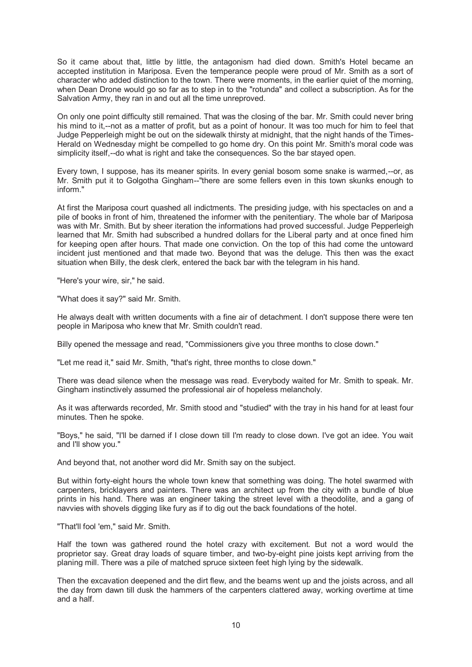So it came about that, little by little, the antagonism had died down. Smith's Hotel became an accepted institution in Mariposa. Even the temperance people were proud of Mr. Smith as a sort of character who added distinction to the town. There were moments, in the earlier quiet of the morning, when Dean Drone would go so far as to step in to the "rotunda" and collect a subscription. As for the Salvation Army, they ran in and out all the time unreproved.

On only one point difficulty still remained. That was the closing of the bar. Mr. Smith could never bring his mind to it,--not as a matter of profit, but as a point of honour. It was too much for him to feel that Judge Pepperleigh might be out on the sidewalk thirsty at midnight, that the night hands of the Times-Herald on Wednesday might be compelled to go home dry. On this point Mr. Smith's moral code was simplicity itself,--do what is right and take the consequences. So the bar stayed open.

Every town, I suppose, has its meaner spirits. In every genial bosom some snake is warmed,--or, as Mr. Smith put it to Golgotha Gingham--"there are some fellers even in this town skunks enough to inform."

At first the Mariposa court quashed all indictments. The presiding judge, with his spectacles on and a pile of books in front of him, threatened the informer with the penitentiary. The whole bar of Mariposa was with Mr. Smith. But by sheer iteration the informations had proved successful. Judge Pepperleigh learned that Mr. Smith had subscribed a hundred dollars for the Liberal party and at once fined him for keeping open after hours. That made one conviction. On the top of this had come the untoward incident just mentioned and that made two. Beyond that was the deluge. This then was the exact situation when Billy, the desk clerk, entered the back bar with the telegram in his hand.

"Here's your wire, sir," he said.

"What does it say?" said Mr. Smith.

He always dealt with written documents with a fine air of detachment. I don't suppose there were ten people in Mariposa who knew that Mr. Smith couldn't read.

Billy opened the message and read, "Commissioners give you three months to close down."

"Let me read it," said Mr. Smith, "that's right, three months to close down."

There was dead silence when the message was read. Everybody waited for Mr. Smith to speak. Mr. Gingham instinctively assumed the professional air of hopeless melancholy.

As it was afterwards recorded, Mr. Smith stood and "studied" with the tray in his hand for at least four minutes. Then he spoke.

"Boys," he said, "I'll be darned if I close down till I'm ready to close down. I've got an idee. You wait and I'll show you."

And beyond that, not another word did Mr. Smith say on the subject.

But within forty-eight hours the whole town knew that something was doing. The hotel swarmed with carpenters, bricklayers and painters. There was an architect up from the city with a bundle of blue prints in his hand. There was an engineer taking the street level with a theodolite, and a gang of navvies with shovels digging like fury as if to dig out the back foundations of the hotel.

"That'll fool 'em," said Mr. Smith.

Half the town was gathered round the hotel crazy with excitement. But not a word would the proprietor say. Great dray loads of square timber, and two-by-eight pine joists kept arriving from the planing mill. There was a pile of matched spruce sixteen feet high lying by the sidewalk.

Then the excavation deepened and the dirt flew, and the beams went up and the joists across, and all the day from dawn till dusk the hammers of the carpenters clattered away, working overtime at time and a half.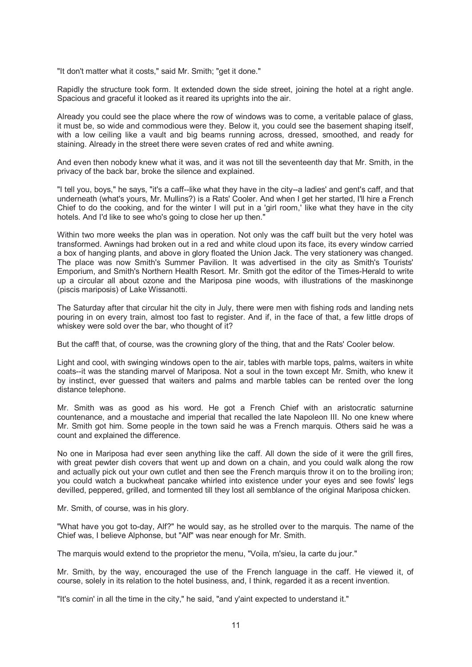"It don't matter what it costs," said Mr. Smith; "get it done."

Rapidly the structure took form. It extended down the side street, joining the hotel at a right angle. Spacious and graceful it looked as it reared its uprights into the air.

Already you could see the place where the row of windows was to come, a veritable palace of glass, it must be, so wide and commodious were they. Below it, you could see the basement shaping itself, with a low ceiling like a vault and big beams running across, dressed, smoothed, and ready for staining. Already in the street there were seven crates of red and white awning.

And even then nobody knew what it was, and it was not till the seventeenth day that Mr. Smith, in the privacy of the back bar, broke the silence and explained.

"I tell you, boys," he says, "it's a caff--like what they have in the city--a ladies' and gent's caff, and that underneath (what's yours, Mr. Mullins?) is a Rats' Cooler. And when I get her started, I'll hire a French Chief to do the cooking, and for the winter I will put in a 'girl room,' like what they have in the city hotels. And I'd like to see who's going to close her up then."

Within two more weeks the plan was in operation. Not only was the caff built but the very hotel was transformed. Awnings had broken out in a red and white cloud upon its face, its every window carried a box of hanging plants, and above in glory floated the Union Jack. The very stationery was changed. The place was now Smith's Summer Pavilion. It was advertised in the city as Smith's Tourists' Emporium, and Smith's Northern Health Resort. Mr. Smith got the editor of the Times-Herald to write up a circular all about ozone and the Mariposa pine woods, with illustrations of the maskinonge (piscis mariposis) of Lake Wissanotti.

The Saturday after that circular hit the city in July, there were men with fishing rods and landing nets pouring in on every train, almost too fast to register. And if, in the face of that, a few little drops of whiskey were sold over the bar, who thought of it?

But the caff! that, of course, was the crowning glory of the thing, that and the Rats' Cooler below.

Light and cool, with swinging windows open to the air, tables with marble tops, palms, waiters in white coats--it was the standing marvel of Mariposa. Not a soul in the town except Mr. Smith, who knew it by instinct, ever guessed that waiters and palms and marble tables can be rented over the long distance telephone.

Mr. Smith was as good as his word. He got a French Chief with an aristocratic saturnine countenance, and a moustache and imperial that recalled the late Napoleon III. No one knew where Mr. Smith got him. Some people in the town said he was a French marquis. Others said he was a count and explained the difference.

No one in Mariposa had ever seen anything like the caff. All down the side of it were the grill fires, with great pewter dish covers that went up and down on a chain, and you could walk along the row and actually pick out your own cutlet and then see the French marquis throw it on to the broiling iron; you could watch a buckwheat pancake whirled into existence under your eyes and see fowls' legs devilled, peppered, grilled, and tormented till they lost all semblance of the original Mariposa chicken.

Mr. Smith, of course, was in his glory.

"What have you got to-day, Alf?" he would say, as he strolled over to the marquis. The name of the Chief was, I believe Alphonse, but "Alf" was near enough for Mr. Smith.

The marquis would extend to the proprietor the menu, "Voila, m'sieu, la carte du jour."

Mr. Smith, by the way, encouraged the use of the French language in the caff. He viewed it, of course, solely in its relation to the hotel business, and, I think, regarded it as a recent invention.

"It's comin' in all the time in the city," he said, "and y'aint expected to understand it."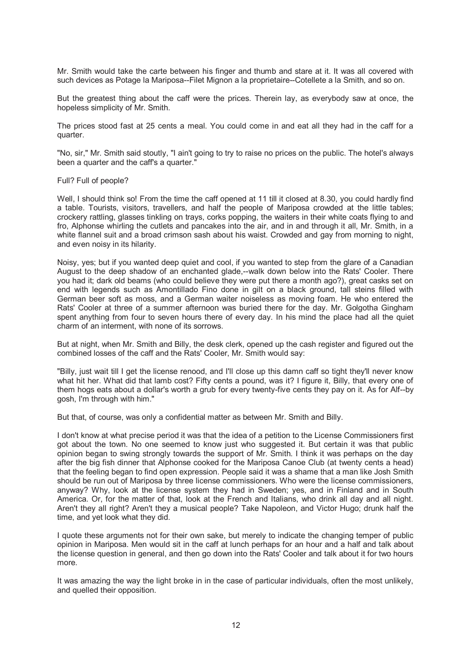Mr. Smith would take the carte between his finger and thumb and stare at it. It was all covered with such devices as Potage la Mariposa--Filet Mignon a la proprietaire--Cotellete a la Smith, and so on.

But the greatest thing about the caff were the prices. Therein lay, as everybody saw at once, the hopeless simplicity of Mr. Smith.

The prices stood fast at 25 cents a meal. You could come in and eat all they had in the caff for a quarter.

"No, sir," Mr. Smith said stoutly, "I ain't going to try to raise no prices on the public. The hotel's always been a quarter and the caff's a quarter."

#### Full? Full of people?

Well, I should think so! From the time the caff opened at 11 till it closed at 8.30, you could hardly find a table. Tourists, visitors, travellers, and half the people of Mariposa crowded at the little tables; crockery rattling, glasses tinkling on trays, corks popping, the waiters in their white coats flying to and fro, Alphonse whirling the cutlets and pancakes into the air, and in and through it all, Mr. Smith, in a white flannel suit and a broad crimson sash about his waist. Crowded and gay from morning to night, and even noisy in its hilarity.

Noisy, yes; but if you wanted deep quiet and cool, if you wanted to step from the glare of a Canadian August to the deep shadow of an enchanted glade,--walk down below into the Rats' Cooler. There you had it; dark old beams (who could believe they were put there a month ago?), great casks set on end with legends such as Amontillado Fino done in gilt on a black ground, tall steins filled with German beer soft as moss, and a German waiter noiseless as moving foam. He who entered the Rats' Cooler at three of a summer afternoon was buried there for the day. Mr. Golgotha Gingham spent anything from four to seven hours there of every day. In his mind the place had all the quiet charm of an interment, with none of its sorrows.

But at night, when Mr. Smith and Billy, the desk clerk, opened up the cash register and figured out the combined losses of the caff and the Rats' Cooler, Mr. Smith would say:

"Billy, just wait till I get the license renood, and I'll close up this damn caff so tight they'll never know what hit her. What did that lamb cost? Fifty cents a pound, was it? I figure it, Billy, that every one of them hogs eats about a dollar's worth a grub for every twenty-five cents they pay on it. As for Alf--by gosh, I'm through with him."

But that, of course, was only a confidential matter as between Mr. Smith and Billy.

I don't know at what precise period it was that the idea of a petition to the License Commissioners first got about the town. No one seemed to know just who suggested it. But certain it was that public opinion began to swing strongly towards the support of Mr. Smith. I think it was perhaps on the day after the big fish dinner that Alphonse cooked for the Mariposa Canoe Club (at twenty cents a head) that the feeling began to find open expression. People said it was a shame that a man like Josh Smith should be run out of Mariposa by three license commissioners. Who were the license commissioners, anyway? Why, look at the license system they had in Sweden; yes, and in Finland and in South America. Or, for the matter of that, look at the French and Italians, who drink all day and all night. Aren't they all right? Aren't they a musical people? Take Napoleon, and Victor Hugo; drunk half the time, and yet look what they did.

I quote these arguments not for their own sake, but merely to indicate the changing temper of public opinion in Mariposa. Men would sit in the caff at lunch perhaps for an hour and a half and talk about the license question in general, and then go down into the Rats' Cooler and talk about it for two hours more.

It was amazing the way the light broke in in the case of particular individuals, often the most unlikely, and quelled their opposition.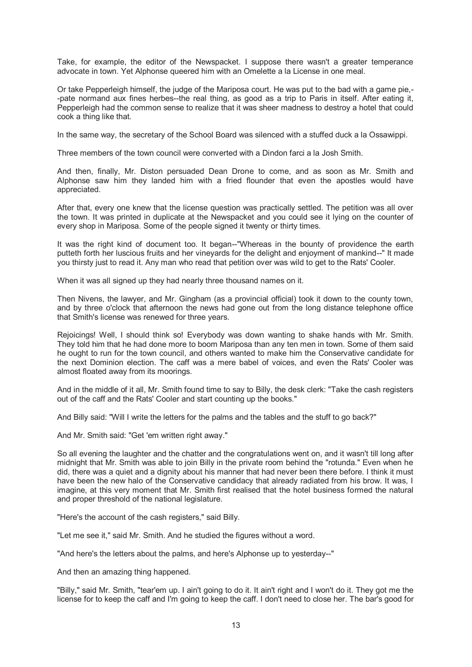Take, for example, the editor of the Newspacket. I suppose there wasn't a greater temperance advocate in town. Yet Alphonse queered him with an Omelette a la License in one meal.

Or take Pepperleigh himself, the judge of the Mariposa court. He was put to the bad with a game pie,- -pate normand aux fines herbes--the real thing, as good as a trip to Paris in itself. After eating it, Pepperleigh had the common sense to realize that it was sheer madness to destroy a hotel that could cook a thing like that.

In the same way, the secretary of the School Board was silenced with a stuffed duck a la Ossawippi.

Three members of the town council were converted with a Dindon farci a la Josh Smith.

And then, finally, Mr. Diston persuaded Dean Drone to come, and as soon as Mr. Smith and Alphonse saw him they landed him with a fried flounder that even the apostles would have appreciated.

After that, every one knew that the license question was practically settled. The petition was all over the town. It was printed in duplicate at the Newspacket and you could see it lying on the counter of every shop in Mariposa. Some of the people signed it twenty or thirty times.

It was the right kind of document too. It began--"Whereas in the bounty of providence the earth putteth forth her luscious fruits and her vineyards for the delight and enjoyment of mankind--" It made you thirsty just to read it. Any man who read that petition over was wild to get to the Rats' Cooler.

When it was all signed up they had nearly three thousand names on it.

Then Nivens, the lawyer, and Mr. Gingham (as a provincial official) took it down to the county town, and by three o'clock that afternoon the news had gone out from the long distance telephone office that Smith's license was renewed for three years.

Rejoicings! Well, I should think so! Everybody was down wanting to shake hands with Mr. Smith. They told him that he had done more to boom Mariposa than any ten men in town. Some of them said he ought to run for the town council, and others wanted to make him the Conservative candidate for the next Dominion election. The caff was a mere babel of voices, and even the Rats' Cooler was almost floated away from its moorings.

And in the middle of it all, Mr. Smith found time to say to Billy, the desk clerk: "Take the cash registers out of the caff and the Rats' Cooler and start counting up the books."

And Billy said: "Will I write the letters for the palms and the tables and the stuff to go back?"

And Mr. Smith said: "Get 'em written right away."

So all evening the laughter and the chatter and the congratulations went on, and it wasn't till long after midnight that Mr. Smith was able to join Billy in the private room behind the "rotunda." Even when he did, there was a quiet and a dignity about his manner that had never been there before. I think it must have been the new halo of the Conservative candidacy that already radiated from his brow. It was, I imagine, at this very moment that Mr. Smith first realised that the hotel business formed the natural and proper threshold of the national legislature.

"Here's the account of the cash registers," said Billy.

"Let me see it," said Mr. Smith. And he studied the figures without a word.

"And here's the letters about the palms, and here's Alphonse up to yesterday--"

And then an amazing thing happened.

"Billy," said Mr. Smith, "tear'em up. I ain't going to do it. It ain't right and I won't do it. They got me the license for to keep the caff and I'm going to keep the caff. I don't need to close her. The bar's good for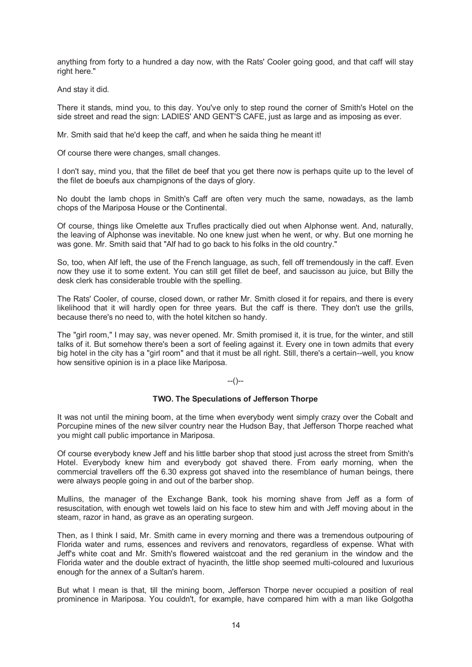anything from forty to a hundred a day now, with the Rats' Cooler going good, and that caff will stay right here."

And stay it did.

There it stands, mind you, to this day. You've only to step round the corner of Smith's Hotel on the side street and read the sign: LADIES' AND GENT'S CAFE, just as large and as imposing as ever.

Mr. Smith said that he'd keep the caff, and when he saida thing he meant it!

Of course there were changes, small changes.

I don't say, mind you, that the fillet de beef that you get there now is perhaps quite up to the level of the filet de boeufs aux champignons of the days of glory.

No doubt the lamb chops in Smith's Caff are often very much the same, nowadays, as the lamb chops of the Mariposa House or the Continental.

Of course, things like Omelette aux Trufles practically died out when Alphonse went. And, naturally, the leaving of Alphonse was inevitable. No one knew just when he went, or why. But one morning he was gone. Mr. Smith said that "Alf had to go back to his folks in the old country."

So, too, when Alf left, the use of the French language, as such, fell off tremendously in the caff. Even now they use it to some extent. You can still get fillet de beef, and saucisson au juice, but Billy the desk clerk has considerable trouble with the spelling.

The Rats' Cooler, of course, closed down, or rather Mr. Smith closed it for repairs, and there is every likelihood that it will hardly open for three years. But the caff is there. They don't use the grills, because there's no need to, with the hotel kitchen so handy.

The "girl room," I may say, was never opened. Mr. Smith promised it, it is true, for the winter, and still talks of it. But somehow there's been a sort of feeling against it. Every one in town admits that every big hotel in the city has a "girl room" and that it must be all right. Still, there's a certain--well, you know how sensitive opinion is in a place like Mariposa.

### --()--

#### **TWO. The Speculations of Jefferson Thorpe**

It was not until the mining boom, at the time when everybody went simply crazy over the Cobalt and Porcupine mines of the new silver country near the Hudson Bay, that Jefferson Thorpe reached what you might call public importance in Mariposa.

Of course everybody knew Jeff and his little barber shop that stood just across the street from Smith's Hotel. Everybody knew him and everybody got shaved there. From early morning, when the commercial travellers off the 6.30 express got shaved into the resemblance of human beings, there were always people going in and out of the barber shop.

Mullins, the manager of the Exchange Bank, took his morning shave from Jeff as a form of resuscitation, with enough wet towels laid on his face to stew him and with Jeff moving about in the steam, razor in hand, as grave as an operating surgeon.

Then, as I think I said, Mr. Smith came in every morning and there was a tremendous outpouring of Florida water and rums, essences and revivers and renovators, regardless of expense. What with Jeff's white coat and Mr. Smith's flowered waistcoat and the red geranium in the window and the Florida water and the double extract of hyacinth, the little shop seemed multi-coloured and luxurious enough for the annex of a Sultan's harem.

But what I mean is that, till the mining boom, Jefferson Thorpe never occupied a position of real prominence in Mariposa. You couldn't, for example, have compared him with a man like Golgotha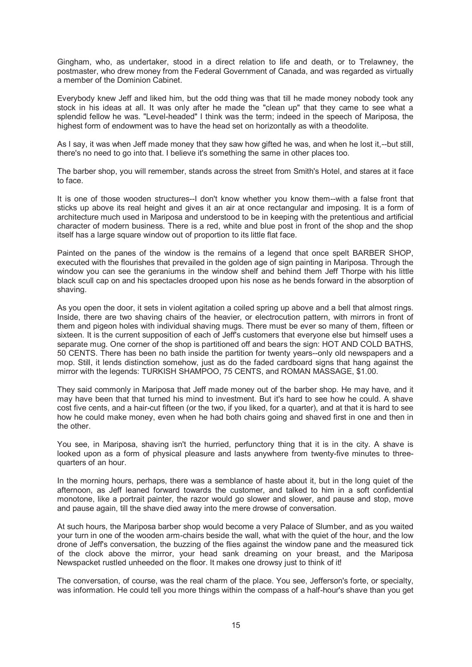Gingham, who, as undertaker, stood in a direct relation to life and death, or to Trelawney, the postmaster, who drew money from the Federal Government of Canada, and was regarded as virtually a member of the Dominion Cabinet.

Everybody knew Jeff and liked him, but the odd thing was that till he made money nobody took any stock in his ideas at all. It was only after he made the "clean up" that they came to see what a splendid fellow he was. "Level-headed" I think was the term; indeed in the speech of Mariposa, the highest form of endowment was to have the head set on horizontally as with a theodolite.

As I say, it was when Jeff made money that they saw how gifted he was, and when he lost it,--but still, there's no need to go into that. I believe it's something the same in other places too.

The barber shop, you will remember, stands across the street from Smith's Hotel, and stares at it face to face.

It is one of those wooden structures--I don't know whether you know them--with a false front that sticks up above its real height and gives it an air at once rectangular and imposing. It is a form of architecture much used in Mariposa and understood to be in keeping with the pretentious and artificial character of modern business. There is a red, white and blue post in front of the shop and the shop itself has a large square window out of proportion to its little flat face.

Painted on the panes of the window is the remains of a legend that once spelt BARBER SHOP, executed with the flourishes that prevailed in the golden age of sign painting in Mariposa. Through the window you can see the geraniums in the window shelf and behind them Jeff Thorpe with his little black scull cap on and his spectacles drooped upon his nose as he bends forward in the absorption of shaving.

As you open the door, it sets in violent agitation a coiled spring up above and a bell that almost rings. Inside, there are two shaving chairs of the heavier, or electrocution pattern, with mirrors in front of them and pigeon holes with individual shaving mugs. There must be ever so many of them, fifteen or sixteen. It is the current supposition of each of Jeff's customers that everyone else but himself uses a separate mug. One corner of the shop is partitioned off and bears the sign: HOT AND COLD BATHS, 50 CENTS. There has been no bath inside the partition for twenty years--only old newspapers and a mop. Still, it lends distinction somehow, just as do the faded cardboard signs that hang against the mirror with the legends: TURKISH SHAMPOO, 75 CENTS, and ROMAN MASSAGE, \$1.00.

They said commonly in Mariposa that Jeff made money out of the barber shop. He may have, and it may have been that that turned his mind to investment. But it's hard to see how he could. A shave cost five cents, and a hair-cut fifteen (or the two, if you liked, for a quarter), and at that it is hard to see how he could make money, even when he had both chairs going and shaved first in one and then in the other.

You see, in Mariposa, shaving isn't the hurried, perfunctory thing that it is in the city. A shave is looked upon as a form of physical pleasure and lasts anywhere from twenty-five minutes to threequarters of an hour.

In the morning hours, perhaps, there was a semblance of haste about it, but in the long quiet of the afternoon, as Jeff leaned forward towards the customer, and talked to him in a soft confidential monotone, like a portrait painter, the razor would go slower and slower, and pause and stop, move and pause again, till the shave died away into the mere drowse of conversation.

At such hours, the Mariposa barber shop would become a very Palace of Slumber, and as you waited your turn in one of the wooden arm-chairs beside the wall, what with the quiet of the hour, and the low drone of Jeff's conversation, the buzzing of the flies against the window pane and the measured tick of the clock above the mirror, your head sank dreaming on your breast, and the Mariposa Newspacket rustled unheeded on the floor. It makes one drowsy just to think of it!

The conversation, of course, was the real charm of the place. You see, Jefferson's forte, or specialty, was information. He could tell you more things within the compass of a half-hour's shave than you get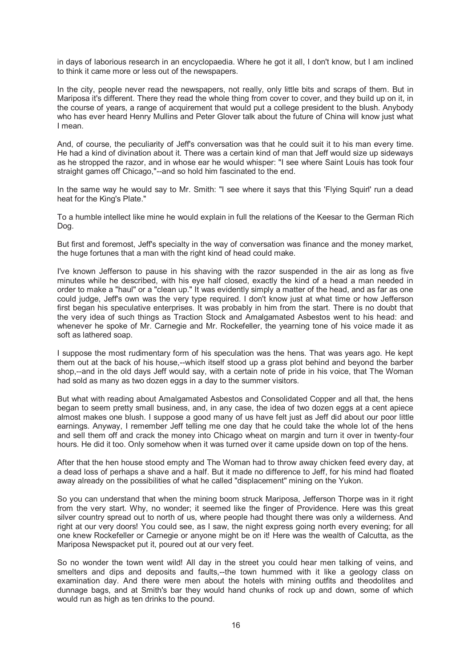in days of laborious research in an encyclopaedia. Where he got it all, I don't know, but I am inclined to think it came more or less out of the newspapers.

In the city, people never read the newspapers, not really, only little bits and scraps of them. But in Mariposa it's different. There they read the whole thing from cover to cover, and they build up on it, in the course of years, a range of acquirement that would put a college president to the blush. Anybody who has ever heard Henry Mullins and Peter Glover talk about the future of China will know just what I mean.

And, of course, the peculiarity of Jeff's conversation was that he could suit it to his man every time. He had a kind of divination about it. There was a certain kind of man that Jeff would size up sideways as he stropped the razor, and in whose ear he would whisper: "I see where Saint Louis has took four straight games off Chicago,"--and so hold him fascinated to the end.

In the same way he would say to Mr. Smith: "I see where it says that this 'Flying Squirl' run a dead heat for the King's Plate."

To a humble intellect like mine he would explain in full the relations of the Keesar to the German Rich Dog.

But first and foremost, Jeff's specialty in the way of conversation was finance and the money market, the huge fortunes that a man with the right kind of head could make.

I've known Jefferson to pause in his shaving with the razor suspended in the air as long as five minutes while he described, with his eye half closed, exactly the kind of a head a man needed in order to make a "haul" or a "clean up." It was evidently simply a matter of the head, and as far as one could judge, Jeff's own was the very type required. I don't know just at what time or how Jefferson first began his speculative enterprises. It was probably in him from the start. There is no doubt that the very idea of such things as Traction Stock and Amalgamated Asbestos went to his head: and whenever he spoke of Mr. Carnegie and Mr. Rockefeller, the yearning tone of his voice made it as soft as lathered soap.

I suppose the most rudimentary form of his speculation was the hens. That was years ago. He kept them out at the back of his house,--which itself stood up a grass plot behind and beyond the barber shop,--and in the old days Jeff would say, with a certain note of pride in his voice, that The Woman had sold as many as two dozen eggs in a day to the summer visitors.

But what with reading about Amalgamated Asbestos and Consolidated Copper and all that, the hens began to seem pretty small business, and, in any case, the idea of two dozen eggs at a cent apiece almost makes one blush. I suppose a good many of us have felt just as Jeff did about our poor little earnings. Anyway, I remember Jeff telling me one day that he could take the whole lot of the hens and sell them off and crack the money into Chicago wheat on margin and turn it over in twenty-four hours. He did it too. Only somehow when it was turned over it came upside down on top of the hens.

After that the hen house stood empty and The Woman had to throw away chicken feed every day, at a dead loss of perhaps a shave and a half. But it made no difference to Jeff, for his mind had floated away already on the possibilities of what he called "displacement" mining on the Yukon.

So you can understand that when the mining boom struck Mariposa, Jefferson Thorpe was in it right from the very start. Why, no wonder; it seemed like the finger of Providence. Here was this great silver country spread out to north of us, where people had thought there was only a wilderness. And right at our very doors! You could see, as I saw, the night express going north every evening; for all one knew Rockefeller or Carnegie or anyone might be on it! Here was the wealth of Calcutta, as the Mariposa Newspacket put it, poured out at our very feet.

So no wonder the town went wild! All day in the street you could hear men talking of veins, and smelters and dips and deposits and faults,--the town hummed with it like a geology class on examination day. And there were men about the hotels with mining outfits and theodolites and dunnage bags, and at Smith's bar they would hand chunks of rock up and down, some of which would run as high as ten drinks to the pound.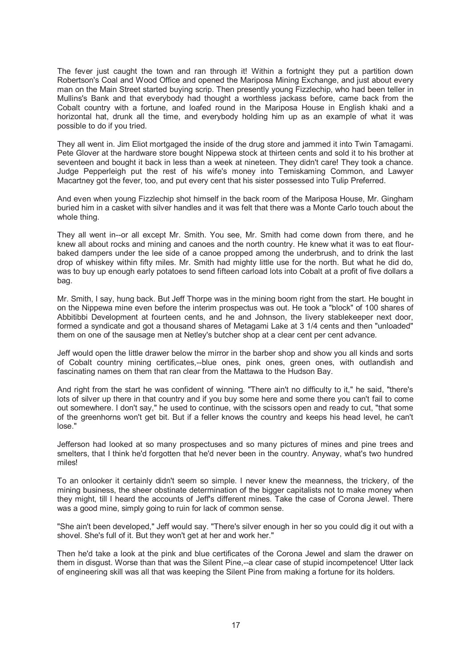The fever just caught the town and ran through it! Within a fortnight they put a partition down Robertson's Coal and Wood Office and opened the Mariposa Mining Exchange, and just about every man on the Main Street started buying scrip. Then presently young Fizzlechip, who had been teller in Mullins's Bank and that everybody had thought a worthless jackass before, came back from the Cobalt country with a fortune, and loafed round in the Mariposa House in English khaki and a horizontal hat, drunk all the time, and everybody holding him up as an example of what it was possible to do if you tried.

They all went in. Jim Eliot mortgaged the inside of the drug store and jammed it into Twin Tamagami. Pete Glover at the hardware store bought Nippewa stock at thirteen cents and sold it to his brother at seventeen and bought it back in less than a week at nineteen. They didn't care! They took a chance. Judge Pepperleigh put the rest of his wife's money into Temiskaming Common, and Lawyer Macartney got the fever, too, and put every cent that his sister possessed into Tulip Preferred.

And even when young Fizzlechip shot himself in the back room of the Mariposa House, Mr. Gingham buried him in a casket with silver handles and it was felt that there was a Monte Carlo touch about the whole thing.

They all went in--or all except Mr. Smith. You see, Mr. Smith had come down from there, and he knew all about rocks and mining and canoes and the north country. He knew what it was to eat flourbaked dampers under the lee side of a canoe propped among the underbrush, and to drink the last drop of whiskey within fifty miles. Mr. Smith had mighty little use for the north. But what he did do, was to buy up enough early potatoes to send fifteen carload lots into Cobalt at a profit of five dollars a bag.

Mr. Smith, I say, hung back. But Jeff Thorpe was in the mining boom right from the start. He bought in on the Nippewa mine even before the interim prospectus was out. He took a "block" of 100 shares of Abbitibbi Development at fourteen cents, and he and Johnson, the livery stablekeeper next door, formed a syndicate and got a thousand shares of Metagami Lake at 3 1/4 cents and then "unloaded" them on one of the sausage men at Netley's butcher shop at a clear cent per cent advance.

Jeff would open the little drawer below the mirror in the barber shop and show you all kinds and sorts of Cobalt country mining certificates,--blue ones, pink ones, green ones, with outlandish and fascinating names on them that ran clear from the Mattawa to the Hudson Bay.

And right from the start he was confident of winning. "There ain't no difficulty to it," he said, "there's lots of silver up there in that country and if you buy some here and some there you can't fail to come out somewhere. I don't say," he used to continue, with the scissors open and ready to cut, "that some of the greenhorns won't get bit. But if a feller knows the country and keeps his head level, he can't lose."

Jefferson had looked at so many prospectuses and so many pictures of mines and pine trees and smelters, that I think he'd forgotten that he'd never been in the country. Anyway, what's two hundred miles!

To an onlooker it certainly didn't seem so simple. I never knew the meanness, the trickery, of the mining business, the sheer obstinate determination of the bigger capitalists not to make money when they might, till I heard the accounts of Jeff's different mines. Take the case of Corona Jewel. There was a good mine, simply going to ruin for lack of common sense.

"She ain't been developed," Jeff would say. "There's silver enough in her so you could dig it out with a shovel. She's full of it. But they won't get at her and work her."

Then he'd take a look at the pink and blue certificates of the Corona Jewel and slam the drawer on them in disgust. Worse than that was the Silent Pine,--a clear case of stupid incompetence! Utter lack of engineering skill was all that was keeping the Silent Pine from making a fortune for its holders.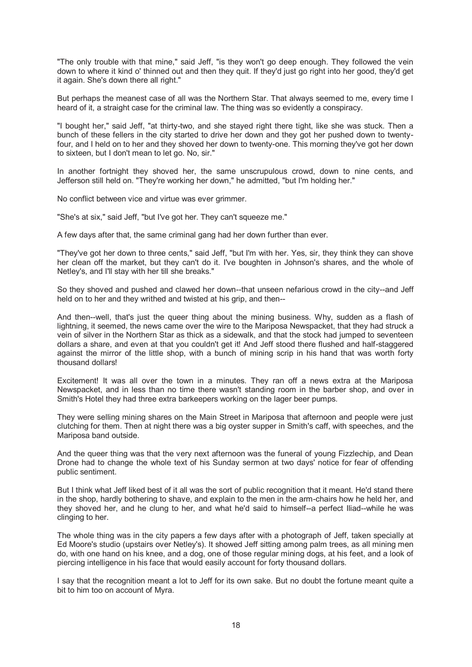"The only trouble with that mine," said Jeff, "is they won't go deep enough. They followed the vein down to where it kind o' thinned out and then they quit. If they'd just go right into her good, they'd get it again. She's down there all right."

But perhaps the meanest case of all was the Northern Star. That always seemed to me, every time I heard of it, a straight case for the criminal law. The thing was so evidently a conspiracy.

"I bought her," said Jeff, "at thirty-two, and she stayed right there tight, like she was stuck. Then a bunch of these fellers in the city started to drive her down and they got her pushed down to twentyfour, and I held on to her and they shoved her down to twenty-one. This morning they've got her down to sixteen, but I don't mean to let go. No, sir."

In another fortnight they shoved her, the same unscrupulous crowd, down to nine cents, and Jefferson still held on. "They're working her down," he admitted, "but I'm holding her."

No conflict between vice and virtue was ever grimmer.

"She's at six," said Jeff, "but I've got her. They can't squeeze me."

A few days after that, the same criminal gang had her down further than ever.

"They've got her down to three cents," said Jeff, "but I'm with her. Yes, sir, they think they can shove her clean off the market, but they can't do it. I've boughten in Johnson's shares, and the whole of Netley's, and I'll stay with her till she breaks."

So they shoved and pushed and clawed her down--that unseen nefarious crowd in the city--and Jeff held on to her and they writhed and twisted at his grip, and then--

And then--well, that's just the queer thing about the mining business. Why, sudden as a flash of lightning, it seemed, the news came over the wire to the Mariposa Newspacket, that they had struck a vein of silver in the Northern Star as thick as a sidewalk, and that the stock had jumped to seventeen dollars a share, and even at that you couldn't get it! And Jeff stood there flushed and half-staggered against the mirror of the little shop, with a bunch of mining scrip in his hand that was worth forty thousand dollars!

Excitement! It was all over the town in a minutes. They ran off a news extra at the Mariposa Newspacket, and in less than no time there wasn't standing room in the barber shop, and over in Smith's Hotel they had three extra barkeepers working on the lager beer pumps.

They were selling mining shares on the Main Street in Mariposa that afternoon and people were just clutching for them. Then at night there was a big oyster supper in Smith's caff, with speeches, and the Mariposa band outside.

And the queer thing was that the very next afternoon was the funeral of young Fizzlechip, and Dean Drone had to change the whole text of his Sunday sermon at two days' notice for fear of offending public sentiment.

But I think what Jeff liked best of it all was the sort of public recognition that it meant. He'd stand there in the shop, hardly bothering to shave, and explain to the men in the arm-chairs how he held her, and they shoved her, and he clung to her, and what he'd said to himself--a perfect Iliad--while he was clinging to her.

The whole thing was in the city papers a few days after with a photograph of Jeff, taken specially at Ed Moore's studio (upstairs over Netley's). It showed Jeff sitting among palm trees, as all mining men do, with one hand on his knee, and a dog, one of those regular mining dogs, at his feet, and a look of piercing intelligence in his face that would easily account for forty thousand dollars.

I say that the recognition meant a lot to Jeff for its own sake. But no doubt the fortune meant quite a bit to him too on account of Myra.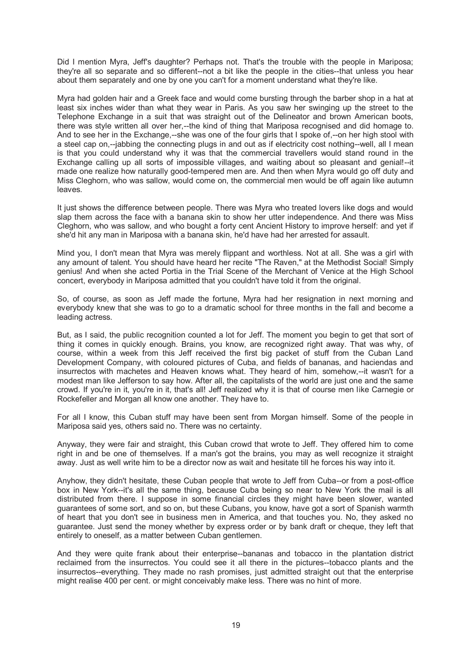Did I mention Myra, Jeff's daughter? Perhaps not. That's the trouble with the people in Mariposa; they're all so separate and so different--not a bit like the people in the cities--that unless you hear about them separately and one by one you can't for a moment understand what they're like.

Myra had golden hair and a Greek face and would come bursting through the barber shop in a hat at least six inches wider than what they wear in Paris. As you saw her swinging up the street to the Telephone Exchange in a suit that was straight out of the Delineator and brown American boots, there was style written all over her,--the kind of thing that Mariposa recognised and did homage to. And to see her in the Exchange,--she was one of the four girls that I spoke of,--on her high stool with a steel cap on,--jabbing the connecting plugs in and out as if electricity cost nothing--well, all I mean is that you could understand why it was that the commercial travellers would stand round in the Exchange calling up all sorts of impossible villages, and waiting about so pleasant and genial!--it made one realize how naturally good-tempered men are. And then when Myra would go off duty and Miss Cleghorn, who was sallow, would come on, the commercial men would be off again like autumn leaves.

It just shows the difference between people. There was Myra who treated lovers like dogs and would slap them across the face with a banana skin to show her utter independence. And there was Miss Cleghorn, who was sallow, and who bought a forty cent Ancient History to improve herself: and yet if she'd hit any man in Mariposa with a banana skin, he'd have had her arrested for assault.

Mind you, I don't mean that Myra was merely flippant and worthless. Not at all. She was a girl with any amount of talent. You should have heard her recite "The Raven," at the Methodist Social! Simply genius! And when she acted Portia in the Trial Scene of the Merchant of Venice at the High School concert, everybody in Mariposa admitted that you couldn't have told it from the original.

So, of course, as soon as Jeff made the fortune, Myra had her resignation in next morning and everybody knew that she was to go to a dramatic school for three months in the fall and become a leading actress.

But, as I said, the public recognition counted a lot for Jeff. The moment you begin to get that sort of thing it comes in quickly enough. Brains, you know, are recognized right away. That was why, of course, within a week from this Jeff received the first big packet of stuff from the Cuban Land Development Company, with coloured pictures of Cuba, and fields of bananas, and haciendas and insurrectos with machetes and Heaven knows what. They heard of him, somehow,--it wasn't for a modest man like Jefferson to say how. After all, the capitalists of the world are just one and the same crowd. If you're in it, you're in it, that's all! Jeff realized why it is that of course men like Carnegie or Rockefeller and Morgan all know one another. They have to.

For all I know, this Cuban stuff may have been sent from Morgan himself. Some of the people in Mariposa said yes, others said no. There was no certainty.

Anyway, they were fair and straight, this Cuban crowd that wrote to Jeff. They offered him to come right in and be one of themselves. If a man's got the brains, you may as well recognize it straight away. Just as well write him to be a director now as wait and hesitate till he forces his way into it.

Anyhow, they didn't hesitate, these Cuban people that wrote to Jeff from Cuba--or from a post-office box in New York--it's all the same thing, because Cuba being so near to New York the mail is all distributed from there. I suppose in some financial circles they might have been slower, wanted guarantees of some sort, and so on, but these Cubans, you know, have got a sort of Spanish warmth of heart that you don't see in business men in America, and that touches you. No, they asked no guarantee. Just send the money whether by express order or by bank draft or cheque, they left that entirely to oneself, as a matter between Cuban gentlemen.

And they were quite frank about their enterprise--bananas and tobacco in the plantation district reclaimed from the insurrectos. You could see it all there in the pictures--tobacco plants and the insurrectos--everything. They made no rash promises, just admitted straight out that the enterprise might realise 400 per cent. or might conceivably make less. There was no hint of more.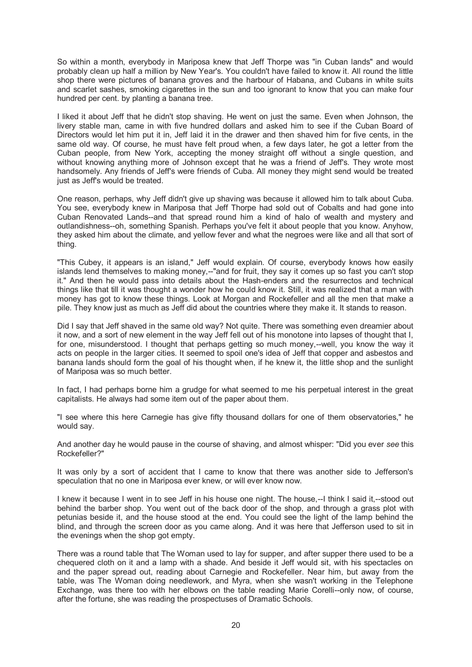So within a month, everybody in Mariposa knew that Jeff Thorpe was "in Cuban lands" and would probably clean up half a million by New Year's. You couldn't have failed to know it. All round the little shop there were pictures of banana groves and the harbour of Habana, and Cubans in white suits and scarlet sashes, smoking cigarettes in the sun and too ignorant to know that you can make four hundred per cent. by planting a banana tree.

I liked it about Jeff that he didn't stop shaving. He went on just the same. Even when Johnson, the livery stable man, came in with five hundred dollars and asked him to see if the Cuban Board of Directors would let him put it in, Jeff laid it in the drawer and then shaved him for five cents, in the same old way. Of course, he must have felt proud when, a few days later, he got a letter from the Cuban people, from New York, accepting the money straight off without a single question, and without knowing anything more of Johnson except that he was a friend of Jeff's. They wrote most handsomely. Any friends of Jeff's were friends of Cuba. All money they might send would be treated just as Jeff's would be treated.

One reason, perhaps, why Jeff didn't give up shaving was because it allowed him to talk about Cuba. You see, everybody knew in Mariposa that Jeff Thorpe had sold out of Cobalts and had gone into Cuban Renovated Lands--and that spread round him a kind of halo of wealth and mystery and outlandishness--oh, something Spanish. Perhaps you've felt it about people that you know. Anyhow, they asked him about the climate, and yellow fever and what the negroes were like and all that sort of thing.

"This Cubey, it appears is an island," Jeff would explain. Of course, everybody knows how easily islands lend themselves to making money,--"and for fruit, they say it comes up so fast you can't stop it." And then he would pass into details about the Hash-enders and the resurrectos and technical things like that till it was thought a wonder how he could know it. Still, it was realized that a man with money has got to know these things. Look at Morgan and Rockefeller and all the men that make a pile. They know just as much as Jeff did about the countries where they make it. It stands to reason.

Did I say that Jeff shaved in the same old way? Not quite. There was something even dreamier about it now, and a sort of new element in the way Jeff fell out of his monotone into lapses of thought that I, for one, misunderstood. I thought that perhaps getting so much money,--well, you know the way it acts on people in the larger cities. It seemed to spoil one's idea of Jeff that copper and asbestos and banana lands should form the goal of his thought when, if he knew it, the little shop and the sunlight of Mariposa was so much better.

In fact, I had perhaps borne him a grudge for what seemed to me his perpetual interest in the great capitalists. He always had some item out of the paper about them.

"I see where this here Carnegie has give fifty thousand dollars for one of them observatories," he would say.

And another day he would pause in the course of shaving, and almost whisper: "Did you ever *see* this Rockefeller?"

It was only by a sort of accident that I came to know that there was another side to Jefferson's speculation that no one in Mariposa ever knew, or will ever know now.

I knew it because I went in to see Jeff in his house one night. The house,--I think I said it,--stood out behind the barber shop. You went out of the back door of the shop, and through a grass plot with petunias beside it, and the house stood at the end. You could see the light of the lamp behind the blind, and through the screen door as you came along. And it was here that Jefferson used to sit in the evenings when the shop got empty.

There was a round table that The Woman used to lay for supper, and after supper there used to be a chequered cloth on it and a lamp with a shade. And beside it Jeff would sit, with his spectacles on and the paper spread out, reading about Carnegie and Rockefeller. Near him, but away from the table, was The Woman doing needlework, and Myra, when she wasn't working in the Telephone Exchange, was there too with her elbows on the table reading Marie Corelli--only now, of course, after the fortune, she was reading the prospectuses of Dramatic Schools.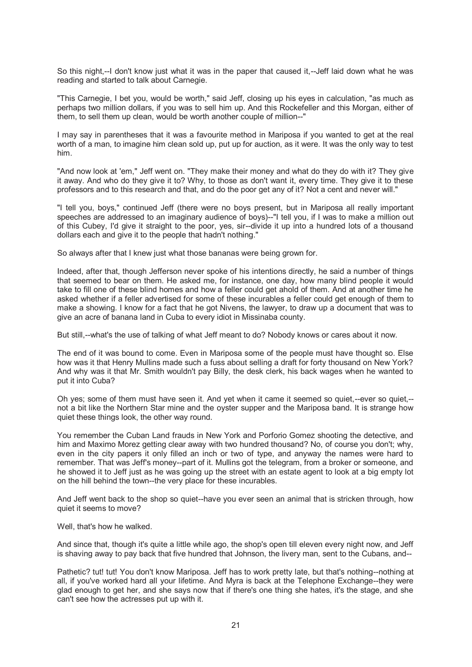So this night,--I don't know just what it was in the paper that caused it,--Jeff laid down what he was reading and started to talk about Carnegie.

"This Carnegie, I bet you, would be worth," said Jeff, closing up his eyes in calculation, "as much as perhaps two million dollars, if you was to sell him up. And this Rockefeller and this Morgan, either of them, to sell them up clean, would be worth another couple of million--"

I may say in parentheses that it was a favourite method in Mariposa if you wanted to get at the real worth of a man, to imagine him clean sold up, put up for auction, as it were. It was the only way to test him.

"And now look at 'em," Jeff went on. "They make their money and what do they do with it? They give it away. And who do they give it to? Why, to those as don't want it, every time. They give it to these professors and to this research and that, and do the poor get any of it? Not a cent and never will."

"I tell you, boys," continued Jeff (there were no boys present, but in Mariposa all really important speeches are addressed to an imaginary audience of boys)--"I tell you, if I was to make a million out of this Cubey, I'd give it straight to the poor, yes, sir--divide it up into a hundred lots of a thousand dollars each and give it to the people that hadn't nothing."

So always after that I knew just what those bananas were being grown for.

Indeed, after that, though Jefferson never spoke of his intentions directly, he said a number of things that seemed to bear on them. He asked me, for instance, one day, how many blind people it would take to fill one of these blind homes and how a feller could get ahold of them. And at another time he asked whether if a feller advertised for some of these incurables a feller could get enough of them to make a showing. I know for a fact that he got Nivens, the lawyer, to draw up a document that was to give an acre of banana land in Cuba to every idiot in Missinaba county.

But still,--what's the use of talking of what Jeff meant to do? Nobody knows or cares about it now.

The end of it was bound to come. Even in Mariposa some of the people must have thought so. Else how was it that Henry Mullins made such a fuss about selling a draft for forty thousand on New York? And why was it that Mr. Smith wouldn't pay Billy, the desk clerk, his back wages when he wanted to put it into Cuba?

Oh yes; some of them must have seen it. And yet when it came it seemed so quiet,--ever so quiet,- not a bit like the Northern Star mine and the oyster supper and the Mariposa band. It is strange how quiet these things look, the other way round.

You remember the Cuban Land frauds in New York and Porforio Gomez shooting the detective, and him and Maximo Morez getting clear away with two hundred thousand? No, of course you don't; why, even in the city papers it only filled an inch or two of type, and anyway the names were hard to remember. That was Jeff's money--part of it. Mullins got the telegram, from a broker or someone, and he showed it to Jeff just as he was going up the street with an estate agent to look at a big empty lot on the hill behind the town--the very place for these incurables.

And Jeff went back to the shop so quiet--have you ever seen an animal that is stricken through, how quiet it seems to move?

Well, that's how he walked.

And since that, though it's quite a little while ago, the shop's open till eleven every night now, and Jeff is shaving away to pay back that five hundred that Johnson, the livery man, sent to the Cubans, and--

Pathetic? tut! tut! You don't know Mariposa. Jeff has to work pretty late, but that's nothing--nothing at all, if you've worked hard all your lifetime. And Myra is back at the Telephone Exchange--they were glad enough to get her, and she says now that if there's one thing she hates, it's the stage, and she can't see how the actresses put up with it.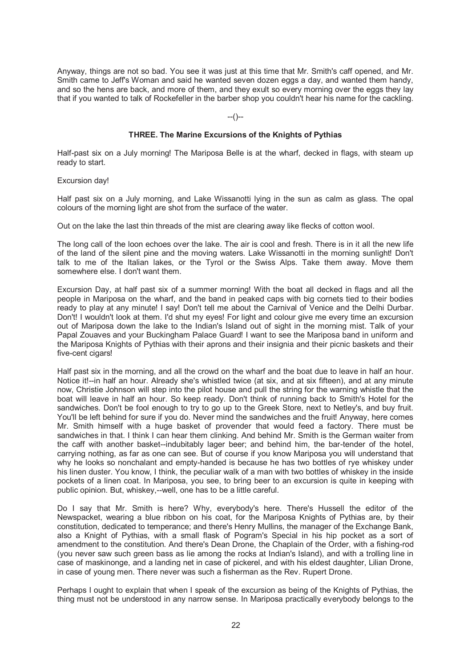Anyway, things are not so bad. You see it was just at this time that Mr. Smith's caff opened, and Mr. Smith came to Jeff's Woman and said he wanted seven dozen eggs a day, and wanted them handy, and so the hens are back, and more of them, and they exult so every morning over the eggs they lay that if you wanted to talk of Rockefeller in the barber shop you couldn't hear his name for the cackling.

--()--

#### **THREE. The Marine Excursions of the Knights of Pythias**

Half-past six on a July morning! The Mariposa Belle is at the wharf, decked in flags, with steam up ready to start.

Excursion day!

Half past six on a July morning, and Lake Wissanotti lying in the sun as calm as glass. The opal colours of the morning light are shot from the surface of the water.

Out on the lake the last thin threads of the mist are clearing away like flecks of cotton wool.

The long call of the loon echoes over the lake. The air is cool and fresh. There is in it all the new life of the land of the silent pine and the moving waters. Lake Wissanotti in the morning sunlight! Don't talk to me of the Italian lakes, or the Tyrol or the Swiss Alps. Take them away. Move them somewhere else. I don't want them.

Excursion Day, at half past six of a summer morning! With the boat all decked in flags and all the people in Mariposa on the wharf, and the band in peaked caps with big cornets tied to their bodies ready to play at any minute! I say! Don't tell me about the Carnival of Venice and the Delhi Durbar. Don't! I wouldn't look at them. I'd shut my eyes! For light and colour give me every time an excursion out of Mariposa down the lake to the Indian's Island out of sight in the morning mist. Talk of your Papal Zouaves and your Buckingham Palace Guard! I want to see the Mariposa band in uniform and the Mariposa Knights of Pythias with their aprons and their insignia and their picnic baskets and their five-cent cigars!

Half past six in the morning, and all the crowd on the wharf and the boat due to leave in half an hour. Notice it!--in half an hour. Already she's whistled twice (at six, and at six fifteen), and at any minute now, Christie Johnson will step into the pilot house and pull the string for the warning whistle that the boat will leave in half an hour. So keep ready. Don't think of running back to Smith's Hotel for the sandwiches. Don't be fool enough to try to go up to the Greek Store, next to Netley's, and buy fruit. You'll be left behind for sure if you do. Never mind the sandwiches and the fruit! Anyway, here comes Mr. Smith himself with a huge basket of provender that would feed a factory. There must be sandwiches in that. I think I can hear them clinking. And behind Mr. Smith is the German waiter from the caff with another basket--indubitably lager beer; and behind him, the bar-tender of the hotel, carrying nothing, as far as one can see. But of course if you know Mariposa you will understand that why he looks so nonchalant and empty-handed is because he has two bottles of rye whiskey under his linen duster. You know, I think, the peculiar walk of a man with two bottles of whiskey in the inside pockets of a linen coat. In Mariposa, you see, to bring beer to an excursion is quite in keeping with public opinion. But, whiskey,--well, one has to be a little careful.

Do I say that Mr. Smith is here? Why, everybody's here. There's Hussell the editor of the Newspacket, wearing a blue ribbon on his coat, for the Mariposa Knights of Pythias are, by their constitution, dedicated to temperance; and there's Henry Mullins, the manager of the Exchange Bank, also a Knight of Pythias, with a small flask of Pogram's Special in his hip pocket as a sort of amendment to the constitution. And there's Dean Drone, the Chaplain of the Order, with a fishing-rod (you never saw such green bass as lie among the rocks at Indian's Island), and with a trolling line in case of maskinonge, and a landing net in case of pickerel, and with his eldest daughter, Lilian Drone, in case of young men. There never was such a fisherman as the Rev. Rupert Drone.

Perhaps I ought to explain that when I speak of the excursion as being of the Knights of Pythias, the thing must not be understood in any narrow sense. In Mariposa practically everybody belongs to the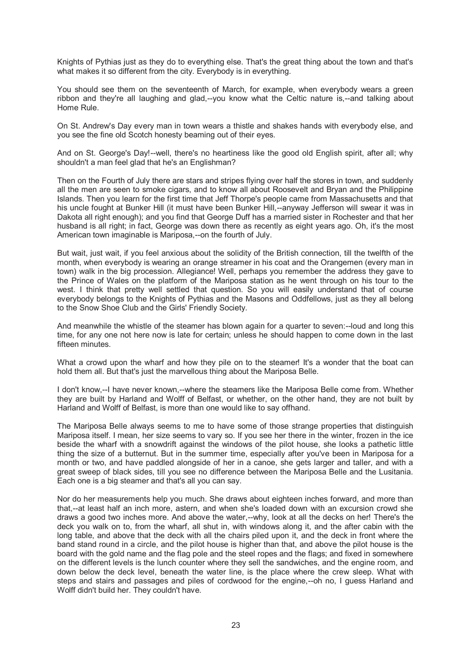Knights of Pythias just as they do to everything else. That's the great thing about the town and that's what makes it so different from the city. Everybody is in everything.

You should see them on the seventeenth of March, for example, when everybody wears a green ribbon and they're all laughing and glad,--you know what the Celtic nature is,--and talking about Home Rule.

On St. Andrew's Day every man in town wears a thistle and shakes hands with everybody else, and you see the fine old Scotch honesty beaming out of their eyes.

And on St. George's Day!--well, there's no heartiness like the good old English spirit, after all; why shouldn't a man feel glad that he's an Englishman?

Then on the Fourth of July there are stars and stripes flying over half the stores in town, and suddenly all the men are seen to smoke cigars, and to know all about Roosevelt and Bryan and the Philippine Islands. Then you learn for the first time that Jeff Thorpe's people came from Massachusetts and that his uncle fought at Bunker Hill (it must have been Bunker Hill,--anyway Jefferson will swear it was in Dakota all right enough); and you find that George Duff has a married sister in Rochester and that her husband is all right; in fact, George was down there as recently as eight years ago. Oh, it's the most American town imaginable is Mariposa,--on the fourth of July.

But wait, just wait, if you feel anxious about the solidity of the British connection, till the twelfth of the month, when everybody is wearing an orange streamer in his coat and the Orangemen (every man in town) walk in the big procession. Allegiance! Well, perhaps you remember the address they gave to the Prince of Wales on the platform of the Mariposa station as he went through on his tour to the west. I think that pretty well settled that question. So you will easily understand that of course everybody belongs to the Knights of Pythias and the Masons and Oddfellows, just as they all belong to the Snow Shoe Club and the Girls' Friendly Society.

And meanwhile the whistle of the steamer has blown again for a quarter to seven:--loud and long this time, for any one not here now is late for certain; unless he should happen to come down in the last fifteen minutes

What a crowd upon the wharf and how they pile on to the steamer! It's a wonder that the boat can hold them all. But that's just the marvellous thing about the Mariposa Belle.

I don't know,--I have never known,--where the steamers like the Mariposa Belle come from. Whether they are built by Harland and Wolff of Belfast, or whether, on the other hand, they are not built by Harland and Wolff of Belfast, is more than one would like to say offhand.

The Mariposa Belle always seems to me to have some of those strange properties that distinguish Mariposa itself. I mean, her size seems to vary so. If you see her there in the winter, frozen in the ice beside the wharf with a snowdrift against the windows of the pilot house, she looks a pathetic little thing the size of a butternut. But in the summer time, especially after you've been in Mariposa for a month or two, and have paddled alongside of her in a canoe, she gets larger and taller, and with a great sweep of black sides, till you see no difference between the Mariposa Belle and the Lusitania. Each one is a big steamer and that's all you can say.

Nor do her measurements help you much. She draws about eighteen inches forward, and more than that,--at least half an inch more, astern, and when she's loaded down with an excursion crowd she draws a good two inches more. And above the water,--why, look at all the decks on her! There's the deck you walk on to, from the wharf, all shut in, with windows along it, and the after cabin with the long table, and above that the deck with all the chairs piled upon it, and the deck in front where the band stand round in a circle, and the pilot house is higher than that, and above the pilot house is the board with the gold name and the flag pole and the steel ropes and the flags; and fixed in somewhere on the different levels is the lunch counter where they sell the sandwiches, and the engine room, and down below the deck level, beneath the water line, is the place where the crew sleep. What with steps and stairs and passages and piles of cordwood for the engine,--oh no, I guess Harland and Wolff didn't build her. They couldn't have.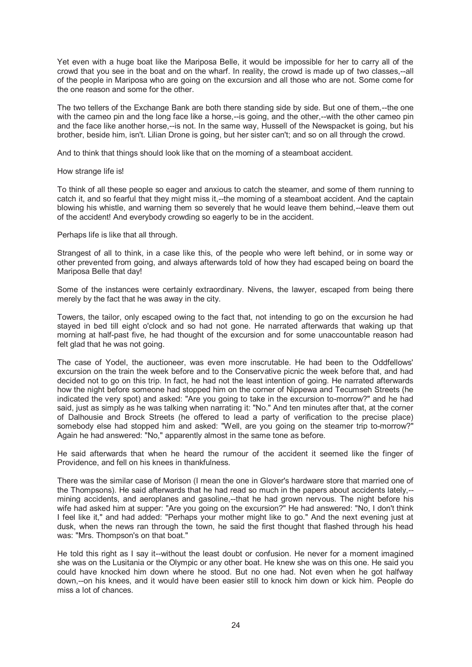Yet even with a huge boat like the Mariposa Belle, it would be impossible for her to carry all of the crowd that you see in the boat and on the wharf. In reality, the crowd is made up of two classes,--all of the people in Mariposa who are going on the excursion and all those who are not. Some come for the one reason and some for the other.

The two tellers of the Exchange Bank are both there standing side by side. But one of them,--the one with the cameo pin and the long face like a horse,--is going, and the other,--with the other cameo pin and the face like another horse,--is not. In the same way, Hussell of the Newspacket is going, but his brother, beside him, isn't. Lilian Drone is going, but her sister can't; and so on all through the crowd.

And to think that things should look like that on the morning of a steamboat accident.

How strange life is!

To think of all these people so eager and anxious to catch the steamer, and some of them running to catch it, and so fearful that they might miss it,--the morning of a steamboat accident. And the captain blowing his whistle, and warning them so severely that he would leave them behind,--leave them out of the accident! And everybody crowding so eagerly to be in the accident.

Perhaps life is like that all through.

Strangest of all to think, in a case like this, of the people who were left behind, or in some way or other prevented from going, and always afterwards told of how they had escaped being on board the Mariposa Belle that day!

Some of the instances were certainly extraordinary. Nivens, the lawyer, escaped from being there merely by the fact that he was away in the city.

Towers, the tailor, only escaped owing to the fact that, not intending to go on the excursion he had stayed in bed till eight o'clock and so had not gone. He narrated afterwards that waking up that morning at half-past five, he had thought of the excursion and for some unaccountable reason had felt glad that he was not going.

The case of Yodel, the auctioneer, was even more inscrutable. He had been to the Oddfellows' excursion on the train the week before and to the Conservative picnic the week before that, and had decided not to go on this trip. In fact, he had not the least intention of going. He narrated afterwards how the night before someone had stopped him on the corner of Nippewa and Tecumseh Streets (he indicated the very spot) and asked: "Are you going to take in the excursion to-morrow?" and he had said, just as simply as he was talking when narrating it: "No." And ten minutes after that, at the corner of Dalhousie and Brock Streets (he offered to lead a party of verification to the precise place) somebody else had stopped him and asked: "Well, are you going on the steamer trip to-morrow?" Again he had answered: "No," apparently almost in the same tone as before.

He said afterwards that when he heard the rumour of the accident it seemed like the finger of Providence, and fell on his knees in thankfulness.

There was the similar case of Morison (I mean the one in Glover's hardware store that married one of the Thompsons). He said afterwards that he had read so much in the papers about accidents lately,- mining accidents, and aeroplanes and gasoline,--that he had grown nervous. The night before his wife had asked him at supper: "Are you going on the excursion?" He had answered: "No, I don't think I feel like it," and had added: "Perhaps your mother might like to go." And the next evening just at dusk, when the news ran through the town, he said the first thought that flashed through his head was: "Mrs. Thompson's on that boat."

He told this right as I say it--without the least doubt or confusion. He never for a moment imagined she was on the Lusitania or the Olympic or any other boat. He knew she was on this one. He said you could have knocked him down where he stood. But no one had. Not even when he got halfway down,--on his knees, and it would have been easier still to knock him down or kick him. People do miss a lot of chances.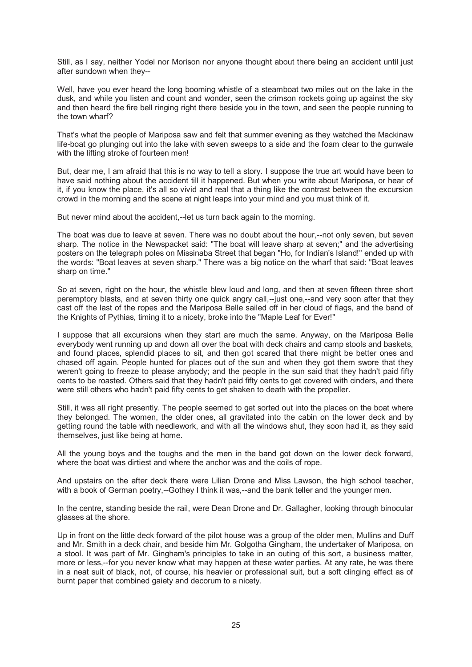Still, as I say, neither Yodel nor Morison nor anyone thought about there being an accident until just after sundown when they--

Well, have you ever heard the long booming whistle of a steamboat two miles out on the lake in the dusk, and while you listen and count and wonder, seen the crimson rockets going up against the sky and then heard the fire bell ringing right there beside you in the town, and seen the people running to the town wharf?

That's what the people of Mariposa saw and felt that summer evening as they watched the Mackinaw life-boat go plunging out into the lake with seven sweeps to a side and the foam clear to the gunwale with the lifting stroke of fourteen men!

But, dear me, I am afraid that this is no way to tell a story. I suppose the true art would have been to have said nothing about the accident till it happened. But when you write about Mariposa, or hear of it, if you know the place, it's all so vivid and real that a thing like the contrast between the excursion crowd in the morning and the scene at night leaps into your mind and you must think of it.

But never mind about the accident,--let us turn back again to the morning.

The boat was due to leave at seven. There was no doubt about the hour,--not only seven, but seven sharp. The notice in the Newspacket said: "The boat will leave sharp at seven;" and the advertising posters on the telegraph poles on Missinaba Street that began "Ho, for Indian's Island!" ended up with the words: "Boat leaves at seven sharp." There was a big notice on the wharf that said: "Boat leaves sharp on time."

So at seven, right on the hour, the whistle blew loud and long, and then at seven fifteen three short peremptory blasts, and at seven thirty one quick angry call,--just one,--and very soon after that they cast off the last of the ropes and the Mariposa Belle sailed off in her cloud of flags, and the band of the Knights of Pythias, timing it to a nicety, broke into the "Maple Leaf for Ever!"

I suppose that all excursions when they start are much the same. Anyway, on the Mariposa Belle everybody went running up and down all over the boat with deck chairs and camp stools and baskets, and found places, splendid places to sit, and then got scared that there might be better ones and chased off again. People hunted for places out of the sun and when they got them swore that they weren't going to freeze to please anybody; and the people in the sun said that they hadn't paid fifty cents to be roasted. Others said that they hadn't paid fifty cents to get covered with cinders, and there were still others who hadn't paid fifty cents to get shaken to death with the propeller.

Still, it was all right presently. The people seemed to get sorted out into the places on the boat where they belonged. The women, the older ones, all gravitated into the cabin on the lower deck and by getting round the table with needlework, and with all the windows shut, they soon had it, as they said themselves, just like being at home.

All the young boys and the toughs and the men in the band got down on the lower deck forward, where the boat was dirtiest and where the anchor was and the coils of rope.

And upstairs on the after deck there were Lilian Drone and Miss Lawson, the high school teacher, with a book of German poetry,--Gothey I think it was,--and the bank teller and the younger men.

In the centre, standing beside the rail, were Dean Drone and Dr. Gallagher, looking through binocular glasses at the shore.

Up in front on the little deck forward of the pilot house was a group of the older men, Mullins and Duff and Mr. Smith in a deck chair, and beside him Mr. Golgotha Gingham, the undertaker of Mariposa, on a stool. It was part of Mr. Gingham's principles to take in an outing of this sort, a business matter, more or less,--for you never know what may happen at these water parties. At any rate, he was there in a neat suit of black, not, of course, his heavier or professional suit, but a soft clinging effect as of burnt paper that combined gaiety and decorum to a nicety.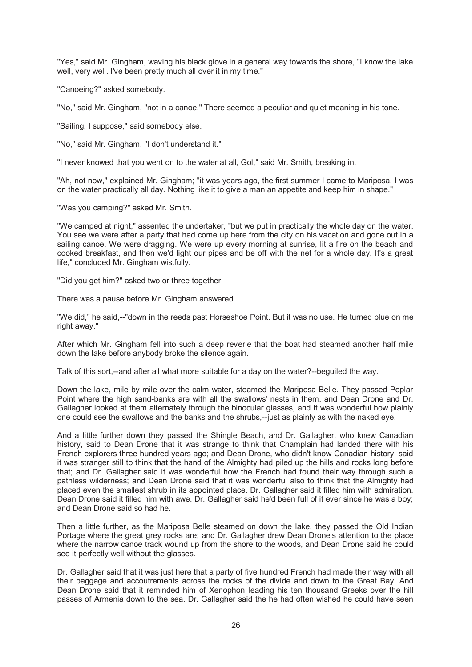"Yes," said Mr. Gingham, waving his black glove in a general way towards the shore, "I know the lake well, very well. I've been pretty much all over it in my time."

"Canoeing?" asked somebody.

"No," said Mr. Gingham, "not in a canoe." There seemed a peculiar and quiet meaning in his tone.

"Sailing, I suppose," said somebody else.

"No," said Mr. Gingham. "I don't understand it."

"I never knowed that you went on to the water at all, Gol," said Mr. Smith, breaking in.

"Ah, not now," explained Mr. Gingham; "it was years ago, the first summer I came to Mariposa. I was on the water practically all day. Nothing like it to give a man an appetite and keep him in shape."

"Was you camping?" asked Mr. Smith.

"We camped at night," assented the undertaker, "but we put in practically the whole day on the water. You see we were after a party that had come up here from the city on his vacation and gone out in a sailing canoe. We were dragging. We were up every morning at sunrise, lit a fire on the beach and cooked breakfast, and then we'd light our pipes and be off with the net for a whole day. It's a great life," concluded Mr. Gingham wistfully.

"Did you get him?" asked two or three together.

There was a pause before Mr. Gingham answered.

"We did," he said,--"down in the reeds past Horseshoe Point. But it was no use. He turned blue on me right away."

After which Mr. Gingham fell into such a deep reverie that the boat had steamed another half mile down the lake before anybody broke the silence again.

Talk of this sort,--and after all what more suitable for a day on the water?--beguiled the way.

Down the lake, mile by mile over the calm water, steamed the Mariposa Belle. They passed Poplar Point where the high sand-banks are with all the swallows' nests in them, and Dean Drone and Dr. Gallagher looked at them alternately through the binocular glasses, and it was wonderful how plainly one could see the swallows and the banks and the shrubs,--just as plainly as with the naked eye.

And a little further down they passed the Shingle Beach, and Dr. Gallagher, who knew Canadian history, said to Dean Drone that it was strange to think that Champlain had landed there with his French explorers three hundred years ago; and Dean Drone, who didn't know Canadian history, said it was stranger still to think that the hand of the Almighty had piled up the hills and rocks long before that; and Dr. Gallagher said it was wonderful how the French had found their way through such a pathless wilderness; and Dean Drone said that it was wonderful also to think that the Almighty had placed even the smallest shrub in its appointed place. Dr. Gallagher said it filled him with admiration. Dean Drone said it filled him with awe. Dr. Gallagher said he'd been full of it ever since he was a boy; and Dean Drone said so had he.

Then a little further, as the Mariposa Belle steamed on down the lake, they passed the Old Indian Portage where the great grey rocks are; and Dr. Gallagher drew Dean Drone's attention to the place where the narrow canoe track wound up from the shore to the woods, and Dean Drone said he could see it perfectly well without the glasses.

Dr. Gallagher said that it was just here that a party of five hundred French had made their way with all their baggage and accoutrements across the rocks of the divide and down to the Great Bay. And Dean Drone said that it reminded him of Xenophon leading his ten thousand Greeks over the hill passes of Armenia down to the sea. Dr. Gallagher said the he had often wished he could have seen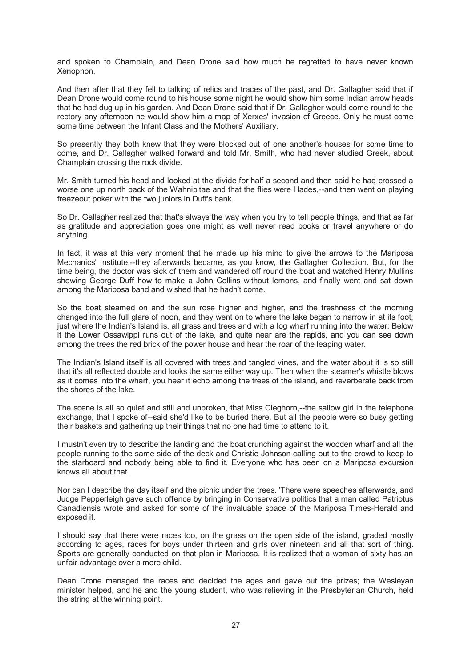and spoken to Champlain, and Dean Drone said how much he regretted to have never known Xenophon.

And then after that they fell to talking of relics and traces of the past, and Dr. Gallagher said that if Dean Drone would come round to his house some night he would show him some Indian arrow heads that he had dug up in his garden. And Dean Drone said that if Dr. Gallagher would come round to the rectory any afternoon he would show him a map of Xerxes' invasion of Greece. Only he must come some time between the Infant Class and the Mothers' Auxiliary.

So presently they both knew that they were blocked out of one another's houses for some time to come, and Dr. Gallagher walked forward and told Mr. Smith, who had never studied Greek, about Champlain crossing the rock divide.

Mr. Smith turned his head and looked at the divide for half a second and then said he had crossed a worse one up north back of the Wahnipitae and that the flies were Hades,--and then went on playing freezeout poker with the two juniors in Duff's bank.

So Dr. Gallagher realized that that's always the way when you try to tell people things, and that as far as gratitude and appreciation goes one might as well never read books or travel anywhere or do anything.

In fact, it was at this very moment that he made up his mind to give the arrows to the Mariposa Mechanics' Institute,--they afterwards became, as you know, the Gallagher Collection. But, for the time being, the doctor was sick of them and wandered off round the boat and watched Henry Mullins showing George Duff how to make a John Collins without lemons, and finally went and sat down among the Mariposa band and wished that he hadn't come.

So the boat steamed on and the sun rose higher and higher, and the freshness of the morning changed into the full glare of noon, and they went on to where the lake began to narrow in at its foot, just where the Indian's Island is, all grass and trees and with a log wharf running into the water: Below it the Lower Ossawippi runs out of the lake, and quite near are the rapids, and you can see down among the trees the red brick of the power house and hear the roar of the leaping water.

The Indian's Island itself is all covered with trees and tangled vines, and the water about it is so still that it's all reflected double and looks the same either way up. Then when the steamer's whistle blows as it comes into the wharf, you hear it echo among the trees of the island, and reverberate back from the shores of the lake.

The scene is all so quiet and still and unbroken, that Miss Cleghorn,--the sallow girl in the telephone exchange, that I spoke of--said she'd like to be buried there. But all the people were so busy getting their baskets and gathering up their things that no one had time to attend to it.

I mustn't even try to describe the landing and the boat crunching against the wooden wharf and all the people running to the same side of the deck and Christie Johnson calling out to the crowd to keep to the starboard and nobody being able to find it. Everyone who has been on a Mariposa excursion knows all about that.

Nor can I describe the day itself and the picnic under the trees. 'There were speeches afterwards, and Judge Pepperleigh gave such offence by bringing in Conservative politics that a man called Patriotus Canadiensis wrote and asked for some of the invaluable space of the Mariposa Times-Herald and exposed it.

I should say that there were races too, on the grass on the open side of the island, graded mostly according to ages, races for boys under thirteen and girls over nineteen and all that sort of thing. Sports are generally conducted on that plan in Mariposa. It is realized that a woman of sixty has an unfair advantage over a mere child.

Dean Drone managed the races and decided the ages and gave out the prizes; the Wesleyan minister helped, and he and the young student, who was relieving in the Presbyterian Church, held the string at the winning point.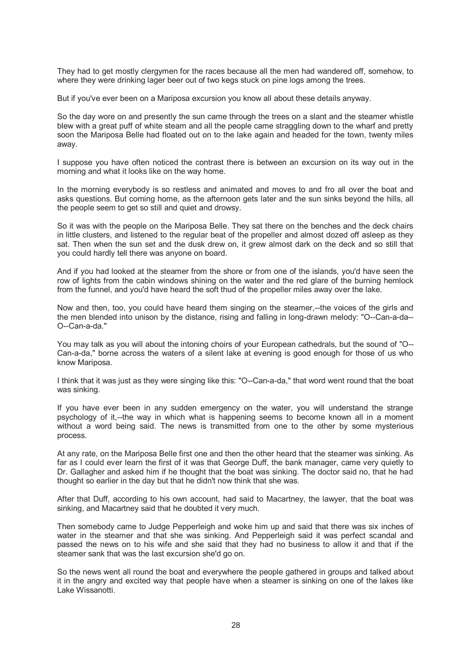They had to get mostly clergymen for the races because all the men had wandered off, somehow, to where they were drinking lager beer out of two kegs stuck on pine logs among the trees.

But if you've ever been on a Mariposa excursion you know all about these details anyway.

So the day wore on and presently the sun came through the trees on a slant and the steamer whistle blew with a great puff of white steam and all the people came straggling down to the wharf and pretty soon the Mariposa Belle had floated out on to the lake again and headed for the town, twenty miles away.

I suppose you have often noticed the contrast there is between an excursion on its way out in the morning and what it looks like on the way home.

In the morning everybody is so restless and animated and moves to and fro all over the boat and asks questions. But coming home, as the afternoon gets later and the sun sinks beyond the hills, all the people seem to get so still and quiet and drowsy.

So it was with the people on the Mariposa Belle. They sat there on the benches and the deck chairs in little clusters, and listened to the regular beat of the propeller and almost dozed off asleep as they sat. Then when the sun set and the dusk drew on, it grew almost dark on the deck and so still that you could hardly tell there was anyone on board.

And if you had looked at the steamer from the shore or from one of the islands, you'd have seen the row of lights from the cabin windows shining on the water and the red glare of the burning hemlock from the funnel, and you'd have heard the soft thud of the propeller miles away over the lake.

Now and then, too, you could have heard them singing on the steamer,--the voices of the girls and the men blended into unison by the distance, rising and falling in long-drawn melody: "O--Can-a-da-- O--Can-a-da."

You may talk as you will about the intoning choirs of your European cathedrals, but the sound of "O-- Can-a-da," borne across the waters of a silent lake at evening is good enough for those of us who know Mariposa.

I think that it was just as they were singing like this: "O--Can-a-da," that word went round that the boat was sinking.

If you have ever been in any sudden emergency on the water, you will understand the strange psychology of it,--the way in which what is happening seems to become known all in a moment without a word being said. The news is transmitted from one to the other by some mysterious process.

At any rate, on the Mariposa Belle first one and then the other heard that the steamer was sinking. As far as I could ever learn the first of it was that George Duff, the bank manager, came very quietly to Dr. Gallagher and asked him if he thought that the boat was sinking. The doctor said no, that he had thought so earlier in the day but that he didn't now think that she was.

After that Duff, according to his own account, had said to Macartney, the lawyer, that the boat was sinking, and Macartney said that he doubted it very much.

Then somebody came to Judge Pepperleigh and woke him up and said that there was six inches of water in the steamer and that she was sinking. And Pepperleigh said it was perfect scandal and passed the news on to his wife and she said that they had no business to allow it and that if the steamer sank that was the last excursion she'd go on.

So the news went all round the boat and everywhere the people gathered in groups and talked about it in the angry and excited way that people have when a steamer is sinking on one of the lakes like Lake Wissanotti.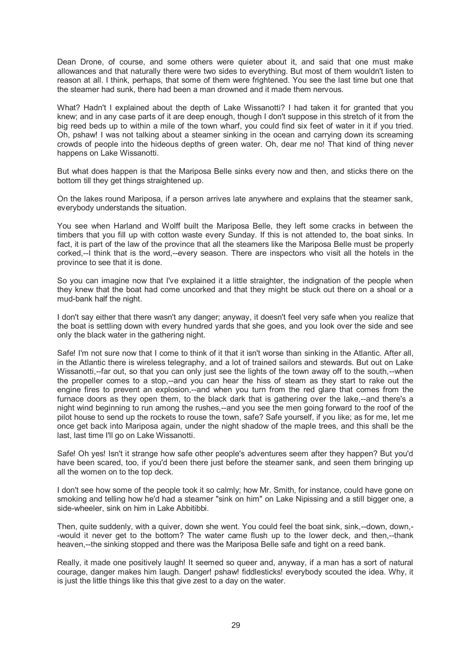Dean Drone, of course, and some others were quieter about it, and said that one must make allowances and that naturally there were two sides to everything. But most of them wouldn't listen to reason at all. I think, perhaps, that some of them were frightened. You see the last time but one that the steamer had sunk, there had been a man drowned and it made them nervous.

What? Hadn't I explained about the depth of Lake Wissanotti? I had taken it for granted that you knew; and in any case parts of it are deep enough, though I don't suppose in this stretch of it from the big reed beds up to within a mile of the town wharf, you could find six feet of water in it if you tried. Oh, pshaw! I was not talking about a steamer sinking in the ocean and carrying down its screaming crowds of people into the hideous depths of green water. Oh, dear me no! That kind of thing never happens on Lake Wissanotti.

But what does happen is that the Mariposa Belle sinks every now and then, and sticks there on the bottom till they get things straightened up.

On the lakes round Mariposa, if a person arrives late anywhere and explains that the steamer sank, everybody understands the situation.

You see when Harland and Wolff built the Mariposa Belle, they left some cracks in between the timbers that you fill up with cotton waste every Sunday. If this is not attended to, the boat sinks. In fact, it is part of the law of the province that all the steamers like the Mariposa Belle must be properly corked,--I think that is the word,--every season. There are inspectors who visit all the hotels in the province to see that it is done.

So you can imagine now that I've explained it a little straighter, the indignation of the people when they knew that the boat had come uncorked and that they might be stuck out there on a shoal or a mud-bank half the night.

I don't say either that there wasn't any danger; anyway, it doesn't feel very safe when you realize that the boat is settling down with every hundred yards that she goes, and you look over the side and see only the black water in the gathering night.

Safe! I'm not sure now that I come to think of it that it isn't worse than sinking in the Atlantic. After all, in the Atlantic there is wireless telegraphy, and a lot of trained sailors and stewards. But out on Lake Wissanotti,--far out, so that you can only just see the lights of the town away off to the south,--when the propeller comes to a stop,--and you can hear the hiss of steam as they start to rake out the engine fires to prevent an explosion,--and when you turn from the red glare that comes from the furnace doors as they open them, to the black dark that is gathering over the lake,--and there's a night wind beginning to run among the rushes,--and you see the men going forward to the roof of the pilot house to send up the rockets to rouse the town, safe? Safe yourself, if you like; as for me, let me once get back into Mariposa again, under the night shadow of the maple trees, and this shall be the last, last time I'll go on Lake Wissanotti.

Safe! Oh yes! Isn't it strange how safe other people's adventures seem after they happen? But you'd have been scared, too, if you'd been there just before the steamer sank, and seen them bringing up all the women on to the top deck.

I don't see how some of the people took it so calmly; how Mr. Smith, for instance, could have gone on smoking and telling how he'd had a steamer "sink on him" on Lake Nipissing and a still bigger one, a side-wheeler, sink on him in Lake Abbitibbi.

Then, quite suddenly, with a quiver, down she went. You could feel the boat sink, sink,--down, down,- -would it never get to the bottom? The water came flush up to the lower deck, and then,--thank heaven,--the sinking stopped and there was the Mariposa Belle safe and tight on a reed bank.

Really, it made one positively laugh! It seemed so queer and, anyway, if a man has a sort of natural courage, danger makes him laugh. Danger! pshaw! fiddlesticks! everybody scouted the idea. Why, it is just the little things like this that give zest to a day on the water.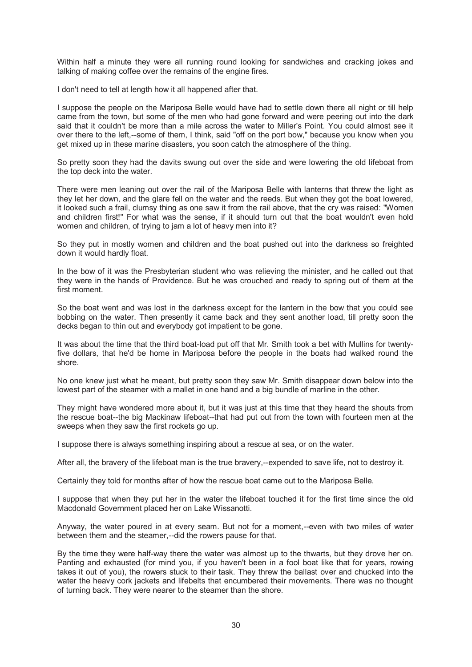Within half a minute they were all running round looking for sandwiches and cracking jokes and talking of making coffee over the remains of the engine fires.

I don't need to tell at length how it all happened after that.

I suppose the people on the Mariposa Belle would have had to settle down there all night or till help came from the town, but some of the men who had gone forward and were peering out into the dark said that it couldn't be more than a mile across the water to Miller's Point. You could almost see it over there to the left,--some of them, I think, said "off on the port bow," because you know when you get mixed up in these marine disasters, you soon catch the atmosphere of the thing.

So pretty soon they had the davits swung out over the side and were lowering the old lifeboat from the top deck into the water.

There were men leaning out over the rail of the Mariposa Belle with lanterns that threw the light as they let her down, and the glare fell on the water and the reeds. But when they got the boat lowered, it looked such a frail, clumsy thing as one saw it from the rail above, that the cry was raised: "Women and children first!" For what was the sense, if it should turn out that the boat wouldn't even hold women and children, of trying to jam a lot of heavy men into it?

So they put in mostly women and children and the boat pushed out into the darkness so freighted down it would hardly float.

In the bow of it was the Presbyterian student who was relieving the minister, and he called out that they were in the hands of Providence. But he was crouched and ready to spring out of them at the first moment.

So the boat went and was lost in the darkness except for the lantern in the bow that you could see bobbing on the water. Then presently it came back and they sent another load, till pretty soon the decks began to thin out and everybody got impatient to be gone.

It was about the time that the third boat-load put off that Mr. Smith took a bet with Mullins for twentyfive dollars, that he'd be home in Mariposa before the people in the boats had walked round the shore.

No one knew just what he meant, but pretty soon they saw Mr. Smith disappear down below into the lowest part of the steamer with a mallet in one hand and a big bundle of marline in the other.

They might have wondered more about it, but it was just at this time that they heard the shouts from the rescue boat--the big Mackinaw lifeboat--that had put out from the town with fourteen men at the sweeps when they saw the first rockets go up.

I suppose there is always something inspiring about a rescue at sea, or on the water.

After all, the bravery of the lifeboat man is the true bravery,--expended to save life, not to destroy it.

Certainly they told for months after of how the rescue boat came out to the Mariposa Belle.

I suppose that when they put her in the water the lifeboat touched it for the first time since the old Macdonald Government placed her on Lake Wissanotti.

Anyway, the water poured in at every seam. But not for a moment,--even with two miles of water between them and the steamer,--did the rowers pause for that.

By the time they were half-way there the water was almost up to the thwarts, but they drove her on. Panting and exhausted (for mind you, if you haven't been in a fool boat like that for years, rowing takes it out of you), the rowers stuck to their task. They threw the ballast over and chucked into the water the heavy cork jackets and lifebelts that encumbered their movements. There was no thought of turning back. They were nearer to the steamer than the shore.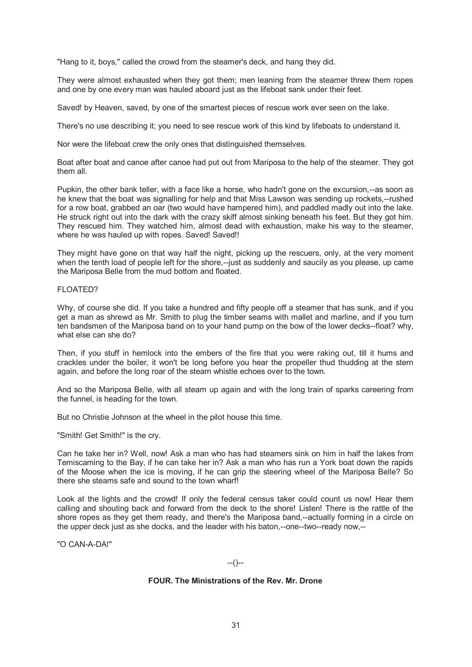"Hang to it, boys," called the crowd from the steamer's deck, and hang they did.

They were almost exhausted when they got them; men leaning from the steamer threw them ropes and one by one every man was hauled aboard just as the lifeboat sank under their feet.

Saved! by Heaven, saved, by one of the smartest pieces of rescue work ever seen on the lake.

There's no use describing it; you need to see rescue work of this kind by lifeboats to understand it.

Nor were the lifeboat crew the only ones that distinguished themselves.

Boat after boat and canoe after canoe had put out from Mariposa to the help of the steamer. They got them all.

Pupkin, the other bank teller, with a face like a horse, who hadn't gone on the excursion,--as soon as he knew that the boat was signalling for help and that Miss Lawson was sending up rockets,--rushed for a row boat, grabbed an oar (two would have hampered him), and paddled madly out into the lake. He struck right out into the dark with the crazy skiff almost sinking beneath his feet. But they got him. They rescued him. They watched him, almost dead with exhaustion, make his way to the steamer, where he was hauled up with ropes. Saved! Saved!!

They might have gone on that way half the night, picking up the rescuers, only, at the very moment when the tenth load of people left for the shore,--just as suddenly and saucily as you please, up came the Mariposa Belle from the mud bottom and floated.

### FLOATED?

Why, of course she did. If you take a hundred and fifty people off a steamer that has sunk, and if you get a man as shrewd as Mr. Smith to plug the timber seams with mallet and marline, and if you turn ten bandsmen of the Mariposa band on to your hand pump on the bow of the lower decks--float? why, what else can she do?

Then, if you stuff in hemlock into the embers of the fire that you were raking out, till it hums and crackles under the boiler, it won't be long before you hear the propeller thud thudding at the stern again, and before the long roar of the steam whistle echoes over to the town.

And so the Mariposa Belle, with all steam up again and with the long train of sparks careering from the funnel, is heading for the town.

But no Christie Johnson at the wheel in the pilot house this time.

"Smith! Get Smith!" is the cry.

Can he take her in? Well, now! Ask a man who has had steamers sink on him in half the lakes from Temiscaming to the Bay, if he can take her in? Ask a man who has run a York boat down the rapids of the Moose when the ice is moving, if he can grip the steering wheel of the Mariposa Belle? So there she steams safe and sound to the town wharf!

Look at the lights and the crowd! If only the federal census taker could count us now! Hear them calling and shouting back and forward from the deck to the shore! Listen! There is the rattle of the shore ropes as they get them ready, and there's the Mariposa band,--actually forming in a circle on the upper deck just as she docks, and the leader with his baton,--one--two--ready now,--

"O CAN-A-DA!"

#### $-(-)$

#### **FOUR. The Ministrations of the Rev. Mr. Drone**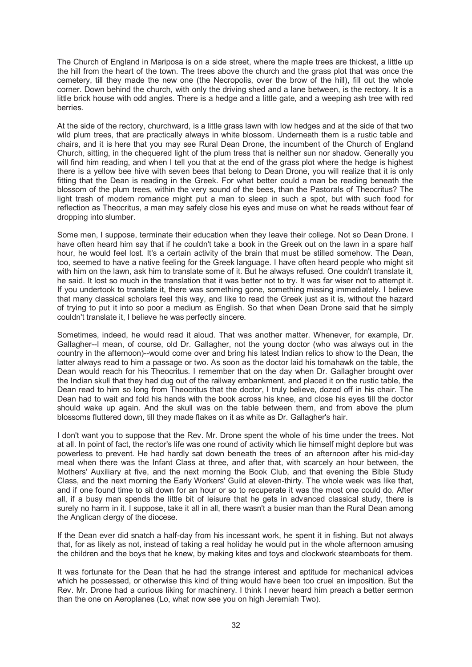The Church of England in Mariposa is on a side street, where the maple trees are thickest, a little up the hill from the heart of the town. The trees above the church and the grass plot that was once the cemetery, till they made the new one (the Necropolis, over the brow of the hill), fill out the whole corner. Down behind the church, with only the driving shed and a lane between, is the rectory. It is a little brick house with odd angles. There is a hedge and a little gate, and a weeping ash tree with red berries.

At the side of the rectory, churchward, is a little grass lawn with low hedges and at the side of that two wild plum trees, that are practically always in white blossom. Underneath them is a rustic table and chairs, and it is here that you may see Rural Dean Drone, the incumbent of the Church of England Church, sitting, in the chequered light of the plum tress that is neither sun nor shadow. Generally you will find him reading, and when I tell you that at the end of the grass plot where the hedge is highest there is a yellow bee hive with seven bees that belong to Dean Drone, you will realize that it is only fitting that the Dean is reading in the Greek. For what better could a man be reading beneath the blossom of the plum trees, within the very sound of the bees, than the Pastorals of Theocritus? The light trash of modern romance might put a man to sleep in such a spot, but with such food for reflection as Theocritus, a man may safely close his eyes and muse on what he reads without fear of dropping into slumber.

Some men, I suppose, terminate their education when they leave their college. Not so Dean Drone. I have often heard him say that if he couldn't take a book in the Greek out on the lawn in a spare half hour, he would feel lost. It's a certain activity of the brain that must be stilled somehow. The Dean, too, seemed to have a native feeling for the Greek language. I have often heard people who might sit with him on the lawn, ask him to translate some of it. But he always refused. One couldn't translate it, he said. It lost so much in the translation that it was better not to try. It was far wiser not to attempt it. If you undertook to translate it, there was something gone, something missing immediately. I believe that many classical scholars feel this way, and like to read the Greek just as it is, without the hazard of trying to put it into so poor a medium as English. So that when Dean Drone said that he simply couldn't translate it, I believe he was perfectly sincere.

Sometimes, indeed, he would read it aloud. That was another matter. Whenever, for example, Dr. Gallagher--I mean, of course, old Dr. Gallagher, not the young doctor (who was always out in the country in the afternoon)--would come over and bring his latest Indian relics to show to the Dean, the latter always read to him a passage or two. As soon as the doctor laid his tomahawk on the table, the Dean would reach for his Theocritus. I remember that on the day when Dr. Gallagher brought over the Indian skull that they had dug out of the railway embankment, and placed it on the rustic table, the Dean read to him so long from Theocritus that the doctor, I truly believe, dozed off in his chair. The Dean had to wait and fold his hands with the book across his knee, and close his eyes till the doctor should wake up again. And the skull was on the table between them, and from above the plum blossoms fluttered down, till they made flakes on it as white as Dr. Gallagher's hair.

I don't want you to suppose that the Rev. Mr. Drone spent the whole of his time under the trees. Not at all. In point of fact, the rector's life was one round of activity which lie himself might deplore but was powerless to prevent. He had hardly sat down beneath the trees of an afternoon after his mid-day meal when there was the Infant Class at three, and after that, with scarcely an hour between, the Mothers' Auxiliary at five, and the next morning the Book Club, and that evening the Bible Study Class, and the next morning the Early Workers' Guild at eleven-thirty. The whole week was like that, and if one found time to sit down for an hour or so to recuperate it was the most one could do. After all, if a busy man spends the little bit of leisure that he gets in advanced classical study, there is surely no harm in it. I suppose, take it all in all, there wasn't a busier man than the Rural Dean among the Anglican clergy of the diocese.

If the Dean ever did snatch a half-day from his incessant work, he spent it in fishing. But not always that, for as likely as not, instead of taking a real holiday he would put in the whole afternoon amusing the children and the boys that he knew, by making kites and toys and clockwork steamboats for them.

It was fortunate for the Dean that he had the strange interest and aptitude for mechanical advices which he possessed, or otherwise this kind of thing would have been too cruel an imposition. But the Rev. Mr. Drone had a curious liking for machinery. I think I never heard him preach a better sermon than the one on Aeroplanes (Lo, what now see you on high Jeremiah Two).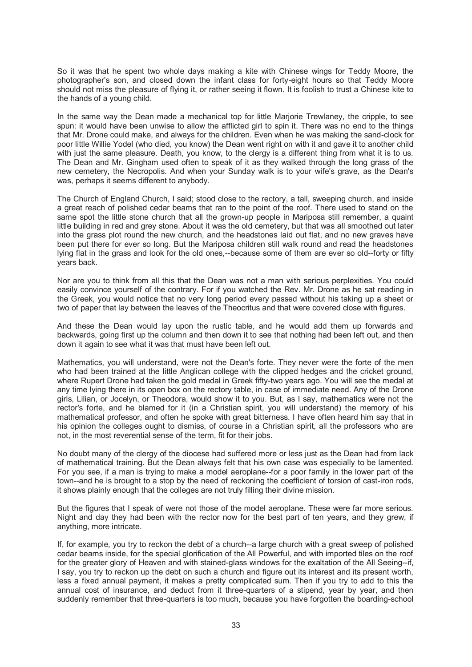So it was that he spent two whole days making a kite with Chinese wings for Teddy Moore, the photographer's son, and closed down the infant class for forty-eight hours so that Teddy Moore should not miss the pleasure of flying it, or rather seeing it flown. It is foolish to trust a Chinese kite to the hands of a young child.

In the same way the Dean made a mechanical top for little Marjorie Trewlaney, the cripple, to see spun: it would have been unwise to allow the afflicted girl to spin it. There was no end to the things that Mr. Drone could make, and always for the children. Even when he was making the sand-clock for poor little Willie Yodel (who died, you know) the Dean went right on with it and gave it to another child with just the same pleasure. Death, you know, to the clergy is a different thing from what it is to us. The Dean and Mr. Gingham used often to speak of it as they walked through the long grass of the new cemetery, the Necropolis. And when your Sunday walk is to your wife's grave, as the Dean's was, perhaps it seems different to anybody.

The Church of England Church, I said; stood close to the rectory, a tall, sweeping church, and inside a great reach of polished cedar beams that ran to the point of the roof. There used to stand on the same spot the little stone church that all the grown-up people in Mariposa still remember, a quaint little building in red and grey stone. About it was the old cemetery, but that was all smoothed out later into the grass plot round the new church, and the headstones laid out flat, and no new graves have been put there for ever so long. But the Mariposa children still walk round and read the headstones lying flat in the grass and look for the old ones,--because some of them are ever so old--forty or fifty years back.

Nor are you to think from all this that the Dean was not a man with serious perplexities. You could easily convince yourself of the contrary. For if you watched the Rev. Mr. Drone as he sat reading in the Greek, you would notice that no very long period every passed without his taking up a sheet or two of paper that lay between the leaves of the Theocritus and that were covered close with figures.

And these the Dean would lay upon the rustic table, and he would add them up forwards and backwards, going first up the column and then down it to see that nothing had been left out, and then down it again to see what it was that must have been left out.

Mathematics, you will understand, were not the Dean's forte. They never were the forte of the men who had been trained at the little Anglican college with the clipped hedges and the cricket ground, where Rupert Drone had taken the gold medal in Greek fifty-two years ago. You will see the medal at any time lying there in its open box on the rectory table, in case of immediate need. Any of the Drone girls, Lilian, or Jocelyn, or Theodora, would show it to you. But, as I say, mathematics were not the rector's forte, and he blamed for it (in a Christian spirit, you will understand) the memory of his mathematical professor, and often he spoke with great bitterness. I have often heard him say that in his opinion the colleges ought to dismiss, of course in a Christian spirit, all the professors who are not, in the most reverential sense of the term, fit for their jobs.

No doubt many of the clergy of the diocese had suffered more or less just as the Dean had from lack of mathematical training. But the Dean always felt that his own case was especially to be lamented. For you see, if a man is trying to make a model aeroplane--for a poor family in the lower part of the town--and he is brought to a stop by the need of reckoning the coefficient of torsion of cast-iron rods, it shows plainly enough that the colleges are not truly filling their divine mission.

But the figures that I speak of were not those of the model aeroplane. These were far more serious. Night and day they had been with the rector now for the best part of ten years, and they grew, if anything, more intricate.

If, for example, you try to reckon the debt of a church--a large church with a great sweep of polished cedar beams inside, for the special glorification of the All Powerful, and with imported tiles on the roof for the greater glory of Heaven and with stained-glass windows for the exaltation of the All Seeing--if, I say, you try to reckon up the debt on such a church and figure out its interest and its present worth, less a fixed annual payment, it makes a pretty complicated sum. Then if you try to add to this the annual cost of insurance, and deduct from it three-quarters of a stipend, year by year, and then suddenly remember that three-quarters is too much, because you have forgotten the boarding-school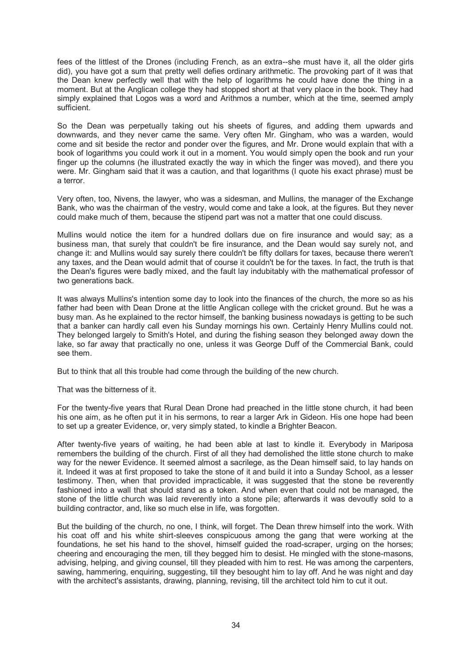fees of the littlest of the Drones (including French, as an extra--she must have it, all the older girls did), you have got a sum that pretty well defies ordinary arithmetic. The provoking part of it was that the Dean knew perfectly well that with the help of logarithms he could have done the thing in a moment. But at the Anglican college they had stopped short at that very place in the book. They had simply explained that Logos was a word and Arithmos a number, which at the time, seemed amply sufficient.

So the Dean was perpetually taking out his sheets of figures, and adding them upwards and downwards, and they never came the same. Very often Mr. Gingham, who was a warden, would come and sit beside the rector and ponder over the figures, and Mr. Drone would explain that with a book of logarithms you could work it out in a moment. You would simply open the book and run your finger up the columns (he illustrated exactly the way in which the finger was moved), and there you were. Mr. Gingham said that it was a caution, and that logarithms (I quote his exact phrase) must be a terror.

Very often, too, Nivens, the lawyer, who was a sidesman, and Mullins, the manager of the Exchange Bank, who was the chairman of the vestry, would come and take a look, at the figures. But they never could make much of them, because the stipend part was not a matter that one could discuss.

Mullins would notice the item for a hundred dollars due on fire insurance and would say; as a business man, that surely that couldn't be fire insurance, and the Dean would say surely not, and change it: and Mullins would say surely there couldn't be fifty dollars for taxes, because there weren't any taxes, and the Dean would admit that of course it couldn't be for the taxes. In fact, the truth is that the Dean's figures were badly mixed, and the fault lay indubitably with the mathematical professor of two generations back.

It was always Mullins's intention some day to look into the finances of the church, the more so as his father had been with Dean Drone at the little Anglican college with the cricket ground. But he was a busy man. As he explained to the rector himself, the banking business nowadays is getting to be such that a banker can hardly call even his Sunday mornings his own. Certainly Henry Mullins could not. They belonged largely to Smith's Hotel, and during the fishing season they belonged away down the lake, so far away that practically no one, unless it was George Duff of the Commercial Bank, could see them.

But to think that all this trouble had come through the building of the new church.

That was the bitterness of it.

For the twenty-five years that Rural Dean Drone had preached in the little stone church, it had been his one aim, as he often put it in his sermons, to rear a larger Ark in Gideon. His one hope had been to set up a greater Evidence, or, very simply stated, to kindle a Brighter Beacon.

After twenty-five years of waiting, he had been able at last to kindle it. Everybody in Mariposa remembers the building of the church. First of all they had demolished the little stone church to make way for the newer Evidence. It seemed almost a sacrilege, as the Dean himself said, to lay hands on it. Indeed it was at first proposed to take the stone of it and build it into a Sunday School, as a lesser testimony. Then, when that provided impracticable, it was suggested that the stone be reverently fashioned into a wall that should stand as a token. And when even that could not be managed, the stone of the little church was laid reverently into a stone pile; afterwards it was devoutly sold to a building contractor, and, like so much else in life, was forgotten.

But the building of the church, no one, I think, will forget. The Dean threw himself into the work. With his coat off and his white shirt-sleeves conspicuous among the gang that were working at the foundations, he set his hand to the shovel, himself guided the road-scraper, urging on the horses; cheering and encouraging the men, till they begged him to desist. He mingled with the stone-masons, advising, helping, and giving counsel, till they pleaded with him to rest. He was among the carpenters, sawing, hammering, enquiring, suggesting, till they besought him to lay off. And he was night and day with the architect's assistants, drawing, planning, revising, till the architect told him to cut it out.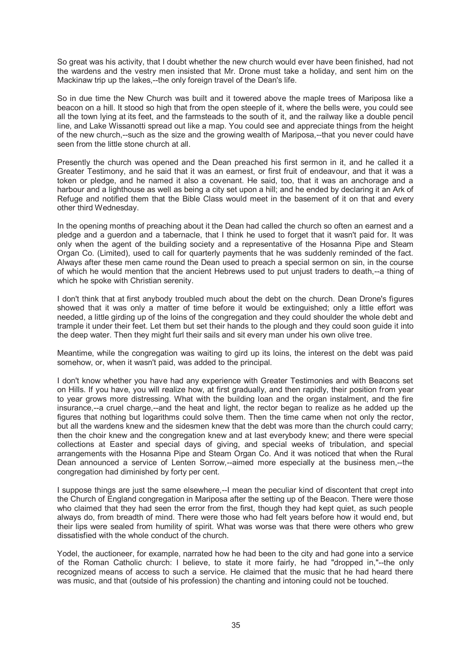So great was his activity, that I doubt whether the new church would ever have been finished, had not the wardens and the vestry men insisted that Mr. Drone must take a holiday, and sent him on the Mackinaw trip up the lakes,--the only foreign travel of the Dean's life.

So in due time the New Church was built and it towered above the maple trees of Mariposa like a beacon on a hill. It stood so high that from the open steeple of it, where the bells were, you could see all the town lying at its feet, and the farmsteads to the south of it, and the railway like a double pencil line, and Lake Wissanotti spread out like a map. You could see and appreciate things from the height of the new church,--such as the size and the growing wealth of Mariposa,--that you never could have seen from the little stone church at all.

Presently the church was opened and the Dean preached his first sermon in it, and he called it a Greater Testimony, and he said that it was an earnest, or first fruit of endeavour, and that it was a token or pledge, and he named it also a covenant. He said, too, that it was an anchorage and a harbour and a lighthouse as well as being a city set upon a hill; and he ended by declaring it an Ark of Refuge and notified them that the Bible Class would meet in the basement of it on that and every other third Wednesday.

In the opening months of preaching about it the Dean had called the church so often an earnest and a pledge and a guerdon and a tabernacle, that I think he used to forget that it wasn't paid for. It was only when the agent of the building society and a representative of the Hosanna Pipe and Steam Organ Co. (Limited), used to call for quarterly payments that he was suddenly reminded of the fact. Always after these men came round the Dean used to preach a special sermon on sin, in the course of which he would mention that the ancient Hebrews used to put unjust traders to death,--a thing of which he spoke with Christian serenity.

I don't think that at first anybody troubled much about the debt on the church. Dean Drone's figures showed that it was only a matter of time before it would be extinguished; only a little effort was needed, a little girding up of the loins of the congregation and they could shoulder the whole debt and trample it under their feet. Let them but set their hands to the plough and they could soon guide it into the deep water. Then they might furl their sails and sit every man under his own olive tree.

Meantime, while the congregation was waiting to gird up its loins, the interest on the debt was paid somehow, or, when it wasn't paid, was added to the principal.

I don't know whether you have had any experience with Greater Testimonies and with Beacons set on Hills. If you have, you will realize how, at first gradually, and then rapidly, their position from year to year grows more distressing. What with the building loan and the organ instalment, and the fire insurance,--a cruel charge,--and the heat and light, the rector began to realize as he added up the figures that nothing but logarithms could solve them. Then the time came when not only the rector, but all the wardens knew and the sidesmen knew that the debt was more than the church could carry; then the choir knew and the congregation knew and at last everybody knew; and there were special collections at Easter and special days of giving, and special weeks of tribulation, and special arrangements with the Hosanna Pipe and Steam Organ Co. And it was noticed that when the Rural Dean announced a service of Lenten Sorrow,--aimed more especially at the business men,--the congregation had diminished by forty per cent.

I suppose things are just the same elsewhere,--I mean the peculiar kind of discontent that crept into the Church of England congregation in Mariposa after the setting up of the Beacon. There were those who claimed that they had seen the error from the first, though they had kept quiet, as such people always do, from breadth of mind. There were those who had felt years before how it would end, but their lips were sealed from humility of spirit. What was worse was that there were others who grew dissatisfied with the whole conduct of the church.

Yodel, the auctioneer, for example, narrated how he had been to the city and had gone into a service of the Roman Catholic church: I believe, to state it more fairly, he had "dropped in,"--the only recognized means of access to such a service. He claimed that the music that he had heard there was music, and that (outside of his profession) the chanting and intoning could not be touched.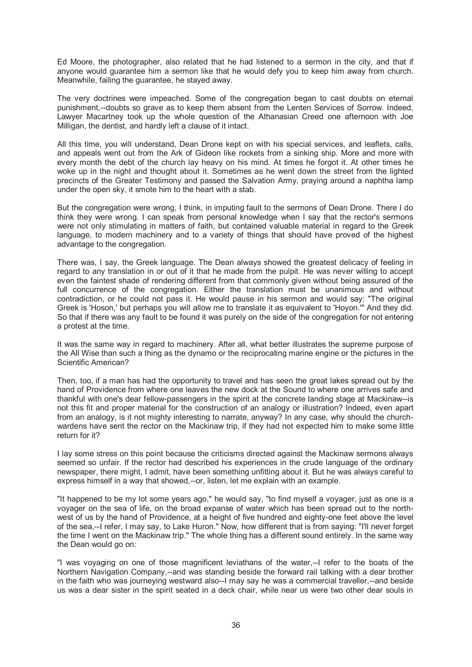Ed Moore, the photographer, also related that he had listened to a sermon in the city, and that if anyone would guarantee him a sermon like that he would defy you to keep him away from church. Meanwhile, failing the guarantee, he stayed away.

The very doctrines were impeached. Some of the congregation began to cast doubts on eternal punishment,--doubts so grave as to keep them absent from the Lenten Services of Sorrow. Indeed, Lawyer Macartney took up the whole question of the Athanasian Creed one afternoon with Joe Milligan, the dentist, and hardly left a clause of it intact.

All this time, you will understand, Dean Drone kept on with his special services, and leaflets, calls, and appeals went out from the Ark of Gideon like rockets from a sinking ship. More and more with every month the debt of the church lay heavy on his mind. At times he forgot it. At other times he woke up in the night and thought about it. Sometimes as he went down the street from the lighted precincts of the Greater Testimony and passed the Salvation Army, praying around a naphtha lamp under the open sky, it smote him to the heart with a stab.

But the congregation were wrong, I think, in imputing fault to the sermons of Dean Drone. There I do think they were wrong. I can speak from personal knowledge when I say that the rector's sermons were not only stimulating in matters of faith, but contained valuable material in regard to the Greek language, to modern machinery and to a variety of things that should have proved of the highest advantage to the congregation.

There was, I say, the Greek language. The Dean always showed the greatest delicacy of feeling in regard to any translation in or out of it that he made from the pulpit. He was never willing to accept even the faintest shade of rendering different from that commonly given without being assured of the full concurrence of the congregation. Either the translation must be unanimous and without contradiction, or he could not pass it. He would pause in his sermon and would say: "The original Greek is 'Hoson,' but perhaps you will allow me to translate it as equivalent to 'Hoyon.'" And they did. So that if there was any fault to be found it was purely on the side of the congregation for not entering a protest at the time.

It was the same way in regard to machinery. After all, what better illustrates the supreme purpose of the All Wise than such a thing as the dynamo or the reciprocating marine engine or the pictures in the Scientific American?

Then, too, if a man has had the opportunity to travel and has seen the great lakes spread out by the hand of Providence from where one leaves the new dock at the Sound to where one arrives safe and thankful with one's dear fellow-passengers in the spirit at the concrete landing stage at Mackinaw--is not this fit and proper material for the construction of an analogy or illustration? Indeed, even apart from an analogy, is it not mighty interesting to narrate, anyway? In any case, why should the churchwardens have sent the rector on the Mackinaw trip, if they had not expected him to make some little return for it?

I lay some stress on this point because the criticisms directed against the Mackinaw sermons always seemed so unfair. If the rector had described his experiences in the crude language of the ordinary newspaper, there might, I admit, have been something unfitting about it. But he was always careful to express himself in a way that showed,--or, listen, let me explain with an example.

"It happened to be my lot some years ago," he would say, "to find myself a voyager, just as one is a voyager on the sea of life, on the broad expanse of water which has been spread out to the northwest of us by the hand of Providence, at a height of five hundred and eighty-one feet above the level of the sea,--I refer, I may say, to Lake Huron." Now, how different that is from saying: "I'll never forget the time I went on the Mackinaw trip." The whole thing has a different sound entirely. In the same way the Dean would go on:

"I was voyaging on one of those magnificent leviathans of the water,--I refer to the boats of the Northern Navigation Company,--and was standing beside the forward rail talking with a dear brother in the faith who was journeying westward also--I may say he was a commercial traveller,--and beside us was a dear sister in the spirit seated in a deck chair, while near us were two other dear souls in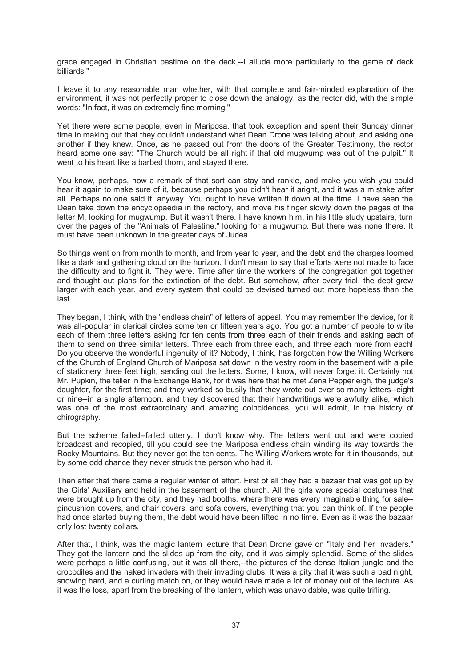grace engaged in Christian pastime on the deck,--I allude more particularly to the game of deck billiards."

I leave it to any reasonable man whether, with that complete and fair-minded explanation of the environment, it was not perfectly proper to close down the analogy, as the rector did, with the simple words: "In fact, it was an extremely fine morning."

Yet there were some people, even in Mariposa, that took exception and spent their Sunday dinner time in making out that they couldn't understand what Dean Drone was talking about, and asking one another if they knew. Once, as he passed out from the doors of the Greater Testimony, the rector heard some one say: "The Church would be all right if that old mugwump was out of the pulpit." It went to his heart like a barbed thorn, and stayed there.

You know, perhaps, how a remark of that sort can stay and rankle, and make you wish you could hear it again to make sure of it, because perhaps you didn't hear it aright, and it was a mistake after all. Perhaps no one said it, anyway. You ought to have written it down at the time. I have seen the Dean take down the encyclopaedia in the rectory, and move his finger slowly down the pages of the letter M, looking for mugwump. But it wasn't there. I have known him, in his little study upstairs, turn over the pages of the "Animals of Palestine," looking for a mugwump. But there was none there. It must have been unknown in the greater days of Judea.

So things went on from month to month, and from year to year, and the debt and the charges loomed like a dark and gathering cloud on the horizon. I don't mean to say that efforts were not made to face the difficulty and to fight it. They were. Time after time the workers of the congregation got together and thought out plans for the extinction of the debt. But somehow, after every trial, the debt grew larger with each year, and every system that could be devised turned out more hopeless than the last.

They began, I think, with the "endless chain" of letters of appeal. You may remember the device, for it was all-popular in clerical circles some ten or fifteen years ago. You got a number of people to write each of them three letters asking for ten cents from three each of their friends and asking each of them to send on three similar letters. Three each from three each, and three each more from each! Do you observe the wonderful ingenuity of it? Nobody, I think, has forgotten how the Willing Workers of the Church of England Church of Mariposa sat down in the vestry room in the basement with a pile of stationery three feet high, sending out the letters. Some, I know, will never forget it. Certainly not Mr. Pupkin, the teller in the Exchange Bank, for it was here that he met Zena Pepperleigh, the judge's daughter, for the first time; and they worked so busily that they wrote out ever so many letters--eight or nine--in a single afternoon, and they discovered that their handwritings were awfully alike, which was one of the most extraordinary and amazing coincidences, you will admit, in the history of chirography.

But the scheme failed--failed utterly. I don't know why. The letters went out and were copied broadcast and recopied, till you could see the Mariposa endless chain winding its way towards the Rocky Mountains. But they never got the ten cents. The Willing Workers wrote for it in thousands, but by some odd chance they never struck the person who had it.

Then after that there came a regular winter of effort. First of all they had a bazaar that was got up by the Girls' Auxiliary and held in the basement of the church. All the girls wore special costumes that were brought up from the city, and they had booths, where there was every imaginable thing for sale- pincushion covers, and chair covers, and sofa covers, everything that you can think of. If the people had once started buying them, the debt would have been lifted in no time. Even as it was the bazaar only lost twenty dollars.

After that, I think, was the magic lantern lecture that Dean Drone gave on "Italy and her Invaders." They got the lantern and the slides up from the city, and it was simply splendid. Some of the slides were perhaps a little confusing, but it was all there,--the pictures of the dense Italian jungle and the crocodiles and the naked invaders with their invading clubs. It was a pity that it was such a bad night, snowing hard, and a curling match on, or they would have made a lot of money out of the lecture. As it was the loss, apart from the breaking of the lantern, which was unavoidable, was quite trifling.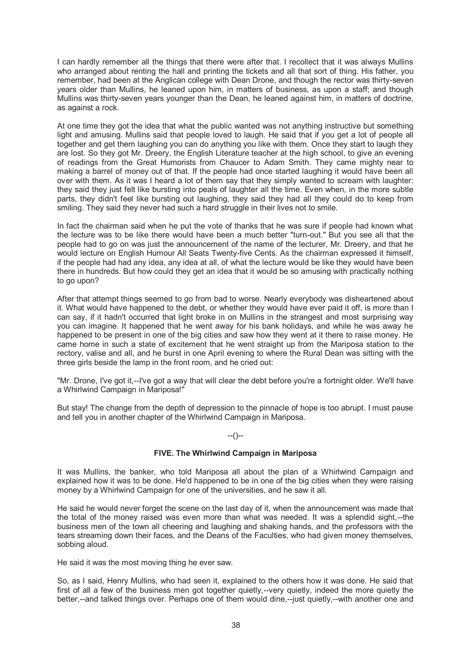I can hardly remember all the things that there were after that. I recollect that it was always Mullins who arranged about renting the hall and printing the tickets and all that sort of thing. His father, you remember, had been at the Anglican college with Dean Drone, and though the rector was thirty-seven years older than Mullins, he leaned upon him, in matters of business, as upon a staff; and though Mullins was thirty-seven years younger than the Dean, he leaned against him, in matters of doctrine, as against a rock.

At one time they got the idea that what the public wanted was not anything instructive but something light and amusing. Mullins said that people loved to laugh. He said that if you get a lot of people all together and get them laughing you can do anything you like with them. Once they start to laugh they are lost. So they got Mr. Dreery, the English Literature teacher at the high school, to give an evening of readings from the Great Humorists from Chaucer to Adam Smith. They came mighty near to making a barrel of money out of that. If the people had once started laughing it would have been all over with them. As it was I heard a lot of them say that they simply wanted to scream with laughter: they said they just felt like bursting into peals of laughter all the time. Even when, in the more subtle parts, they didn't feel like bursting out laughing, they said they had all they could do to keep from smiling. They said they never had such a hard struggle in their lives not to smile.

In fact the chairman said when he put the vote of thanks that he was sure if people had known what the lecture was to be like there would have been a much better "turn-out." But you see all that the people had to go on was just the announcement of the name of the lecturer, Mr. Dreery, and that he would lecture on English Humour All Seats Twenty-five Cents. As the chairman expressed it himself, if the people had had any idea, any idea at all, of what the lecture would be like they would have been there in hundreds. But how could they get an idea that it would be so amusing with practically nothing to go upon?

After that attempt things seemed to go from bad to worse. Nearly everybody was disheartened about it. What would have happened to the debt, or whether they would have ever paid it off, is more than I can say, if it hadn't occurred that light broke in on Mullins in the strangest and most surprising way you can imagine. It happened that he went away for his bank holidays, and while he was away he happened to be present in one of the big cities and saw how they went at it there to raise money. He came home in such a state of excitement that he went straight up from the Mariposa station to the rectory, valise and all, and he burst in one April evening to where the Rural Dean was sitting with the three girls beside the lamp in the front room, and he cried out:

"Mr. Drone, I've got it,--I've got a way that will clear the debt before you're a fortnight older. We'll have a Whirlwind Campaign in Mariposa!"

But stay! The change from the depth of depression to the pinnacle of hope is too abrupt. I must pause and tell you in another chapter of the Whirlwind Campaign in Mariposa.

## --()--

## **FIVE. The Whirlwind Campaign in Mariposa**

It was Mullins, the banker, who told Mariposa all about the plan of a Whirlwind Campaign and explained how it was to be done. He'd happened to be in one of the big cities when they were raising money by a Whirlwind Campaign for one of the universities, and he saw it all.

He said he would never forget the scene on the last day of it, when the announcement was made that the total of the money raised was even more than what was needed. It was a splendid sight,--the business men of the town all cheering and laughing and shaking hands, and the professors with the tears streaming down their faces, and the Deans of the Faculties, who had given money themselves, sobbing aloud.

He said it was the most moving thing he ever saw.

So, as I said, Henry Mullins, who had seen it, explained to the others how it was done. He said that first of all a few of the business men got together quietly,--very quietly, indeed the more quietly the better,--and talked things over. Perhaps one of them would dine,--just quietly,--with another one and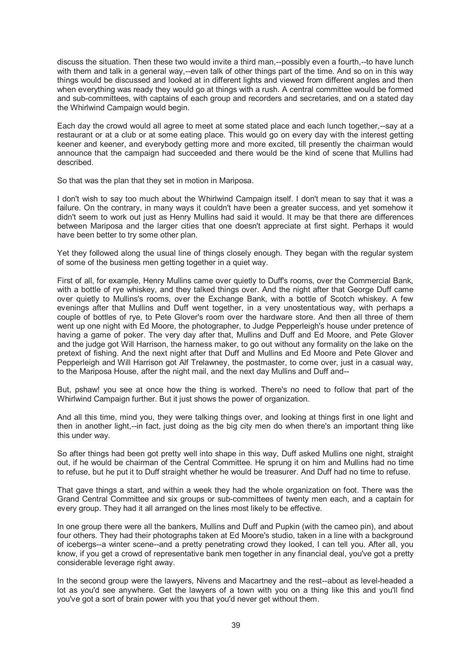discuss the situation. Then these two would invite a third man,--possibly even a fourth,--to have lunch with them and talk in a general way,--even talk of other things part of the time. And so on in this way things would be discussed and looked at in different lights and viewed from different angles and then when everything was ready they would go at things with a rush. A central committee would be formed and sub-committees, with captains of each group and recorders and secretaries, and on a stated day the Whirlwind Campaign would begin.

Each day the crowd would all agree to meet at some stated place and each lunch together,--say at a restaurant or at a club or at some eating place. This would go on every day with the interest getting keener and keener, and everybody getting more and more excited, till presently the chairman would announce that the campaign had succeeded and there would be the kind of scene that Mullins had described.

So that was the plan that they set in motion in Mariposa.

I don't wish to say too much about the Whirlwind Campaign itself. I don't mean to say that it was a failure. On the contrary, in many ways it couldn't have been a greater success, and yet somehow it didn't seem to work out just as Henry Mullins had said it would. It may be that there are differences between Mariposa and the larger cities that one doesn't appreciate at first sight. Perhaps it would have been better to try some other plan.

Yet they followed along the usual line of things closely enough. They began with the regular system of some of the business men getting together in a quiet way.

First of all, for example, Henry Mullins came over quietly to Duff's rooms, over the Commercial Bank, with a bottle of rye whiskey, and they talked things over. And the night after that George Duff came over quietly to Mullins's rooms, over the Exchange Bank, with a bottle of Scotch whiskey. A few evenings after that Mullins and Duff went together, in a very unostentatious way, with perhaps a couple of bottles of rye, to Pete Glover's room over the hardware store. And then all three of them went up one night with Ed Moore, the photographer, to Judge Pepperleigh's house under pretence of having a game of poker. The very day after that, Mullins and Duff and Ed Moore, and Pete Glover and the judge got Will Harrison, the harness maker, to go out without any formality on the lake on the pretext of fishing. And the next night after that Duff and Mullins and Ed Moore and Pete Glover and Pepperleigh and Will Harrison got Alf Trelawney, the postmaster, to come over, just in a casual way, to the Mariposa House, after the night mail, and the next day Mullins and Duff and--

But, pshaw! you see at once how the thing is worked. There's no need to follow that part of the Whirlwind Campaign further. But it just shows the power of organization.

And all this time, mind you, they were talking things over, and looking at things first in one light and then in another light,--in fact, just doing as the big city men do when there's an important thing like this under way.

So after things had been got pretty well into shape in this way, Duff asked Mullins one night, straight out, if he would be chairman of the Central Committee. He sprung it on him and Mullins had no time to refuse, but he put it to Duff straight whether he would be treasurer. And Duff had no time to refuse.

That gave things a start, and within a week they had the whole organization on foot. There was the Grand Central Committee and six groups or sub-committees of twenty men each, and a captain for every group. They had it all arranged on the lines most likely to be effective.

In one group there were all the bankers, Mullins and Duff and Pupkin (with the cameo pin), and about four others. They had their photographs taken at Ed Moore's studio, taken in a line with a background of icebergs--a winter scene--and a pretty penetrating crowd they looked, I can tell you. After all, you know, if you get a crowd of representative bank men together in any financial deal, you've got a pretty considerable leverage right away.

In the second group were the lawyers, Nivens and Macartney and the rest--about as level-headed a lot as you'd see anywhere. Get the lawyers of a town with you on a thing like this and you'll find you've got a sort of brain power with you that you'd never get without them.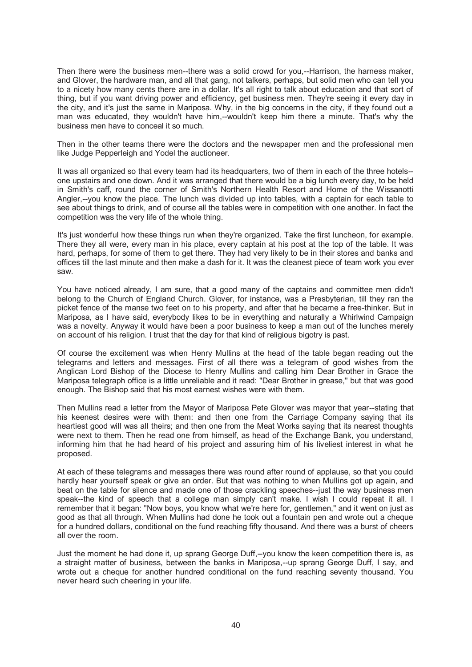Then there were the business men--there was a solid crowd for you,--Harrison, the harness maker, and Glover, the hardware man, and all that gang, not talkers, perhaps, but solid men who can tell you to a nicety how many cents there are in a dollar. It's all right to talk about education and that sort of thing, but if you want driving power and efficiency, get business men. They're seeing it every day in the city, and it's just the same in Mariposa. Why, in the big concerns in the city, if they found out a man was educated, they wouldn't have him,--wouldn't keep him there a minute. That's why the business men have to conceal it so much.

Then in the other teams there were the doctors and the newspaper men and the professional men like Judge Pepperleigh and Yodel the auctioneer.

It was all organized so that every team had its headquarters, two of them in each of the three hotels- one upstairs and one down. And it was arranged that there would be a big lunch every day, to be held in Smith's caff, round the corner of Smith's Northern Health Resort and Home of the Wissanotti Angler,--you know the place. The lunch was divided up into tables, with a captain for each table to see about things to drink, and of course all the tables were in competition with one another. In fact the competition was the very life of the whole thing.

It's just wonderful how these things run when they're organized. Take the first luncheon, for example. There they all were, every man in his place, every captain at his post at the top of the table. It was hard, perhaps, for some of them to get there. They had very likely to be in their stores and banks and offices till the last minute and then make a dash for it. It was the cleanest piece of team work you ever saw.

You have noticed already, I am sure, that a good many of the captains and committee men didn't belong to the Church of England Church. Glover, for instance, was a Presbyterian, till they ran the picket fence of the manse two feet on to his property, and after that he became a free-thinker. But in Mariposa, as I have said, everybody likes to be in everything and naturally a Whirlwind Campaign was a novelty. Anyway it would have been a poor business to keep a man out of the lunches merely on account of his religion. I trust that the day for that kind of religious bigotry is past.

Of course the excitement was when Henry Mullins at the head of the table began reading out the telegrams and letters and messages. First of all there was a telegram of good wishes from the Anglican Lord Bishop of the Diocese to Henry Mullins and calling him Dear Brother in Grace the Mariposa telegraph office is a little unreliable and it read: "Dear Brother in grease," but that was good enough. The Bishop said that his most earnest wishes were with them.

Then Mullins read a letter from the Mayor of Mariposa Pete Glover was mayor that year--stating that his keenest desires were with them: and then one from the Carriage Company saying that its heartiest good will was all theirs; and then one from the Meat Works saying that its nearest thoughts were next to them. Then he read one from himself, as head of the Exchange Bank, you understand, informing him that he had heard of his project and assuring him of his liveliest interest in what he proposed.

At each of these telegrams and messages there was round after round of applause, so that you could hardly hear yourself speak or give an order. But that was nothing to when Mullins got up again, and beat on the table for silence and made one of those crackling speeches--just the way business men speak--the kind of speech that a college man simply can't make. I wish I could repeat it all. I remember that it began: "Now boys, you know what we're here for, gentlemen," and it went on just as good as that all through. When Mullins had done he took out a fountain pen and wrote out a cheque for a hundred dollars, conditional on the fund reaching fifty thousand. And there was a burst of cheers all over the room.

Just the moment he had done it, up sprang George Duff,--you know the keen competition there is, as a straight matter of business, between the banks in Mariposa,--up sprang George Duff, I say, and wrote out a cheque for another hundred conditional on the fund reaching seventy thousand. You never heard such cheering in your life.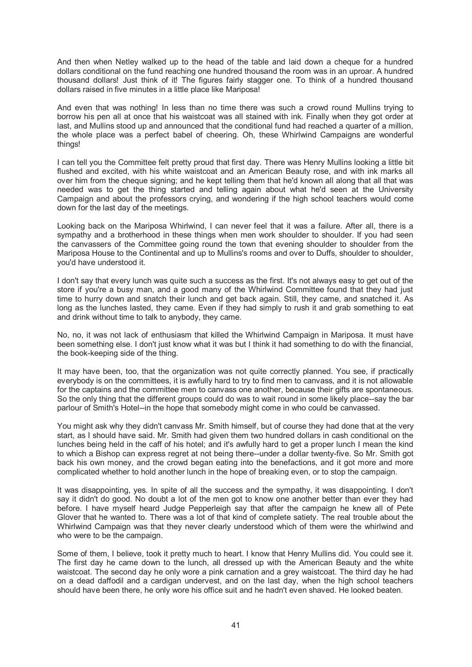And then when Netley walked up to the head of the table and laid down a cheque for a hundred dollars conditional on the fund reaching one hundred thousand the room was in an uproar. A hundred thousand dollars! Just think of it! The figures fairly stagger one. To think of a hundred thousand dollars raised in five minutes in a little place like Mariposa!

And even that was nothing! In less than no time there was such a crowd round Mullins trying to borrow his pen all at once that his waistcoat was all stained with ink. Finally when they got order at last, and Mullins stood up and announced that the conditional fund had reached a quarter of a million, the whole place was a perfect babel of cheering. Oh, these Whirlwind Campaigns are wonderful things!

I can tell you the Committee felt pretty proud that first day. There was Henry Mullins looking a little bit flushed and excited, with his white waistcoat and an American Beauty rose, and with ink marks all over him from the cheque signing; and he kept telling them that he'd known all along that all that was needed was to get the thing started and telling again about what he'd seen at the University Campaign and about the professors crying, and wondering if the high school teachers would come down for the last day of the meetings.

Looking back on the Mariposa Whirlwind, I can never feel that it was a failure. After all, there is a sympathy and a brotherhood in these things when men work shoulder to shoulder. If you had seen the canvassers of the Committee going round the town that evening shoulder to shoulder from the Mariposa House to the Continental and up to Mullins's rooms and over to Duffs, shoulder to shoulder, you'd have understood it.

I don't say that every lunch was quite such a success as the first. It's not always easy to get out of the store if you're a busy man, and a good many of the Whirlwind Committee found that they had just time to hurry down and snatch their lunch and get back again. Still, they came, and snatched it. As long as the lunches lasted, they came. Even if they had simply to rush it and grab something to eat and drink without time to talk to anybody, they came.

No, no, it was not lack of enthusiasm that killed the Whirlwind Campaign in Mariposa. It must have been something else. I don't just know what it was but I think it had something to do with the financial, the book-keeping side of the thing.

It may have been, too, that the organization was not quite correctly planned. You see, if practically everybody is on the committees, it is awfully hard to try to find men to canvass, and it is not allowable for the captains and the committee men to canvass one another, because their gifts are spontaneous. So the only thing that the different groups could do was to wait round in some likely place--say the bar parlour of Smith's Hotel--in the hope that somebody might come in who could be canvassed.

You might ask why they didn't canvass Mr. Smith himself, but of course they had done that at the very start, as I should have said. Mr. Smith had given them two hundred dollars in cash conditional on the lunches being held in the caff of his hotel; and it's awfully hard to get a proper lunch I mean the kind to which a Bishop can express regret at not being there--under a dollar twenty-five. So Mr. Smith got back his own money, and the crowd began eating into the benefactions, and it got more and more complicated whether to hold another lunch in the hope of breaking even, or to stop the campaign.

It was disappointing, yes. In spite of all the success and the sympathy, it was disappointing. I don't say it didn't do good. No doubt a lot of the men got to know one another better than ever they had before. I have myself heard Judge Pepperleigh say that after the campaign he knew all of Pete Glover that he wanted to. There was a lot of that kind of complete satiety. The real trouble about the Whirlwind Campaign was that they never clearly understood which of them were the whirlwind and who were to be the campaign.

Some of them, I believe, took it pretty much to heart. I know that Henry Mullins did. You could see it. The first day he came down to the lunch, all dressed up with the American Beauty and the white waistcoat. The second day he only wore a pink carnation and a grey waistcoat. The third day he had on a dead daffodil and a cardigan undervest, and on the last day, when the high school teachers should have been there, he only wore his office suit and he hadn't even shaved. He looked beaten.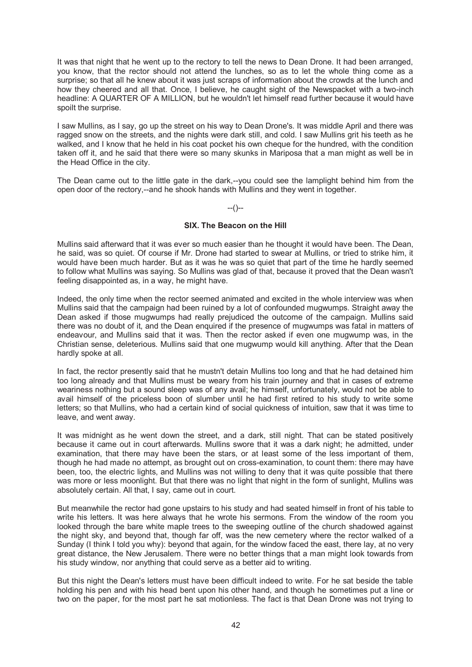It was that night that he went up to the rectory to tell the news to Dean Drone. It had been arranged, you know, that the rector should not attend the lunches, so as to let the whole thing come as a surprise; so that all he knew about it was just scraps of information about the crowds at the lunch and how they cheered and all that. Once, I believe, he caught sight of the Newspacket with a two-inch headline: A QUARTER OF A MILLION, but he wouldn't let himself read further because it would have spoilt the surprise.

I saw Mullins, as I say, go up the street on his way to Dean Drone's. It was middle April and there was ragged snow on the streets, and the nights were dark still, and cold. I saw Mullins grit his teeth as he walked, and I know that he held in his coat pocket his own cheque for the hundred, with the condition taken off it, and he said that there were so many skunks in Mariposa that a man might as well be in the Head Office in the city.

The Dean came out to the little gate in the dark,--you could see the lamplight behind him from the open door of the rectory,--and he shook hands with Mullins and they went in together.

# $-(-)$

### **SIX. The Beacon on the Hill**

Mullins said afterward that it was ever so much easier than he thought it would have been. The Dean, he said, was so quiet. Of course if Mr. Drone had started to swear at Mullins, or tried to strike him, it would have been much harder. But as it was he was so quiet that part of the time he hardly seemed to follow what Mullins was saying. So Mullins was glad of that, because it proved that the Dean wasn't feeling disappointed as, in a way, he might have.

Indeed, the only time when the rector seemed animated and excited in the whole interview was when Mullins said that the campaign had been ruined by a lot of confounded mugwumps. Straight away the Dean asked if those mugwumps had really prejudiced the outcome of the campaign. Mullins said there was no doubt of it, and the Dean enquired if the presence of mugwumps was fatal in matters of endeavour, and Mullins said that it was. Then the rector asked if even one mugwump was, in the Christian sense, deleterious. Mullins said that one mugwump would kill anything. After that the Dean hardly spoke at all.

In fact, the rector presently said that he mustn't detain Mullins too long and that he had detained him too long already and that Mullins must be weary from his train journey and that in cases of extreme weariness nothing but a sound sleep was of any avail; he himself, unfortunately, would not be able to avail himself of the priceless boon of slumber until he had first retired to his study to write some letters; so that Mullins, who had a certain kind of social quickness of intuition, saw that it was time to leave, and went away.

It was midnight as he went down the street, and a dark, still night. That can be stated positively because it came out in court afterwards. Mullins swore that it was a dark night; he admitted, under examination, that there may have been the stars, or at least some of the less important of them, though he had made no attempt, as brought out on cross-examination, to count them: there may have been, too, the electric lights, and Mullins was not willing to deny that it was quite possible that there was more or less moonlight. But that there was no light that night in the form of sunlight, Mullins was absolutely certain. All that, I say, came out in court.

But meanwhile the rector had gone upstairs to his study and had seated himself in front of his table to write his letters. It was here always that he wrote his sermons. From the window of the room you looked through the bare white maple trees to the sweeping outline of the church shadowed against the night sky, and beyond that, though far off, was the new cemetery where the rector walked of a Sunday (I think I told you why): beyond that again, for the window faced the east, there lay, at no very great distance, the New Jerusalem. There were no better things that a man might look towards from his study window, nor anything that could serve as a better aid to writing.

But this night the Dean's letters must have been difficult indeed to write. For he sat beside the table holding his pen and with his head bent upon his other hand, and though he sometimes put a line or two on the paper, for the most part he sat motionless. The fact is that Dean Drone was not trying to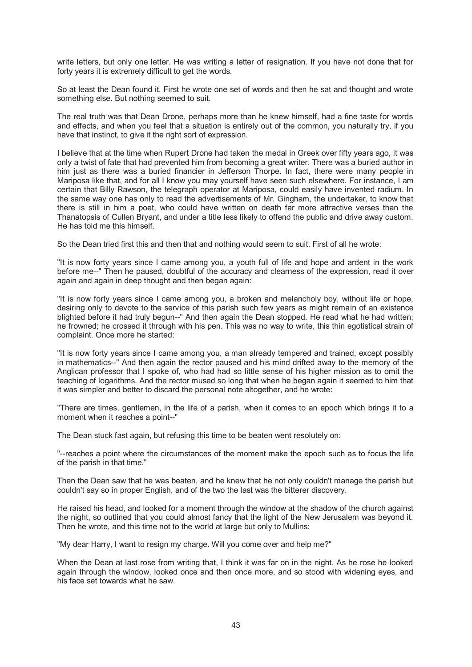write letters, but only one letter. He was writing a letter of resignation. If you have not done that for forty years it is extremely difficult to get the words.

So at least the Dean found it. First he wrote one set of words and then he sat and thought and wrote something else. But nothing seemed to suit.

The real truth was that Dean Drone, perhaps more than he knew himself, had a fine taste for words and effects, and when you feel that a situation is entirely out of the common, you naturally try, if you have that instinct, to give it the right sort of expression.

I believe that at the time when Rupert Drone had taken the medal in Greek over fifty years ago, it was only a twist of fate that had prevented him from becoming a great writer. There was a buried author in him just as there was a buried financier in Jefferson Thorpe. In fact, there were many people in Mariposa like that, and for all I know you may yourself have seen such elsewhere. For instance, I am certain that Billy Rawson, the telegraph operator at Mariposa, could easily have invented radium. In the same way one has only to read the advertisements of Mr. Gingham, the undertaker, to know that there is still in him a poet, who could have written on death far more attractive verses than the Thanatopsis of Cullen Bryant, and under a title less likely to offend the public and drive away custom. He has told me this himself.

So the Dean tried first this and then that and nothing would seem to suit. First of all he wrote:

"It is now forty years since I came among you, a youth full of life and hope and ardent in the work before me--" Then he paused, doubtful of the accuracy and clearness of the expression, read it over again and again in deep thought and then began again:

"It is now forty years since I came among you, a broken and melancholy boy, without life or hope, desiring only to devote to the service of this parish such few years as might remain of an existence blighted before it had truly begun--" And then again the Dean stopped. He read what he had written; he frowned; he crossed it through with his pen. This was no way to write, this thin egotistical strain of complaint. Once more he started:

"It is now forty years since I came among you, a man already tempered and trained, except possibly in mathematics--" And then again the rector paused and his mind drifted away to the memory of the Anglican professor that I spoke of, who had had so little sense of his higher mission as to omit the teaching of logarithms. And the rector mused so long that when he began again it seemed to him that it was simpler and better to discard the personal note altogether, and he wrote:

"There are times, gentlemen, in the life of a parish, when it comes to an epoch which brings it to a moment when it reaches a point--"

The Dean stuck fast again, but refusing this time to be beaten went resolutely on:

"--reaches a point where the circumstances of the moment make the epoch such as to focus the life of the parish in that time."

Then the Dean saw that he was beaten, and he knew that he not only couldn't manage the parish but couldn't say so in proper English, and of the two the last was the bitterer discovery.

He raised his head, and looked for a moment through the window at the shadow of the church against the night, so outlined that you could almost fancy that the light of the New Jerusalem was beyond it. Then he wrote, and this time not to the world at large but only to Mullins:

"My dear Harry, I want to resign my charge. Will you come over and help me?"

When the Dean at last rose from writing that, I think it was far on in the night. As he rose he looked again through the window, looked once and then once more, and so stood with widening eyes, and his face set towards what he saw.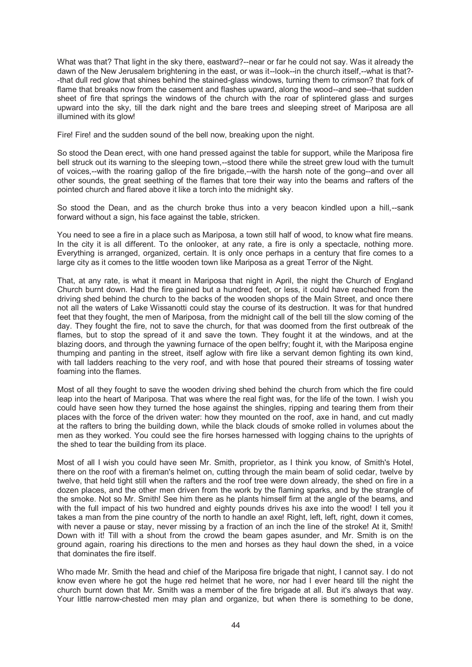What was that? That light in the sky there, eastward?--near or far he could not say. Was it already the dawn of the New Jerusalem brightening in the east, or was it--look--in the church itself,--what is that?--that dull red glow that shines behind the stained-glass windows, turning them to crimson? that fork of flame that breaks now from the casement and flashes upward, along the wood--and see--that sudden sheet of fire that springs the windows of the church with the roar of splintered glass and surges upward into the sky, till the dark night and the bare trees and sleeping street of Mariposa are all illumined with its glow!

Fire! Fire! and the sudden sound of the bell now, breaking upon the night.

So stood the Dean erect, with one hand pressed against the table for support, while the Mariposa fire bell struck out its warning to the sleeping town,--stood there while the street grew loud with the tumult of voices,--with the roaring gallop of the fire brigade,--with the harsh note of the gong--and over all other sounds, the great seething of the flames that tore their way into the beams and rafters of the pointed church and flared above it like a torch into the midnight sky.

So stood the Dean, and as the church broke thus into a very beacon kindled upon a hill,--sank forward without a sign, his face against the table, stricken.

You need to see a fire in a place such as Mariposa, a town still half of wood, to know what fire means. In the city it is all different. To the onlooker, at any rate, a fire is only a spectacle, nothing more. Everything is arranged, organized, certain. It is only once perhaps in a century that fire comes to a large city as it comes to the little wooden town like Mariposa as a great Terror of the Night.

That, at any rate, is what it meant in Mariposa that night in April, the night the Church of England Church burnt down. Had the fire gained but a hundred feet, or less, it could have reached from the driving shed behind the church to the backs of the wooden shops of the Main Street, and once there not all the waters of Lake Wissanotti could stay the course of its destruction. It was for that hundred feet that they fought, the men of Mariposa, from the midnight call of the bell till the slow coming of the day. They fought the fire, not to save the church, for that was doomed from the first outbreak of the flames, but to stop the spread of it and save the town. They fought it at the windows, and at the blazing doors, and through the yawning furnace of the open belfry; fought it, with the Mariposa engine thumping and panting in the street, itself aglow with fire like a servant demon fighting its own kind, with tall ladders reaching to the very roof, and with hose that poured their streams of tossing water foaming into the flames.

Most of all they fought to save the wooden driving shed behind the church from which the fire could leap into the heart of Mariposa. That was where the real fight was, for the life of the town. I wish you could have seen how they turned the hose against the shingles, ripping and tearing them from their places with the force of the driven water: how they mounted on the roof, axe in hand, and cut madly at the rafters to bring the building down, while the black clouds of smoke rolled in volumes about the men as they worked. You could see the fire horses harnessed with logging chains to the uprights of the shed to tear the building from its place.

Most of all I wish you could have seen Mr. Smith, proprietor, as I think you know, of Smith's Hotel, there on the roof with a fireman's helmet on, cutting through the main beam of solid cedar, twelve by twelve, that held tight still when the rafters and the roof tree were down already, the shed on fire in a dozen places, and the other men driven from the work by the flaming sparks, and by the strangle of the smoke. Not so Mr. Smith! See him there as he plants himself firm at the angle of the beams, and with the full impact of his two hundred and eighty pounds drives his axe into the wood! I tell you it takes a man from the pine country of the north to handle an axe! Right, left, left, right, down it comes, with never a pause or stay, never missing by a fraction of an inch the line of the stroke! At it, Smith! Down with it! Till with a shout from the crowd the beam gapes asunder, and Mr. Smith is on the ground again, roaring his directions to the men and horses as they haul down the shed, in a voice that dominates the fire itself.

Who made Mr. Smith the head and chief of the Mariposa fire brigade that night, I cannot say. I do not know even where he got the huge red helmet that he wore, nor had I ever heard till the night the church burnt down that Mr. Smith was a member of the fire brigade at all. But it's always that way. Your little narrow-chested men may plan and organize, but when there is something to be done,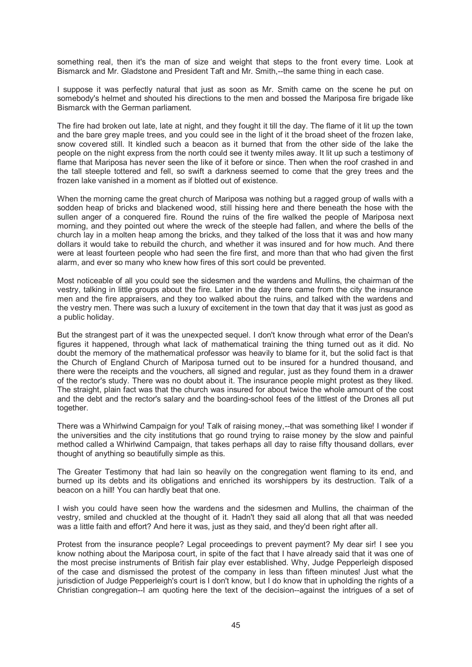something real, then it's the man of size and weight that steps to the front every time. Look at Bismarck and Mr. Gladstone and President Taft and Mr. Smith,--the same thing in each case.

I suppose it was perfectly natural that just as soon as Mr. Smith came on the scene he put on somebody's helmet and shouted his directions to the men and bossed the Mariposa fire brigade like Bismarck with the German parliament.

The fire had broken out late, late at night, and they fought it till the day. The flame of it lit up the town and the bare grey maple trees, and you could see in the light of it the broad sheet of the frozen lake, snow covered still. It kindled such a beacon as it burned that from the other side of the lake the people on the night express from the north could see it twenty miles away. It lit up such a testimony of flame that Mariposa has never seen the like of it before or since. Then when the roof crashed in and the tall steeple tottered and fell, so swift a darkness seemed to come that the grey trees and the frozen lake vanished in a moment as if blotted out of existence.

When the morning came the great church of Mariposa was nothing but a ragged group of walls with a sodden heap of bricks and blackened wood, still hissing here and there beneath the hose with the sullen anger of a conquered fire. Round the ruins of the fire walked the people of Mariposa next morning, and they pointed out where the wreck of the steeple had fallen, and where the bells of the church lay in a molten heap among the bricks, and they talked of the loss that it was and how many dollars it would take to rebuild the church, and whether it was insured and for how much. And there were at least fourteen people who had seen the fire first, and more than that who had given the first alarm, and ever so many who knew how fires of this sort could be prevented.

Most noticeable of all you could see the sidesmen and the wardens and Mullins, the chairman of the vestry, talking in little groups about the fire. Later in the day there came from the city the insurance men and the fire appraisers, and they too walked about the ruins, and talked with the wardens and the vestry men. There was such a luxury of excitement in the town that day that it was just as good as a public holiday.

But the strangest part of it was the unexpected sequel. I don't know through what error of the Dean's figures it happened, through what lack of mathematical training the thing turned out as it did. No doubt the memory of the mathematical professor was heavily to blame for it, but the solid fact is that the Church of England Church of Mariposa turned out to be insured for a hundred thousand, and there were the receipts and the vouchers, all signed and regular, just as they found them in a drawer of the rector's study. There was no doubt about it. The insurance people might protest as they liked. The straight, plain fact was that the church was insured for about twice the whole amount of the cost and the debt and the rector's salary and the boarding-school fees of the littlest of the Drones all put together.

There was a Whirlwind Campaign for you! Talk of raising money,--that was something like! I wonder if the universities and the city institutions that go round trying to raise money by the slow and painful method called a Whirlwind Campaign, that takes perhaps all day to raise fifty thousand dollars, ever thought of anything so beautifully simple as this.

The Greater Testimony that had lain so heavily on the congregation went flaming to its end, and burned up its debts and its obligations and enriched its worshippers by its destruction. Talk of a beacon on a hill! You can hardly beat that one.

I wish you could have seen how the wardens and the sidesmen and Mullins, the chairman of the vestry, smiled and chuckled at the thought of it. Hadn't they said all along that all that was needed was a little faith and effort? And here it was, just as they said, and they'd been right after all.

Protest from the insurance people? Legal proceedings to prevent payment? My dear sir! I see you know nothing about the Mariposa court, in spite of the fact that I have already said that it was one of the most precise instruments of British fair play ever established. Why, Judge Pepperleigh disposed of the case and dismissed the protest of the company in less than fifteen minutes! Just what the jurisdiction of Judge Pepperleigh's court is I don't know, but I do know that in upholding the rights of a Christian congregation--I am quoting here the text of the decision--against the intrigues of a set of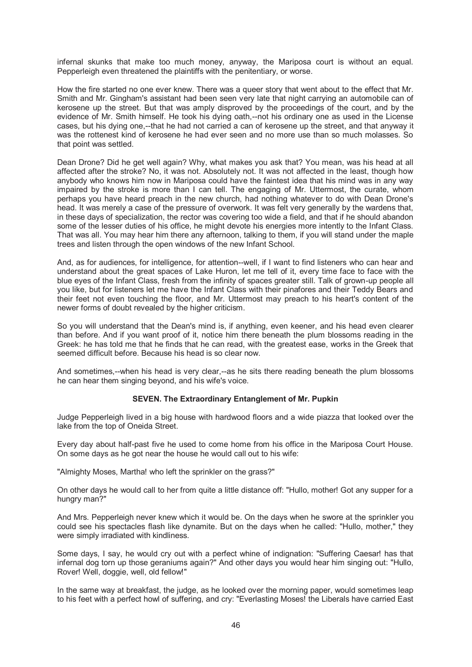infernal skunks that make too much money, anyway, the Mariposa court is without an equal. Pepperleigh even threatened the plaintiffs with the penitentiary, or worse.

How the fire started no one ever knew. There was a queer story that went about to the effect that Mr. Smith and Mr. Gingham's assistant had been seen very late that night carrying an automobile can of kerosene up the street. But that was amply disproved by the proceedings of the court, and by the evidence of Mr. Smith himself. He took his dying oath,--not his ordinary one as used in the License cases, but his dying one,--that he had not carried a can of kerosene up the street, and that anyway it was the rottenest kind of kerosene he had ever seen and no more use than so much molasses. So that point was settled.

Dean Drone? Did he get well again? Why, what makes you ask that? You mean, was his head at all affected after the stroke? No, it was not. Absolutely not. It was not affected in the least, though how anybody who knows him now in Mariposa could have the faintest idea that his mind was in any way impaired by the stroke is more than I can tell. The engaging of Mr. Uttermost, the curate, whom perhaps you have heard preach in the new church, had nothing whatever to do with Dean Drone's head. It was merely a case of the pressure of overwork. It was felt very generally by the wardens that, in these days of specialization, the rector was covering too wide a field, and that if he should abandon some of the lesser duties of his office, he might devote his energies more intently to the Infant Class. That was all. You may hear him there any afternoon, talking to them, if you will stand under the maple trees and listen through the open windows of the new Infant School.

And, as for audiences, for intelligence, for attention--well, if I want to find listeners who can hear and understand about the great spaces of Lake Huron, let me tell of it, every time face to face with the blue eyes of the Infant Class, fresh from the infinity of spaces greater still. Talk of grown-up people all you like, but for listeners let me have the Infant Class with their pinafores and their Teddy Bears and their feet not even touching the floor, and Mr. Uttermost may preach to his heart's content of the newer forms of doubt revealed by the higher criticism.

So you will understand that the Dean's mind is, if anything, even keener, and his head even clearer than before. And if you want proof of it, notice him there beneath the plum blossoms reading in the Greek: he has told me that he finds that he can read, with the greatest ease, works in the Greek that seemed difficult before. Because his head is so clear now.

And sometimes,--when his head is very clear,--as he sits there reading beneath the plum blossoms he can hear them singing beyond, and his wife's voice.

## **SEVEN. The Extraordinary Entanglement of Mr. Pupkin**

Judge Pepperleigh lived in a big house with hardwood floors and a wide piazza that looked over the lake from the top of Oneida Street.

Every day about half-past five he used to come home from his office in the Mariposa Court House. On some days as he got near the house he would call out to his wife:

"Almighty Moses, Martha! who left the sprinkler on the grass?"

On other days he would call to her from quite a little distance off: "Hullo, mother! Got any supper for a hungry man?"

And Mrs. Pepperleigh never knew which it would be. On the days when he swore at the sprinkler you could see his spectacles flash like dynamite. But on the days when he called: "Hullo, mother," they were simply irradiated with kindliness.

Some days, I say, he would cry out with a perfect whine of indignation: "Suffering Caesar! has that infernal dog torn up those geraniums again?" And other days you would hear him singing out: "Hullo, Rover! Well, doggie, well, old fellow!"

In the same way at breakfast, the judge, as he looked over the morning paper, would sometimes leap to his feet with a perfect howl of suffering, and cry: "Everlasting Moses! the Liberals have carried East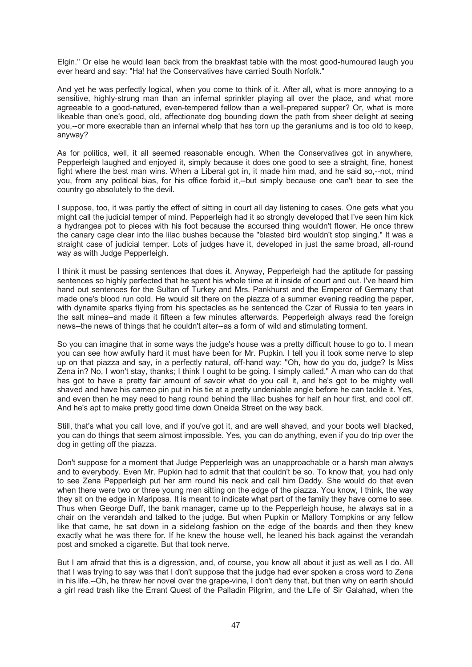Elgin." Or else he would lean back from the breakfast table with the most good-humoured laugh you ever heard and say: "Ha! ha! the Conservatives have carried South Norfolk."

And yet he was perfectly logical, when you come to think of it. After all, what is more annoying to a sensitive, highly-strung man than an infernal sprinkler playing all over the place, and what more agreeable to a good-natured, even-tempered fellow than a well-prepared supper? Or, what is more likeable than one's good, old, affectionate dog bounding down the path from sheer delight at seeing you,--or more execrable than an infernal whelp that has torn up the geraniums and is too old to keep, anyway?

As for politics, well, it all seemed reasonable enough. When the Conservatives got in anywhere, Pepperleigh laughed and enjoyed it, simply because it does one good to see a straight, fine, honest fight where the best man wins. When a Liberal got in, it made him mad, and he said so,--not, mind you, from any political bias, for his office forbid it,--but simply because one can't bear to see the country go absolutely to the devil.

I suppose, too, it was partly the effect of sitting in court all day listening to cases. One gets what you might call the judicial temper of mind. Pepperleigh had it so strongly developed that I've seen him kick a hydrangea pot to pieces with his foot because the accursed thing wouldn't flower. He once threw the canary cage clear into the lilac bushes because the "blasted bird wouldn't stop singing." It was a straight case of judicial temper. Lots of judges have it, developed in just the same broad, all-round way as with Judge Pepperleigh.

I think it must be passing sentences that does it. Anyway, Pepperleigh had the aptitude for passing sentences so highly perfected that he spent his whole time at it inside of court and out. I've heard him hand out sentences for the Sultan of Turkey and Mrs. Pankhurst and the Emperor of Germany that made one's blood run cold. He would sit there on the piazza of a summer evening reading the paper, with dynamite sparks flying from his spectacles as he sentenced the Czar of Russia to ten years in the salt mines--and made it fifteen a few minutes afterwards. Pepperleigh always read the foreign news--the news of things that he couldn't alter--as a form of wild and stimulating torment.

So you can imagine that in some ways the judge's house was a pretty difficult house to go to. I mean you can see how awfully hard it must have been for Mr. Pupkin. I tell you it took some nerve to step up on that piazza and say, in a perfectly natural, off-hand way: "Oh, how do you do, judge? Is Miss Zena in? No, I won't stay, thanks; I think I ought to be going. I simply called." A man who can do that has got to have a pretty fair amount of savoir what do you call it, and he's got to be mighty well shaved and have his cameo pin put in his tie at a pretty undeniable angle before he can tackle it. Yes, and even then he may need to hang round behind the lilac bushes for half an hour first, and cool off. And he's apt to make pretty good time down Oneida Street on the way back.

Still, that's what you call love, and if you've got it, and are well shaved, and your boots well blacked, you can do things that seem almost impossible. Yes, you can do anything, even if you do trip over the dog in getting off the piazza.

Don't suppose for a moment that Judge Pepperleigh was an unapproachable or a harsh man always and to everybody. Even Mr. Pupkin had to admit that that couldn't be so. To know that, you had only to see Zena Pepperleigh put her arm round his neck and call him Daddy. She would do that even when there were two or three young men sitting on the edge of the piazza. You know, I think, the way they sit on the edge in Mariposa. It is meant to indicate what part of the family they have come to see. Thus when George Duff, the bank manager, came up to the Pepperleigh house, he always sat in a chair on the verandah and talked to the judge. But when Pupkin or Mallory Tompkins or any fellow like that came, he sat down in a sidelong fashion on the edge of the boards and then they knew exactly what he was there for. If he knew the house well, he leaned his back against the verandah post and smoked a cigarette. But that took nerve.

But I am afraid that this is a digression, and, of course, you know all about it just as well as I do. All that I was trying to say was that I don't suppose that the judge had ever spoken a cross word to Zena in his life.--Oh, he threw her novel over the grape-vine, I don't deny that, but then why on earth should a girl read trash like the Errant Quest of the Palladin Pilgrim, and the Life of Sir Galahad, when the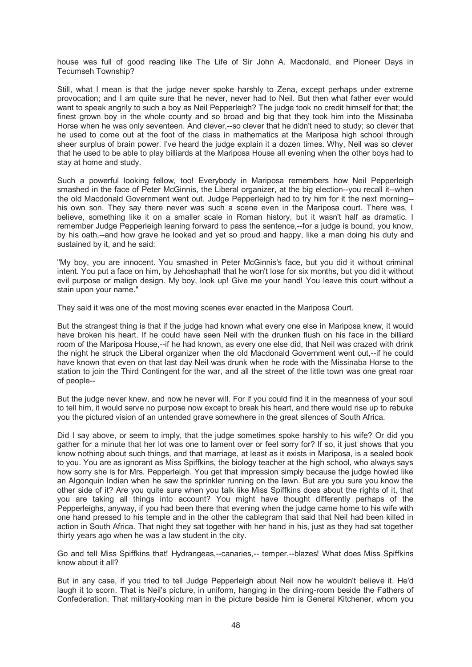house was full of good reading like The Life of Sir John A. Macdonald, and Pioneer Days in Tecumseh Township?

Still, what I mean is that the judge never spoke harshly to Zena, except perhaps under extreme provocation; and I am quite sure that he never, never had to Neil. But then what father ever would want to speak angrily to such a boy as Neil Pepperleigh? The judge took no credit himself for that; the finest grown boy in the whole county and so broad and big that they took him into the Missinaba Horse when he was only seventeen. And clever,--so clever that he didn't need to study; so clever that he used to come out at the foot of the class in mathematics at the Mariposa high school through sheer surplus of brain power. I've heard the judge explain it a dozen times. Why, Neil was so clever that he used to be able to play billiards at the Mariposa House all evening when the other boys had to stay at home and study.

Such a powerful looking fellow, too! Everybody in Mariposa remembers how Neil Pepperleigh smashed in the face of Peter McGinnis, the Liberal organizer, at the big election--you recall it--when the old Macdonald Government went out. Judge Pepperleigh had to try him for it the next morning- his own son. They say there never was such a scene even in the Mariposa court. There was, I believe, something like it on a smaller scale in Roman history, but it wasn't half as dramatic. I remember Judge Pepperleigh leaning forward to pass the sentence,--for a judge is bound, you know, by his oath,--and how grave he looked and yet so proud and happy, like a man doing his duty and sustained by it, and he said:

"My boy, you are innocent. You smashed in Peter McGinnis's face, but you did it without criminal intent. You put a face on him, by Jehoshaphat! that he won't lose for six months, but you did it without evil purpose or malign design. My boy, look up! Give me your hand! You leave this court without a stain upon your name."

They said it was one of the most moving scenes ever enacted in the Mariposa Court.

But the strangest thing is that if the judge had known what every one else in Mariposa knew, it would have broken his heart. If he could have seen Neil with the drunken flush on his face in the billiard room of the Mariposa House,--if he had known, as every one else did, that Neil was crazed with drink the night he struck the Liberal organizer when the old Macdonald Government went out,--if he could have known that even on that last day Neil was drunk when he rode with the Missinaba Horse to the station to join the Third Contingent for the war, and all the street of the little town was one great roar of people--

But the judge never knew, and now he never will. For if you could find it in the meanness of your soul to tell him, it would serve no purpose now except to break his heart, and there would rise up to rebuke you the pictured vision of an untended grave somewhere in the great silences of South Africa.

Did I say above, or seem to imply, that the judge sometimes spoke harshly to his wife? Or did you gather for a minute that her lot was one to lament over or feel sorry for? If so, it just shows that you know nothing about such things, and that marriage, at least as it exists in Mariposa, is a sealed book to you. You are as ignorant as Miss Spiffkins, the biology teacher at the high school, who always says how sorry she is for Mrs. Pepperleigh. You get that impression simply because the judge howled like an Algonquin Indian when he saw the sprinkler running on the lawn. But are you sure you know the other side of it? Are you quite sure when you talk like Miss Spiffkins does about the rights of it, that you are taking all things into account? You might have thought differently perhaps of the Pepperleighs, anyway, if you had been there that evening when the judge came home to his wife with one hand pressed to his temple and in the other the cablegram that said that Neil had been killed in action in South Africa. That night they sat together with her hand in his, just as they had sat together thirty years ago when he was a law student in the city.

Go and tell Miss Spiffkins that! Hydrangeas,--canaries,-- temper,--blazes! What does Miss Spiffkins know about it all?

But in any case, if you tried to tell Judge Pepperleigh about Neil now he wouldn't believe it. He'd laugh it to scorn. That is Neil's picture, in uniform, hanging in the dining-room beside the Fathers of Confederation. That military-looking man in the picture beside him is General Kitchener, whom you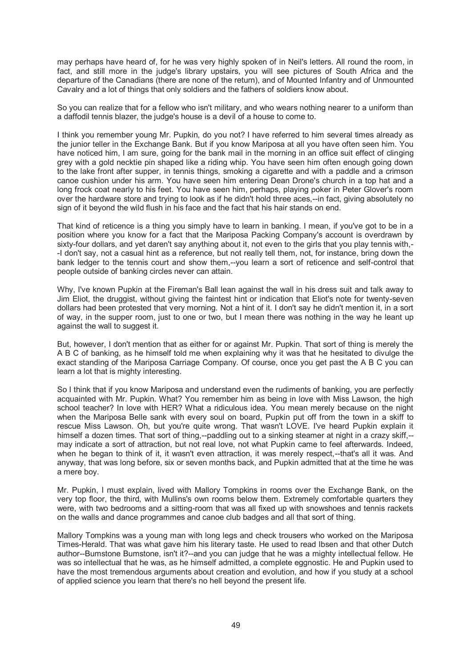may perhaps have heard of, for he was very highly spoken of in Neil's letters. All round the room, in fact, and still more in the judge's library upstairs, you will see pictures of South Africa and the departure of the Canadians (there are none of the return), and of Mounted Infantry and of Unmounted Cavalry and a lot of things that only soldiers and the fathers of soldiers know about.

So you can realize that for a fellow who isn't military, and who wears nothing nearer to a uniform than a daffodil tennis blazer, the judge's house is a devil of a house to come to.

I think you remember young Mr. Pupkin, do you not? I have referred to him several times already as the junior teller in the Exchange Bank. But if you know Mariposa at all you have often seen him. You have noticed him, I am sure, going for the bank mail in the morning in an office suit effect of clinging grey with a gold necktie pin shaped like a riding whip. You have seen him often enough going down to the lake front after supper, in tennis things, smoking a cigarette and with a paddle and a crimson canoe cushion under his arm. You have seen him entering Dean Drone's church in a top hat and a long frock coat nearly to his feet. You have seen him, perhaps, playing poker in Peter Glover's room over the hardware store and trying to look as if he didn't hold three aces,--in fact, giving absolutely no sign of it beyond the wild flush in his face and the fact that his hair stands on end.

That kind of reticence is a thing you simply have to learn in banking. I mean, if you've got to be in a position where you know for a fact that the Mariposa Packing Company's account is overdrawn by sixty-four dollars, and yet daren't say anything about it, not even to the girls that you play tennis with,- -I don't say, not a casual hint as a reference, but not really tell them, not, for instance, bring down the bank ledger to the tennis court and show them,--you learn a sort of reticence and self-control that people outside of banking circles never can attain.

Why, I've known Pupkin at the Fireman's Ball lean against the wall in his dress suit and talk away to Jim Eliot, the druggist, without giving the faintest hint or indication that Eliot's note for twenty-seven dollars had been protested that very morning. Not a hint of it. I don't say he didn't mention it, in a sort of way, in the supper room, just to one or two, but I mean there was nothing in the way he leant up against the wall to suggest it.

But, however, I don't mention that as either for or against Mr. Pupkin. That sort of thing is merely the A B C of banking, as he himself told me when explaining why it was that he hesitated to divulge the exact standing of the Mariposa Carriage Company. Of course, once you get past the A B C you can learn a lot that is mighty interesting.

So I think that if you know Mariposa and understand even the rudiments of banking, you are perfectly acquainted with Mr. Pupkin. What? You remember him as being in love with Miss Lawson, the high school teacher? In love with HER? What a ridiculous idea. You mean merely because on the night when the Mariposa Belle sank with every soul on board, Pupkin put off from the town in a skiff to rescue Miss Lawson. Oh, but you're quite wrong. That wasn't LOVE. I've heard Pupkin explain it himself a dozen times. That sort of thing,--paddling out to a sinking steamer at night in a crazy skiff,-may indicate a sort of attraction, but not real love, not what Pupkin came to feel afterwards. Indeed, when he began to think of it, it wasn't even attraction, it was merely respect,--that's all it was. And anyway, that was long before, six or seven months back, and Pupkin admitted that at the time he was a mere boy.

Mr. Pupkin, I must explain, lived with Mallory Tompkins in rooms over the Exchange Bank, on the very top floor, the third, with Mullins's own rooms below them. Extremely comfortable quarters they were, with two bedrooms and a sitting-room that was all fixed up with snowshoes and tennis rackets on the walls and dance programmes and canoe club badges and all that sort of thing.

Mallory Tompkins was a young man with long legs and check trousers who worked on the Mariposa Times-Herald. That was what gave him his literary taste. He used to read Ibsen and that other Dutch author--Bumstone Bumstone, isn't it?--and you can judge that he was a mighty intellectual fellow. He was so intellectual that he was, as he himself admitted, a complete eggnostic. He and Pupkin used to have the most tremendous arguments about creation and evolution, and how if you study at a school of applied science you learn that there's no hell beyond the present life.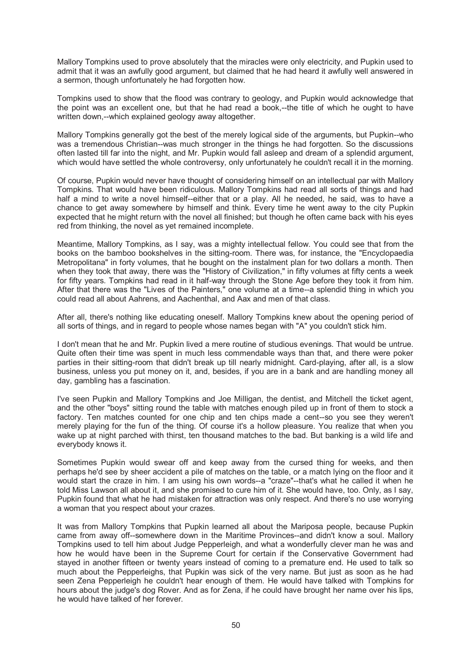Mallory Tompkins used to prove absolutely that the miracles were only electricity, and Pupkin used to admit that it was an awfully good argument, but claimed that he had heard it awfully well answered in a sermon, though unfortunately he had forgotten how.

Tompkins used to show that the flood was contrary to geology, and Pupkin would acknowledge that the point was an excellent one, but that he had read a book,--the title of which he ought to have written down,--which explained geology away altogether.

Mallory Tompkins generally got the best of the merely logical side of the arguments, but Pupkin--who was a tremendous Christian--was much stronger in the things he had forgotten. So the discussions often lasted till far into the night, and Mr. Pupkin would fall asleep and dream of a splendid argument, which would have settled the whole controversy, only unfortunately he couldn't recall it in the morning.

Of course, Pupkin would never have thought of considering himself on an intellectual par with Mallory Tompkins. That would have been ridiculous. Mallory Tompkins had read all sorts of things and had half a mind to write a novel himself--either that or a play. All he needed, he said, was to have a chance to get away somewhere by himself and think. Every time he went away to the city Pupkin expected that he might return with the novel all finished; but though he often came back with his eyes red from thinking, the novel as yet remained incomplete.

Meantime, Mallory Tompkins, as I say, was a mighty intellectual fellow. You could see that from the books on the bamboo bookshelves in the sitting-room. There was, for instance, the "Encyclopaedia Metropolitana" in forty volumes, that he bought on the instalment plan for two dollars a month. Then when they took that away, there was the "History of Civilization," in fifty volumes at fifty cents a week for fifty years. Tompkins had read in it half-way through the Stone Age before they took it from him. After that there was the "Lives of the Painters," one volume at a time--a splendid thing in which you could read all about Aahrens, and Aachenthal, and Aax and men of that class.

After all, there's nothing like educating oneself. Mallory Tompkins knew about the opening period of all sorts of things, and in regard to people whose names began with "A" you couldn't stick him.

I don't mean that he and Mr. Pupkin lived a mere routine of studious evenings. That would be untrue. Quite often their time was spent in much less commendable ways than that, and there were poker parties in their sitting-room that didn't break up till nearly midnight. Card-playing, after all, is a slow business, unless you put money on it, and, besides, if you are in a bank and are handling money all day, gambling has a fascination.

I've seen Pupkin and Mallory Tompkins and Joe Milligan, the dentist, and Mitchell the ticket agent, and the other "boys" sitting round the table with matches enough piled up in front of them to stock a factory. Ten matches counted for one chip and ten chips made a cent--so you see they weren't merely playing for the fun of the thing. Of course it's a hollow pleasure. You realize that when you wake up at night parched with thirst, ten thousand matches to the bad. But banking is a wild life and everybody knows it.

Sometimes Pupkin would swear off and keep away from the cursed thing for weeks, and then perhaps he'd see by sheer accident a pile of matches on the table, or a match lying on the floor and it would start the craze in him. I am using his own words--a "craze"--that's what he called it when he told Miss Lawson all about it, and she promised to cure him of it. She would have, too. Only, as I say, Pupkin found that what he had mistaken for attraction was only respect. And there's no use worrying a woman that you respect about your crazes.

It was from Mallory Tompkins that Pupkin learned all about the Mariposa people, because Pupkin came from away off--somewhere down in the Maritime Provinces--and didn't know a soul. Mallory Tompkins used to tell him about Judge Pepperleigh, and what a wonderfully clever man he was and how he would have been in the Supreme Court for certain if the Conservative Government had stayed in another fifteen or twenty years instead of coming to a premature end. He used to talk so much about the Pepperleighs, that Pupkin was sick of the very name. But just as soon as he had seen Zena Pepperleigh he couldn't hear enough of them. He would have talked with Tompkins for hours about the judge's dog Rover. And as for Zena, if he could have brought her name over his lips, he would have talked of her forever.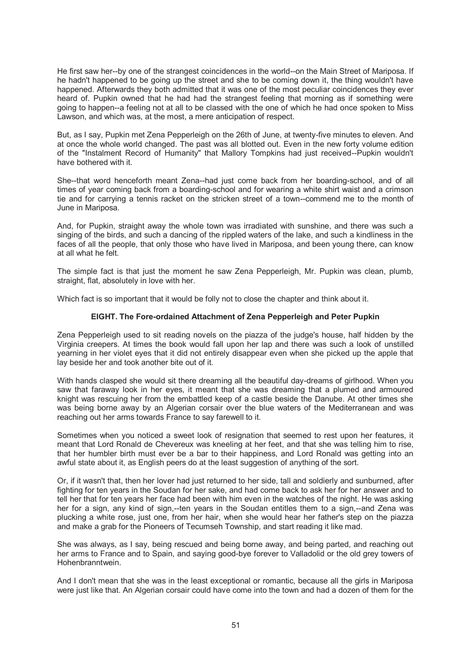He first saw her--by one of the strangest coincidences in the world--on the Main Street of Mariposa. If he hadn't happened to be going up the street and she to be coming down it, the thing wouldn't have happened. Afterwards they both admitted that it was one of the most peculiar coincidences they ever heard of. Pupkin owned that he had had the strangest feeling that morning as if something were going to happen--a feeling not at all to be classed with the one of which he had once spoken to Miss Lawson, and which was, at the most, a mere anticipation of respect.

But, as I say, Pupkin met Zena Pepperleigh on the 26th of June, at twenty-five minutes to eleven. And at once the whole world changed. The past was all blotted out. Even in the new forty volume edition of the "Instalment Record of Humanity" that Mallory Tompkins had just received--Pupkin wouldn't have bothered with it.

She--that word henceforth meant Zena--had just come back from her boarding-school, and of all times of year coming back from a boarding-school and for wearing a white shirt waist and a crimson tie and for carrying a tennis racket on the stricken street of a town--commend me to the month of June in Mariposa.

And, for Pupkin, straight away the whole town was irradiated with sunshine, and there was such a singing of the birds, and such a dancing of the rippled waters of the lake, and such a kindliness in the faces of all the people, that only those who have lived in Mariposa, and been young there, can know at all what he felt.

The simple fact is that just the moment he saw Zena Pepperleigh, Mr. Pupkin was clean, plumb, straight, flat, absolutely in love with her.

Which fact is so important that it would be folly not to close the chapter and think about it.

# **EIGHT. The Fore-ordained Attachment of Zena Pepperleigh and Peter Pupkin**

Zena Pepperleigh used to sit reading novels on the piazza of the judge's house, half hidden by the Virginia creepers. At times the book would fall upon her lap and there was such a look of unstilled yearning in her violet eyes that it did not entirely disappear even when she picked up the apple that lay beside her and took another bite out of it.

With hands clasped she would sit there dreaming all the beautiful day-dreams of girlhood. When you saw that faraway look in her eyes, it meant that she was dreaming that a plumed and armoured knight was rescuing her from the embattled keep of a castle beside the Danube. At other times she was being borne away by an Algerian corsair over the blue waters of the Mediterranean and was reaching out her arms towards France to say farewell to it.

Sometimes when you noticed a sweet look of resignation that seemed to rest upon her features, it meant that Lord Ronald de Chevereux was kneeling at her feet, and that she was telling him to rise, that her humbler birth must ever be a bar to their happiness, and Lord Ronald was getting into an awful state about it, as English peers do at the least suggestion of anything of the sort.

Or, if it wasn't that, then her lover had just returned to her side, tall and soldierly and sunburned, after fighting for ten years in the Soudan for her sake, and had come back to ask her for her answer and to tell her that for ten years her face had been with him even in the watches of the night. He was asking her for a sign, any kind of sign,--ten years in the Soudan entitles them to a sign,--and Zena was plucking a white rose, just one, from her hair, when she would hear her father's step on the piazza and make a grab for the Pioneers of Tecumseh Township, and start reading it like mad.

She was always, as I say, being rescued and being borne away, and being parted, and reaching out her arms to France and to Spain, and saying good-bye forever to Valladolid or the old grey towers of Hohenbranntwein.

And I don't mean that she was in the least exceptional or romantic, because all the girls in Mariposa were just like that. An Algerian corsair could have come into the town and had a dozen of them for the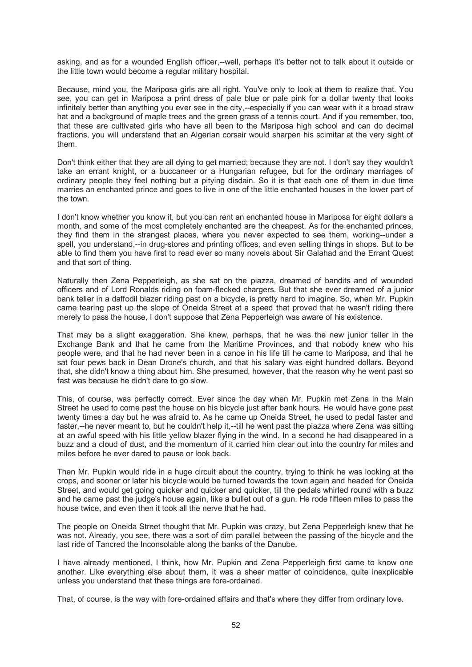asking, and as for a wounded English officer,--well, perhaps it's better not to talk about it outside or the little town would become a regular military hospital.

Because, mind you, the Mariposa girls are all right. You've only to look at them to realize that. You see, you can get in Mariposa a print dress of pale blue or pale pink for a dollar twenty that looks infinitely better than anything you ever see in the city,--especially if you can wear with it a broad straw hat and a background of maple trees and the green grass of a tennis court. And if you remember, too, that these are cultivated girls who have all been to the Mariposa high school and can do decimal fractions, you will understand that an Algerian corsair would sharpen his scimitar at the very sight of them.

Don't think either that they are all dying to get married; because they are not. I don't say they wouldn't take an errant knight, or a buccaneer or a Hungarian refugee, but for the ordinary marriages of ordinary people they feel nothing but a pitying disdain. So it is that each one of them in due time marries an enchanted prince and goes to live in one of the little enchanted houses in the lower part of the town.

I don't know whether you know it, but you can rent an enchanted house in Mariposa for eight dollars a month, and some of the most completely enchanted are the cheapest. As for the enchanted princes, they find them in the strangest places, where you never expected to see them, working--under a spell, you understand,--in drug-stores and printing offices, and even selling things in shops. But to be able to find them you have first to read ever so many novels about Sir Galahad and the Errant Quest and that sort of thing.

Naturally then Zena Pepperleigh, as she sat on the piazza, dreamed of bandits and of wounded officers and of Lord Ronalds riding on foam-flecked chargers. But that she ever dreamed of a junior bank teller in a daffodil blazer riding past on a bicycle, is pretty hard to imagine. So, when Mr. Pupkin came tearing past up the slope of Oneida Street at a speed that proved that he wasn't riding there merely to pass the house, I don't suppose that Zena Pepperleigh was aware of his existence.

That may be a slight exaggeration. She knew, perhaps, that he was the new junior teller in the Exchange Bank and that he came from the Maritime Provinces, and that nobody knew who his people were, and that he had never been in a canoe in his life till he came to Mariposa, and that he sat four pews back in Dean Drone's church, and that his salary was eight hundred dollars. Beyond that, she didn't know a thing about him. She presumed, however, that the reason why he went past so fast was because he didn't dare to go slow.

This, of course, was perfectly correct. Ever since the day when Mr. Pupkin met Zena in the Main Street he used to come past the house on his bicycle just after bank hours. He would have gone past twenty times a day but he was afraid to. As he came up Oneida Street, he used to pedal faster and faster,--he never meant to, but he couldn't help it,--till he went past the piazza where Zena was sitting at an awful speed with his little yellow blazer flying in the wind. In a second he had disappeared in a buzz and a cloud of dust, and the momentum of it carried him clear out into the country for miles and miles before he ever dared to pause or look back.

Then Mr. Pupkin would ride in a huge circuit about the country, trying to think he was looking at the crops, and sooner or later his bicycle would be turned towards the town again and headed for Oneida Street, and would get going quicker and quicker and quicker, till the pedals whirled round with a buzz and he came past the judge's house again, like a bullet out of a gun. He rode fifteen miles to pass the house twice, and even then it took all the nerve that he had.

The people on Oneida Street thought that Mr. Pupkin was crazy, but Zena Pepperleigh knew that he was not. Already, you see, there was a sort of dim parallel between the passing of the bicycle and the last ride of Tancred the Inconsolable along the banks of the Danube.

I have already mentioned, I think, how Mr. Pupkin and Zena Pepperleigh first came to know one another. Like everything else about them, it was a sheer matter of coincidence, quite inexplicable unless you understand that these things are fore-ordained.

That, of course, is the way with fore-ordained affairs and that's where they differ from ordinary love.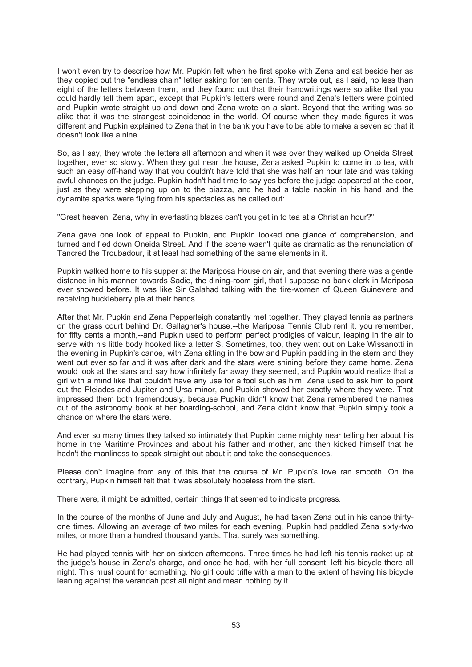I won't even try to describe how Mr. Pupkin felt when he first spoke with Zena and sat beside her as they copied out the "endless chain" letter asking for ten cents. They wrote out, as I said, no less than eight of the letters between them, and they found out that their handwritings were so alike that you could hardly tell them apart, except that Pupkin's letters were round and Zena's letters were pointed and Pupkin wrote straight up and down and Zena wrote on a slant. Beyond that the writing was so alike that it was the strangest coincidence in the world. Of course when they made figures it was different and Pupkin explained to Zena that in the bank you have to be able to make a seven so that it doesn't look like a nine.

So, as I say, they wrote the letters all afternoon and when it was over they walked up Oneida Street together, ever so slowly. When they got near the house, Zena asked Pupkin to come in to tea, with such an easy off-hand way that you couldn't have told that she was half an hour late and was taking awful chances on the judge. Pupkin hadn't had time to say yes before the judge appeared at the door, just as they were stepping up on to the piazza, and he had a table napkin in his hand and the dynamite sparks were flying from his spectacles as he called out:

"Great heaven! Zena, why in everlasting blazes can't you get in to tea at a Christian hour?"

Zena gave one look of appeal to Pupkin, and Pupkin looked one glance of comprehension, and turned and fled down Oneida Street. And if the scene wasn't quite as dramatic as the renunciation of Tancred the Troubadour, it at least had something of the same elements in it.

Pupkin walked home to his supper at the Mariposa House on air, and that evening there was a gentle distance in his manner towards Sadie, the dining-room girl, that I suppose no bank clerk in Mariposa ever showed before. It was like Sir Galahad talking with the tire-women of Queen Guinevere and receiving huckleberry pie at their hands.

After that Mr. Pupkin and Zena Pepperleigh constantly met together. They played tennis as partners on the grass court behind Dr. Gallagher's house,--the Mariposa Tennis Club rent it, you remember, for fifty cents a month,--and Pupkin used to perform perfect prodigies of valour, leaping in the air to serve with his little body hooked like a letter S. Sometimes, too, they went out on Lake Wissanotti in the evening in Pupkin's canoe, with Zena sitting in the bow and Pupkin paddling in the stern and they went out ever so far and it was after dark and the stars were shining before they came home. Zena would look at the stars and say how infinitely far away they seemed, and Pupkin would realize that a girl with a mind like that couldn't have any use for a fool such as him. Zena used to ask him to point out the Pleiades and Jupiter and Ursa minor, and Pupkin showed her exactly where they were. That impressed them both tremendously, because Pupkin didn't know that Zena remembered the names out of the astronomy book at her boarding-school, and Zena didn't know that Pupkin simply took a chance on where the stars were.

And ever so many times they talked so intimately that Pupkin came mighty near telling her about his home in the Maritime Provinces and about his father and mother, and then kicked himself that he hadn't the manliness to speak straight out about it and take the consequences.

Please don't imagine from any of this that the course of Mr. Pupkin's love ran smooth. On the contrary, Pupkin himself felt that it was absolutely hopeless from the start.

There were, it might be admitted, certain things that seemed to indicate progress.

In the course of the months of June and July and August, he had taken Zena out in his canoe thirtyone times. Allowing an average of two miles for each evening, Pupkin had paddled Zena sixty-two miles, or more than a hundred thousand yards. That surely was something.

He had played tennis with her on sixteen afternoons. Three times he had left his tennis racket up at the judge's house in Zena's charge, and once he had, with her full consent, left his bicycle there all night. This must count for something. No girl could trifle with a man to the extent of having his bicycle leaning against the verandah post all night and mean nothing by it.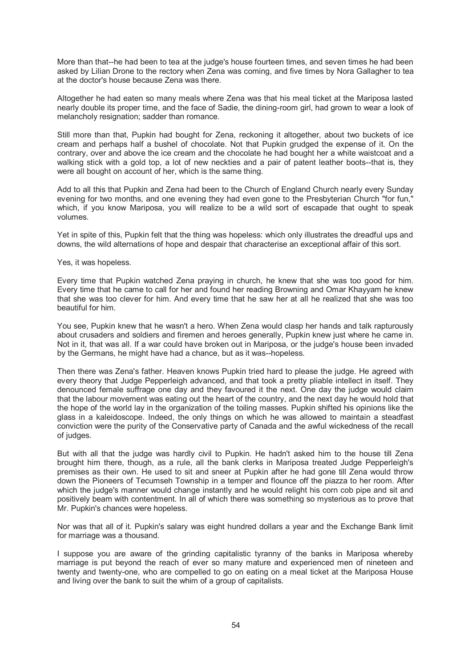More than that--he had been to tea at the judge's house fourteen times, and seven times he had been asked by Lilian Drone to the rectory when Zena was coming, and five times by Nora Gallagher to tea at the doctor's house because Zena was there.

Altogether he had eaten so many meals where Zena was that his meal ticket at the Mariposa lasted nearly double its proper time, and the face of Sadie, the dining-room girl, had grown to wear a look of melancholy resignation; sadder than romance.

Still more than that, Pupkin had bought for Zena, reckoning it altogether, about two buckets of ice cream and perhaps half a bushel of chocolate. Not that Pupkin grudged the expense of it. On the contrary, over and above the ice cream and the chocolate he had bought her a white waistcoat and a walking stick with a gold top, a lot of new neckties and a pair of patent leather boots--that is, they were all bought on account of her, which is the same thing.

Add to all this that Pupkin and Zena had been to the Church of England Church nearly every Sunday evening for two months, and one evening they had even gone to the Presbyterian Church "for fun," which, if you know Mariposa, you will realize to be a wild sort of escapade that ought to speak volumes.

Yet in spite of this, Pupkin felt that the thing was hopeless: which only illustrates the dreadful ups and downs, the wild alternations of hope and despair that characterise an exceptional affair of this sort.

Yes, it was hopeless.

Every time that Pupkin watched Zena praying in church, he knew that she was too good for him. Every time that he came to call for her and found her reading Browning and Omar Khayyam he knew that she was too clever for him. And every time that he saw her at all he realized that she was too beautiful for him.

You see, Pupkin knew that he wasn't a hero. When Zena would clasp her hands and talk rapturously about crusaders and soldiers and firemen and heroes generally, Pupkin knew just where he came in. Not in it, that was all. If a war could have broken out in Mariposa, or the judge's house been invaded by the Germans, he might have had a chance, but as it was--hopeless.

Then there was Zena's father. Heaven knows Pupkin tried hard to please the judge. He agreed with every theory that Judge Pepperleigh advanced, and that took a pretty pliable intellect in itself. They denounced female suffrage one day and they favoured it the next. One day the judge would claim that the labour movement was eating out the heart of the country, and the next day he would hold that the hope of the world lay in the organization of the toiling masses. Pupkin shifted his opinions like the glass in a kaleidoscope. Indeed, the only things on which he was allowed to maintain a steadfast conviction were the purity of the Conservative party of Canada and the awful wickedness of the recall of judges.

But with all that the judge was hardly civil to Pupkin. He hadn't asked him to the house till Zena brought him there, though, as a rule, all the bank clerks in Mariposa treated Judge Pepperleigh's premises as their own. He used to sit and sneer at Pupkin after he had gone till Zena would throw down the Pioneers of Tecumseh Township in a temper and flounce off the piazza to her room. After which the judge's manner would change instantly and he would relight his corn cob pipe and sit and positively beam with contentment. In all of which there was something so mysterious as to prove that Mr. Pupkin's chances were hopeless.

Nor was that all of it. Pupkin's salary was eight hundred dollars a year and the Exchange Bank limit for marriage was a thousand.

I suppose you are aware of the grinding capitalistic tyranny of the banks in Mariposa whereby marriage is put beyond the reach of ever so many mature and experienced men of nineteen and twenty and twenty-one, who are compelled to go on eating on a meal ticket at the Mariposa House and living over the bank to suit the whim of a group of capitalists.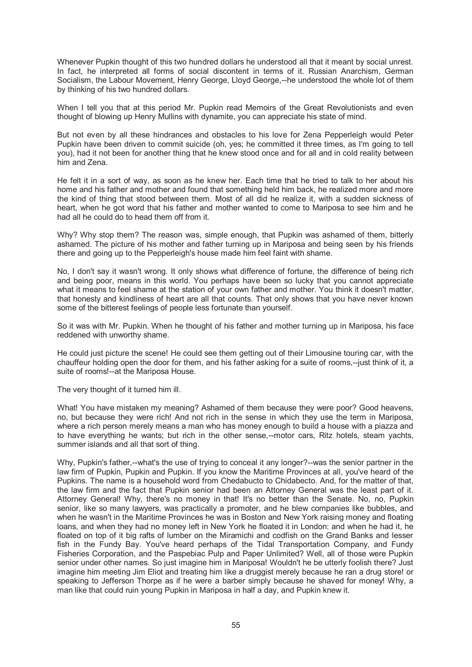Whenever Pupkin thought of this two hundred dollars he understood all that it meant by social unrest. In fact, he interpreted all forms of social discontent in terms of it. Russian Anarchism, German Socialism, the Labour Movement, Henry George, Lloyd George,--he understood the whole lot of them by thinking of his two hundred dollars.

When I tell you that at this period Mr. Pupkin read Memoirs of the Great Revolutionists and even thought of blowing up Henry Mullins with dynamite, you can appreciate his state of mind.

But not even by all these hindrances and obstacles to his love for Zena Pepperleigh would Peter Pupkin have been driven to commit suicide (oh, yes; he committed it three times, as I'm going to tell you), had it not been for another thing that he knew stood once and for all and in cold reality between him and Zena.

He felt it in a sort of way, as soon as he knew her. Each time that he tried to talk to her about his home and his father and mother and found that something held him back, he realized more and more the kind of thing that stood between them. Most of all did he realize it, with a sudden sickness of heart, when he got word that his father and mother wanted to come to Mariposa to see him and he had all he could do to head them off from it.

Why? Why stop them? The reason was, simple enough, that Pupkin was ashamed of them, bitterly ashamed. The picture of his mother and father turning up in Mariposa and being seen by his friends there and going up to the Pepperleigh's house made him feel faint with shame.

No, I don't say it wasn't wrong. It only shows what difference of fortune, the difference of being rich and being poor, means in this world. You perhaps have been so lucky that you cannot appreciate what it means to feel shame at the station of your own father and mother. You think it doesn't matter, that honesty and kindliness of heart are all that counts. That only shows that you have never known some of the bitterest feelings of people less fortunate than yourself.

So it was with Mr. Pupkin. When he thought of his father and mother turning up in Mariposa, his face reddened with unworthy shame.

He could just picture the scene! He could see them getting out of their Limousine touring car, with the chauffeur holding open the door for them, and his father asking for a suite of rooms,--just think of it, a suite of rooms!--at the Mariposa House.

The very thought of it turned him ill.

What! You have mistaken my meaning? Ashamed of them because they were poor? Good heavens, no, but because they were rich! And not rich in the sense in which they use the term in Mariposa, where a rich person merely means a man who has money enough to build a house with a piazza and to have everything he wants; but rich in the other sense,--motor cars, Ritz hotels, steam yachts, summer islands and all that sort of thing.

Why, Pupkin's father,--what's the use of trying to conceal it any longer?--was the senior partner in the law firm of Pupkin, Pupkin and Pupkin. If you know the Maritime Provinces at all, you've heard of the Pupkins. The name is a household word from Chedabucto to Chidabecto. And, for the matter of that, the law firm and the fact that Pupkin senior had been an Attorney General was the least part of it. Attorney General! Why, there's no money in that! It's no better than the Senate. No, no, Pupkin senior, like so many lawyers, was practically a promoter, and he blew companies like bubbles, and when he wasn't in the Maritime Provinces he was in Boston and New York raising money and floating loans, and when they had no money left in New York he floated it in London: and when he had it, he floated on top of it big rafts of lumber on the Miramichi and codfish on the Grand Banks and lesser fish in the Fundy Bay. You've heard perhaps of the Tidal Transportation Company, and Fundy Fisheries Corporation, and the Paspebiac Pulp and Paper Unlimited? Well, all of those were Pupkin senior under other names. So just imagine him in Mariposa! Wouldn't he be utterly foolish there? Just imagine him meeting Jim Eliot and treating him like a druggist merely because he ran a drug store! or speaking to Jefferson Thorpe as if he were a barber simply because he shaved for money! Why, a man like that could ruin young Pupkin in Mariposa in half a day, and Pupkin knew it.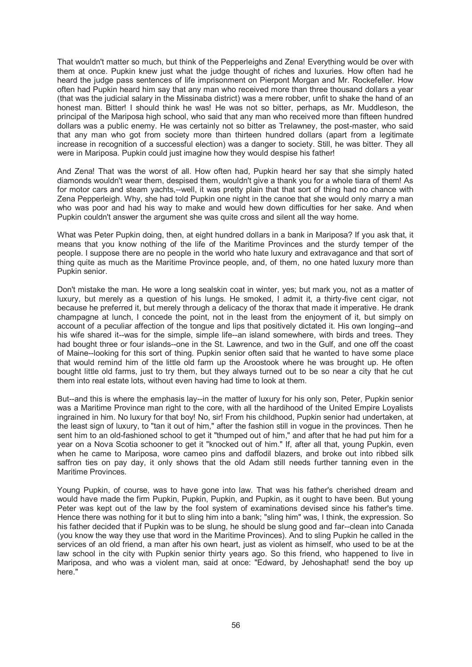That wouldn't matter so much, but think of the Pepperleighs and Zena! Everything would be over with them at once. Pupkin knew just what the judge thought of riches and luxuries. How often had he heard the judge pass sentences of life imprisonment on Pierpont Morgan and Mr. Rockefeller. How often had Pupkin heard him say that any man who received more than three thousand dollars a year (that was the judicial salary in the Missinaba district) was a mere robber, unfit to shake the hand of an honest man. Bitter! I should think he was! He was not so bitter, perhaps, as Mr. Muddleson, the principal of the Mariposa high school, who said that any man who received more than fifteen hundred dollars was a public enemy. He was certainly not so bitter as Trelawney, the post-master, who said that any man who got from society more than thirteen hundred dollars (apart from a legitimate increase in recognition of a successful election) was a danger to society. Still, he was bitter. They all were in Mariposa. Pupkin could just imagine how they would despise his father!

And Zena! That was the worst of all. How often had, Pupkin heard her say that she simply hated diamonds wouldn't wear them, despised them, wouldn't give a thank you for a whole tiara of them! As for motor cars and steam yachts,--well, it was pretty plain that that sort of thing had no chance with Zena Pepperleigh. Why, she had told Pupkin one night in the canoe that she would only marry a man who was poor and had his way to make and would hew down difficulties for her sake. And when Pupkin couldn't answer the argument she was quite cross and silent all the way home.

What was Peter Pupkin doing, then, at eight hundred dollars in a bank in Mariposa? If you ask that, it means that you know nothing of the life of the Maritime Provinces and the sturdy temper of the people. I suppose there are no people in the world who hate luxury and extravagance and that sort of thing quite as much as the Maritime Province people, and, of them, no one hated luxury more than Pupkin senior.

Don't mistake the man. He wore a long sealskin coat in winter, yes; but mark you, not as a matter of luxury, but merely as a question of his lungs. He smoked, I admit it, a thirty-five cent cigar, not because he preferred it, but merely through a delicacy of the thorax that made it imperative. He drank champagne at lunch, I concede the point, not in the least from the enjoyment of it, but simply on account of a peculiar affection of the tongue and lips that positively dictated it. His own longing--and his wife shared it--was for the simple, simple life--an island somewhere, with birds and trees. They had bought three or four islands--one in the St. Lawrence, and two in the Gulf, and one off the coast of Maine--looking for this sort of thing. Pupkin senior often said that he wanted to have some place that would remind him of the little old farm up the Aroostook where he was brought up. He often bought little old farms, just to try them, but they always turned out to be so near a city that he cut them into real estate lots, without even having had time to look at them.

But--and this is where the emphasis lay--in the matter of luxury for his only son, Peter, Pupkin senior was a Maritime Province man right to the core, with all the hardihood of the United Empire Loyalists ingrained in him. No luxury for that boy! No, sir! From his childhood, Pupkin senior had undertaken, at the least sign of luxury, to "tan it out of him," after the fashion still in vogue in the provinces. Then he sent him to an old-fashioned school to get it "thumped out of him," and after that he had put him for a year on a Nova Scotia schooner to get it "knocked out of him." If, after all that, young Pupkin, even when he came to Mariposa, wore cameo pins and daffodil blazers, and broke out into ribbed silk saffron ties on pay day, it only shows that the old Adam still needs further tanning even in the Maritime Provinces.

Young Pupkin, of course, was to have gone into law. That was his father's cherished dream and would have made the firm Pupkin, Pupkin, Pupkin, and Pupkin, as it ought to have been. But young Peter was kept out of the law by the fool system of examinations devised since his father's time. Hence there was nothing for it but to sling him into a bank; "sling him" was, I think, the expression. So his father decided that if Pupkin was to be slung, he should be slung good and far--clean into Canada (you know the way they use that word in the Maritime Provinces). And to sling Pupkin he called in the services of an old friend, a man after his own heart, just as violent as himself, who used to be at the law school in the city with Pupkin senior thirty years ago. So this friend, who happened to live in Mariposa, and who was a violent man, said at once: "Edward, by Jehoshaphat! send the boy up here."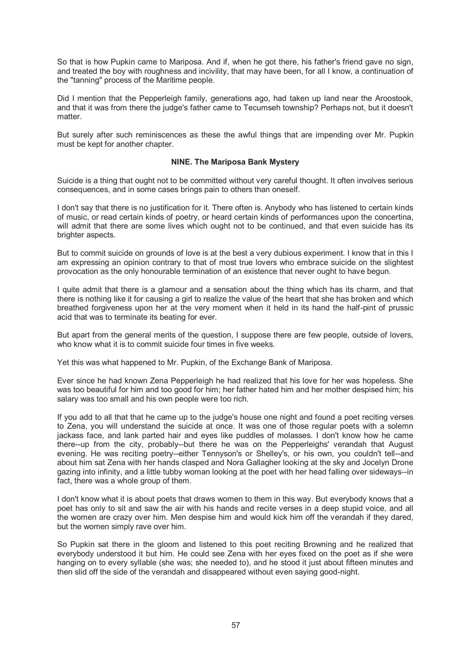So that is how Pupkin came to Mariposa. And if, when he got there, his father's friend gave no sign, and treated the boy with roughness and incivility, that may have been, for all I know, a continuation of the "tanning" process of the Maritime people.

Did I mention that the Pepperleigh family, generations ago, had taken up land near the Aroostook, and that it was from there the judge's father came to Tecumseh township? Perhaps not, but it doesn't matter.

But surely after such reminiscences as these the awful things that are impending over Mr. Pupkin must be kept for another chapter.

# **NINE. The Mariposa Bank Mystery**

Suicide is a thing that ought not to be committed without very careful thought. It often involves serious consequences, and in some cases brings pain to others than oneself.

I don't say that there is no justification for it. There often is. Anybody who has listened to certain kinds of music, or read certain kinds of poetry, or heard certain kinds of performances upon the concertina, will admit that there are some lives which ought not to be continued, and that even suicide has its brighter aspects.

But to commit suicide on grounds of love is at the best a very dubious experiment. I know that in this I am expressing an opinion contrary to that of most true lovers who embrace suicide on the slightest provocation as the only honourable termination of an existence that never ought to have begun.

I quite admit that there is a glamour and a sensation about the thing which has its charm, and that there is nothing like it for causing a girl to realize the value of the heart that she has broken and which breathed forgiveness upon her at the very moment when it held in its hand the half-pint of prussic acid that was to terminate its beating for ever.

But apart from the general merits of the question, I suppose there are few people, outside of lovers, who know what it is to commit suicide four times in five weeks.

Yet this was what happened to Mr. Pupkin, of the Exchange Bank of Mariposa.

Ever since he had known Zena Pepperleigh he had realized that his love for her was hopeless. She was too beautiful for him and too good for him; her father hated him and her mother despised him; his salary was too small and his own people were too rich.

If you add to all that that he came up to the judge's house one night and found a poet reciting verses to Zena, you will understand the suicide at once. It was one of those regular poets with a solemn jackass face, and lank parted hair and eyes like puddles of molasses. I don't know how he came there--up from the city, probably--but there he was on the Pepperleighs' verandah that August evening. He was reciting poetry--either Tennyson's or Shelley's, or his own, you couldn't tell--and about him sat Zena with her hands clasped and Nora Gallagher looking at the sky and Jocelyn Drone gazing into infinity, and a little tubby woman looking at the poet with her head falling over sideways--in fact, there was a whole group of them.

I don't know what it is about poets that draws women to them in this way. But everybody knows that a poet has only to sit and saw the air with his hands and recite verses in a deep stupid voice, and all the women are crazy over him. Men despise him and would kick him off the verandah if they dared, but the women simply rave over him.

So Pupkin sat there in the gloom and listened to this poet reciting Browning and he realized that everybody understood it but him. He could see Zena with her eyes fixed on the poet as if she were hanging on to every syllable (she was; she needed to), and he stood it just about fifteen minutes and then slid off the side of the verandah and disappeared without even saying good-night.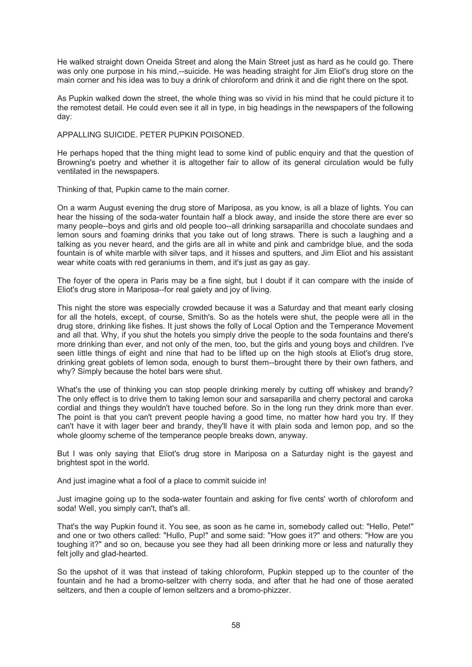He walked straight down Oneida Street and along the Main Street just as hard as he could go. There was only one purpose in his mind,--suicide. He was heading straight for Jim Eliot's drug store on the main corner and his idea was to buy a drink of chloroform and drink it and die right there on the spot.

As Pupkin walked down the street, the whole thing was so vivid in his mind that he could picture it to the remotest detail. He could even see it all in type, in big headings in the newspapers of the following day:

APPALLING SUICIDE. PETER PUPKIN POISONED.

He perhaps hoped that the thing might lead to some kind of public enquiry and that the question of Browning's poetry and whether it is altogether fair to allow of its general circulation would be fully ventilated in the newspapers.

Thinking of that, Pupkin came to the main corner.

On a warm August evening the drug store of Mariposa, as you know, is all a blaze of lights. You can hear the hissing of the soda-water fountain half a block away, and inside the store there are ever so many people--boys and girls and old people too--all drinking sarsaparilla and chocolate sundaes and lemon sours and foaming drinks that you take out of long straws. There is such a laughing and a talking as you never heard, and the girls are all in white and pink and cambridge blue, and the soda fountain is of white marble with silver taps, and it hisses and sputters, and Jim Eliot and his assistant wear white coats with red geraniums in them, and it's just as gay as gay.

The foyer of the opera in Paris may be a fine sight, but I doubt if it can compare with the inside of Eliot's drug store in Mariposa--for real gaiety and joy of living.

This night the store was especially crowded because it was a Saturday and that meant early closing for all the hotels, except, of course, Smith's. So as the hotels were shut, the people were all in the drug store, drinking like fishes. It just shows the folly of Local Option and the Temperance Movement and all that. Why, if you shut the hotels you simply drive the people to the soda fountains and there's more drinking than ever, and not only of the men, too, but the girls and young boys and children. I've seen little things of eight and nine that had to be lifted up on the high stools at Eliot's drug store, drinking great goblets of lemon soda, enough to burst them--brought there by their own fathers, and why? Simply because the hotel bars were shut.

What's the use of thinking you can stop people drinking merely by cutting off whiskey and brandy? The only effect is to drive them to taking lemon sour and sarsaparilla and cherry pectoral and caroka cordial and things they wouldn't have touched before. So in the long run they drink more than ever. The point is that you can't prevent people having a good time, no matter how hard you try. If they can't have it with lager beer and brandy, they'll have it with plain soda and lemon pop, and so the whole gloomy scheme of the temperance people breaks down, anyway.

But I was only saying that Eliot's drug store in Mariposa on a Saturday night is the gayest and brightest spot in the world.

And just imagine what a fool of a place to commit suicide in!

Just imagine going up to the soda-water fountain and asking for five cents' worth of chloroform and soda! Well, you simply can't, that's all.

That's the way Pupkin found it. You see, as soon as he came in, somebody called out: "Hello, Pete!" and one or two others called: "Hullo, Pup!" and some said: "How goes it?" and others: "How are you toughing it?" and so on, because you see they had all been drinking more or less and naturally they felt jolly and glad-hearted.

So the upshot of it was that instead of taking chloroform, Pupkin stepped up to the counter of the fountain and he had a bromo-seltzer with cherry soda, and after that he had one of those aerated seltzers, and then a couple of lemon seltzers and a bromo-phizzer.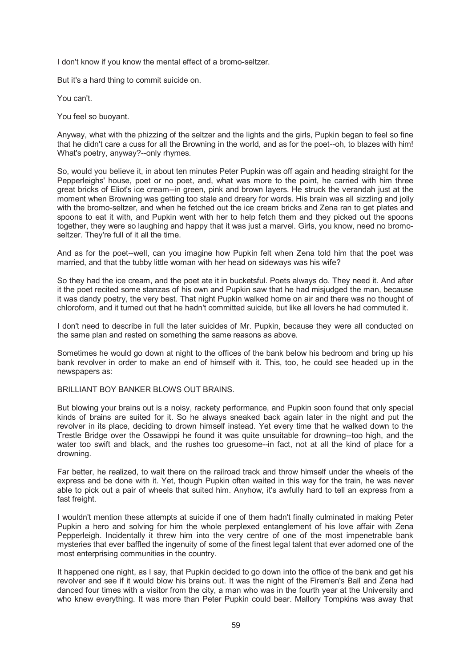I don't know if you know the mental effect of a bromo-seltzer.

But it's a hard thing to commit suicide on.

You can't.

You feel so buoyant.

Anyway, what with the phizzing of the seltzer and the lights and the girls, Pupkin began to feel so fine that he didn't care a cuss for all the Browning in the world, and as for the poet--oh, to blazes with him! What's poetry, anyway?--only rhymes.

So, would you believe it, in about ten minutes Peter Pupkin was off again and heading straight for the Pepperleighs' house, poet or no poet, and, what was more to the point, he carried with him three great bricks of Eliot's ice cream--in green, pink and brown layers. He struck the verandah just at the moment when Browning was getting too stale and dreary for words. His brain was all sizzling and jolly with the bromo-seltzer, and when he fetched out the ice cream bricks and Zena ran to get plates and spoons to eat it with, and Pupkin went with her to help fetch them and they picked out the spoons together, they were so laughing and happy that it was just a marvel. Girls, you know, need no bromoseltzer. They're full of it all the time.

And as for the poet--well, can you imagine how Pupkin felt when Zena told him that the poet was married, and that the tubby little woman with her head on sideways was his wife?

So they had the ice cream, and the poet ate it in bucketsful. Poets always do. They need it. And after it the poet recited some stanzas of his own and Pupkin saw that he had misjudged the man, because it was dandy poetry, the very best. That night Pupkin walked home on air and there was no thought of chloroform, and it turned out that he hadn't committed suicide, but like all lovers he had commuted it.

I don't need to describe in full the later suicides of Mr. Pupkin, because they were all conducted on the same plan and rested on something the same reasons as above.

Sometimes he would go down at night to the offices of the bank below his bedroom and bring up his bank revolver in order to make an end of himself with it. This, too, he could see headed up in the newspapers as:

### BRILLIANT BOY BANKER BLOWS OUT BRAINS.

But blowing your brains out is a noisy, rackety performance, and Pupkin soon found that only special kinds of brains are suited for it. So he always sneaked back again later in the night and put the revolver in its place, deciding to drown himself instead. Yet every time that he walked down to the Trestle Bridge over the Ossawippi he found it was quite unsuitable for drowning--too high, and the water too swift and black, and the rushes too gruesome--in fact, not at all the kind of place for a drowning.

Far better, he realized, to wait there on the railroad track and throw himself under the wheels of the express and be done with it. Yet, though Pupkin often waited in this way for the train, he was never able to pick out a pair of wheels that suited him. Anyhow, it's awfully hard to tell an express from a fast freight.

I wouldn't mention these attempts at suicide if one of them hadn't finally culminated in making Peter Pupkin a hero and solving for him the whole perplexed entanglement of his love affair with Zena Pepperleigh. Incidentally it threw him into the very centre of one of the most impenetrable bank mysteries that ever baffled the ingenuity of some of the finest legal talent that ever adorned one of the most enterprising communities in the country.

It happened one night, as I say, that Pupkin decided to go down into the office of the bank and get his revolver and see if it would blow his brains out. It was the night of the Firemen's Ball and Zena had danced four times with a visitor from the city, a man who was in the fourth year at the University and who knew everything. It was more than Peter Pupkin could bear. Mallory Tompkins was away that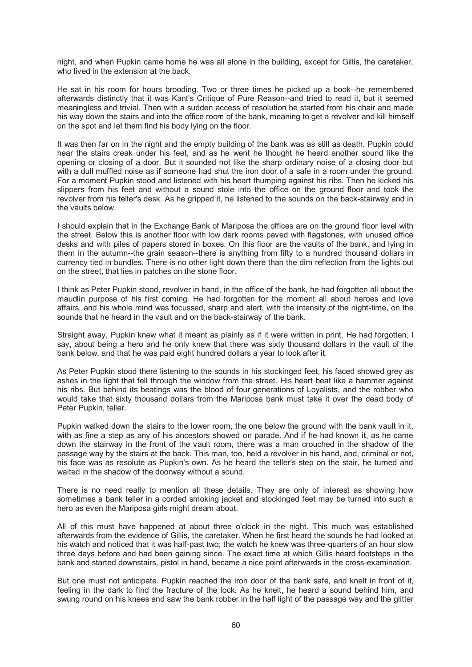night, and when Pupkin came home he was all alone in the building, except for Gillis, the caretaker, who lived in the extension at the back.

He sat in his room for hours brooding. Two or three times he picked up a book--he remembered afterwards distinctly that it was Kant's Critique of Pure Reason--and tried to read it, but it seemed meaningless and trivial. Then with a sudden access of resolution he started from his chair and made his way down the stairs and into the office room of the bank, meaning to get a revolver and kill himself on the spot and let them find his body lying on the floor.

It was then far on in the night and the empty building of the bank was as still as death. Pupkin could hear the stairs creak under his feet, and as he went he thought he heard another sound like the opening or closing of a door. But it sounded not like the sharp ordinary noise of a closing door but with a dull muffled noise as if someone had shut the iron door of a safe in a room under the ground. For a moment Pupkin stood and listened with his heart thumping against his ribs. Then he kicked his slippers from his feet and without a sound stole into the office on the ground floor and took the revolver from his teller's desk. As he gripped it, he listened to the sounds on the back-stairway and in the vaults below.

I should explain that in the Exchange Bank of Mariposa the offices are on the ground floor level with the street. Below this is another floor with low dark rooms paved with flagstones, with unused office desks and with piles of papers stored in boxes. On this floor are the vaults of the bank, and lying in them in the autumn--the grain season--there is anything from fifty to a hundred thousand dollars in currency tied in bundles. There is no other light down there than the dim reflection from the lights out on the street, that lies in patches on the stone floor.

I think as Peter Pupkin stood, revolver in hand, in the office of the bank, he had forgotten all about the maudlin purpose of his first coming. He had forgotten for the moment all about heroes and love affairs, and his whole mind was focussed, sharp and alert, with the intensity of the night-time, on the sounds that he heard in the vault and on the back-stairway of the bank.

Straight away, Pupkin knew what it meant as plainly as if it were written in print. He had forgotten, I say, about being a hero and he only knew that there was sixty thousand dollars in the vault of the bank below, and that he was paid eight hundred dollars a year to look after it.

As Peter Pupkin stood there listening to the sounds in his stockinged feet, his faced showed grey as ashes in the light that fell through the window from the street. His heart beat like a hammer against his ribs. But behind its beatings was the blood of four generations of Loyalists, and the robber who would take that sixty thousand dollars from the Mariposa bank must take it over the dead body of Peter Pupkin, teller.

Pupkin walked down the stairs to the lower room, the one below the ground with the bank vault in it, with as fine a step as any of his ancestors showed on parade. And if he had known it, as he came down the stairway in the front of the vault room, there was a man crouched in the shadow of the passage way by the stairs at the back. This man, too, held a revolver in his hand, and, criminal or not, his face was as resolute as Pupkin's own. As he heard the teller's step on the stair, he turned and waited in the shadow of the doorway without a sound.

There is no need really to mention all these details. They are only of interest as showing how sometimes a bank teller in a corded smoking jacket and stockinged feet may be turned into such a hero as even the Mariposa girls might dream about.

All of this must have happened at about three o'clock in the night. This much was established afterwards from the evidence of Gillis, the caretaker. When he first heard the sounds he had looked at his watch and noticed that it was half-past two; the watch he knew was three-quarters of an hour slow three days before and had been gaining since. The exact time at which Gillis heard footsteps in the bank and started downstairs, pistol in hand, became a nice point afterwards in the cross-examination.

But one must not anticipate. Pupkin reached the iron door of the bank safe, and knelt in front of it, feeling in the dark to find the fracture of the lock. As he knelt, he heard a sound behind him, and swung round on his knees and saw the bank robber in the half light of the passage way and the glitter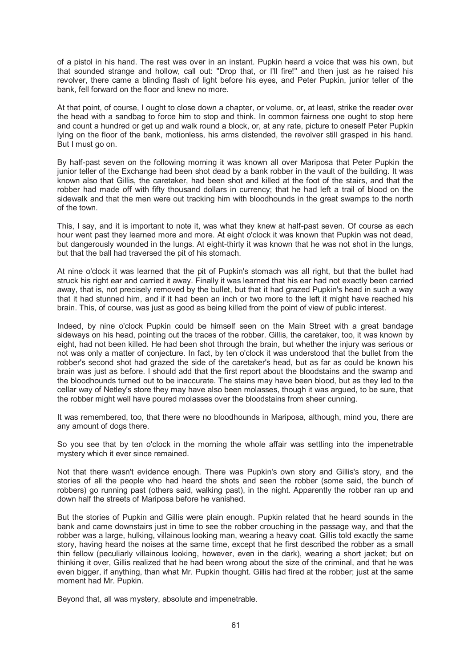of a pistol in his hand. The rest was over in an instant. Pupkin heard a voice that was his own, but that sounded strange and hollow, call out: "Drop that, or I'll fire!" and then just as he raised his revolver, there came a blinding flash of light before his eyes, and Peter Pupkin, junior teller of the bank, fell forward on the floor and knew no more.

At that point, of course, I ought to close down a chapter, or volume, or, at least, strike the reader over the head with a sandbag to force him to stop and think. In common fairness one ought to stop here and count a hundred or get up and walk round a block, or, at any rate, picture to oneself Peter Pupkin lying on the floor of the bank, motionless, his arms distended, the revolver still grasped in his hand. But I must go on.

By half-past seven on the following morning it was known all over Mariposa that Peter Pupkin the junior teller of the Exchange had been shot dead by a bank robber in the vault of the building. It was known also that Gillis, the caretaker, had been shot and killed at the foot of the stairs, and that the robber had made off with fifty thousand dollars in currency; that he had left a trail of blood on the sidewalk and that the men were out tracking him with bloodhounds in the great swamps to the north of the town.

This, I say, and it is important to note it, was what they knew at half-past seven. Of course as each hour went past they learned more and more. At eight o'clock it was known that Pupkin was not dead, but dangerously wounded in the lungs. At eight-thirty it was known that he was not shot in the lungs, but that the ball had traversed the pit of his stomach.

At nine o'clock it was learned that the pit of Pupkin's stomach was all right, but that the bullet had struck his right ear and carried it away. Finally it was learned that his ear had not exactly been carried away, that is, not precisely removed by the bullet, but that it had grazed Pupkin's head in such a way that it had stunned him, and if it had been an inch or two more to the left it might have reached his brain. This, of course, was just as good as being killed from the point of view of public interest.

Indeed, by nine o'clock Pupkin could be himself seen on the Main Street with a great bandage sideways on his head, pointing out the traces of the robber. Gillis, the caretaker, too, it was known by eight, had not been killed. He had been shot through the brain, but whether the injury was serious or not was only a matter of conjecture. In fact, by ten o'clock it was understood that the bullet from the robber's second shot had grazed the side of the caretaker's head, but as far as could be known his brain was just as before. I should add that the first report about the bloodstains and the swamp and the bloodhounds turned out to be inaccurate. The stains may have been blood, but as they led to the cellar way of Netley's store they may have also been molasses, though it was argued, to be sure, that the robber might well have poured molasses over the bloodstains from sheer cunning.

It was remembered, too, that there were no bloodhounds in Mariposa, although, mind you, there are any amount of dogs there.

So you see that by ten o'clock in the morning the whole affair was settling into the impenetrable mystery which it ever since remained.

Not that there wasn't evidence enough. There was Pupkin's own story and Gillis's story, and the stories of all the people who had heard the shots and seen the robber (some said, the bunch of robbers) go running past (others said, walking past), in the night. Apparently the robber ran up and down half the streets of Mariposa before he vanished.

But the stories of Pupkin and Gillis were plain enough. Pupkin related that he heard sounds in the bank and came downstairs just in time to see the robber crouching in the passage way, and that the robber was a large, hulking, villainous looking man, wearing a heavy coat. Gillis told exactly the same story, having heard the noises at the same time, except that he first described the robber as a small thin fellow (peculiarly villainous looking, however, even in the dark), wearing a short jacket; but on thinking it over, Gillis realized that he had been wrong about the size of the criminal, and that he was even bigger, if anything, than what Mr. Pupkin thought. Gillis had fired at the robber; just at the same moment had Mr. Pupkin.

Beyond that, all was mystery, absolute and impenetrable.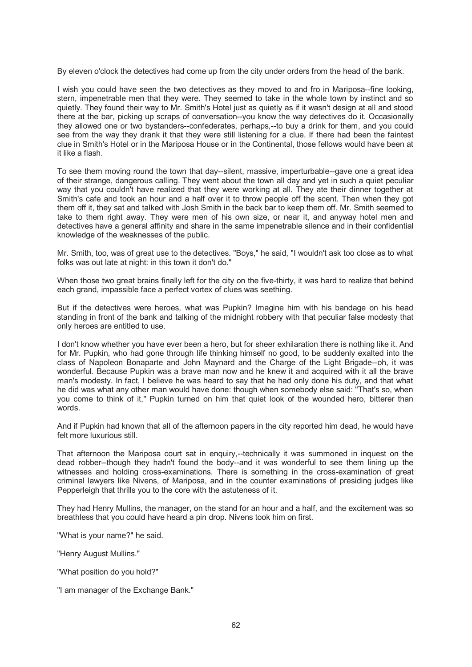By eleven o'clock the detectives had come up from the city under orders from the head of the bank.

I wish you could have seen the two detectives as they moved to and fro in Mariposa--fine looking, stern, impenetrable men that they were. They seemed to take in the whole town by instinct and so quietly. They found their way to Mr. Smith's Hotel just as quietly as if it wasn't design at all and stood there at the bar, picking up scraps of conversation--you know the way detectives do it. Occasionally they allowed one or two bystanders--confederates, perhaps,--to buy a drink for them, and you could see from the way they drank it that they were still listening for a clue. If there had been the faintest clue in Smith's Hotel or in the Mariposa House or in the Continental, those fellows would have been at it like a flash.

To see them moving round the town that day--silent, massive, imperturbable--gave one a great idea of their strange, dangerous calling. They went about the town all day and yet in such a quiet peculiar way that you couldn't have realized that they were working at all. They ate their dinner together at Smith's cafe and took an hour and a half over it to throw people off the scent. Then when they got them off it, they sat and talked with Josh Smith in the back bar to keep them off. Mr. Smith seemed to take to them right away. They were men of his own size, or near it, and anyway hotel men and detectives have a general affinity and share in the same impenetrable silence and in their confidential knowledge of the weaknesses of the public.

Mr. Smith, too, was of great use to the detectives. "Boys," he said, "I wouldn't ask too close as to what folks was out late at night: in this town it don't do."

When those two great brains finally left for the city on the five-thirty, it was hard to realize that behind each grand, impassible face a perfect vortex of clues was seething.

But if the detectives were heroes, what was Pupkin? Imagine him with his bandage on his head standing in front of the bank and talking of the midnight robbery with that peculiar false modesty that only heroes are entitled to use.

I don't know whether you have ever been a hero, but for sheer exhilaration there is nothing like it. And for Mr. Pupkin, who had gone through life thinking himself no good, to be suddenly exalted into the class of Napoleon Bonaparte and John Maynard and the Charge of the Light Brigade--oh, it was wonderful. Because Pupkin was a brave man now and he knew it and acquired with it all the brave man's modesty. In fact, I believe he was heard to say that he had only done his duty, and that what he did was what any other man would have done: though when somebody else said: "That's so, when you come to think of it," Pupkin turned on him that quiet look of the wounded hero, bitterer than words.

And if Pupkin had known that all of the afternoon papers in the city reported him dead, he would have felt more luxurious still.

That afternoon the Mariposa court sat in enquiry,--technically it was summoned in inquest on the dead robber--though they hadn't found the body--and it was wonderful to see them lining up the witnesses and holding cross-examinations. There is something in the cross-examination of great criminal lawyers like Nivens, of Mariposa, and in the counter examinations of presiding judges like Pepperleigh that thrills you to the core with the astuteness of it.

They had Henry Mullins, the manager, on the stand for an hour and a half, and the excitement was so breathless that you could have heard a pin drop. Nivens took him on first.

"What is your name?" he said.

"Henry August Mullins."

"What position do you hold?"

"I am manager of the Exchange Bank."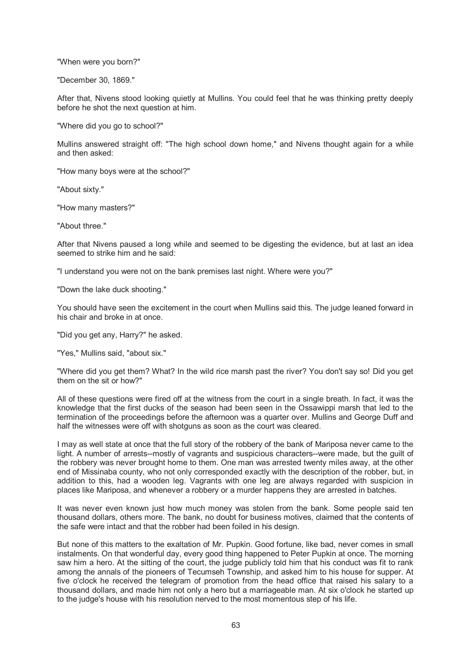"When were you born?"

"December 30, 1869."

After that, Nivens stood looking quietly at Mullins. You could feel that he was thinking pretty deeply before he shot the next question at him.

"Where did you go to school?"

Mullins answered straight off: "The high school down home," and Nivens thought again for a while and then asked:

"How many boys were at the school?"

"About sixty."

"How many masters?"

"About three."

After that Nivens paused a long while and seemed to be digesting the evidence, but at last an idea seemed to strike him and he said:

"I understand you were not on the bank premises last night. Where were you?"

"Down the lake duck shooting."

You should have seen the excitement in the court when Mullins said this. The judge leaned forward in his chair and broke in at once.

"Did you get any, Harry?" he asked.

"Yes," Mullins said, "about six."

"Where did you get them? What? In the wild rice marsh past the river? You don't say so! Did you get them on the sit or how?"

All of these questions were fired off at the witness from the court in a single breath. In fact, it was the knowledge that the first ducks of the season had been seen in the Ossawippi marsh that led to the termination of the proceedings before the afternoon was a quarter over. Mullins and George Duff and half the witnesses were off with shotguns as soon as the court was cleared.

I may as well state at once that the full story of the robbery of the bank of Mariposa never came to the light. A number of arrests--mostly of vagrants and suspicious characters--were made, but the guilt of the robbery was never brought home to them. One man was arrested twenty miles away, at the other end of Missinaba county, who not only corresponded exactly with the description of the robber, but, in addition to this, had a wooden leg. Vagrants with one leg are always regarded with suspicion in places like Mariposa, and whenever a robbery or a murder happens they are arrested in batches.

It was never even known just how much money was stolen from the bank. Some people said ten thousand dollars, others more. The bank, no doubt for business motives, claimed that the contents of the safe were intact and that the robber had been foiled in his design.

But none of this matters to the exaltation of Mr. Pupkin. Good fortune, like bad, never comes in small instalments. On that wonderful day, every good thing happened to Peter Pupkin at once. The morning saw him a hero. At the sitting of the court, the judge publicly told him that his conduct was fit to rank among the annals of the pioneers of Tecumseh Township, and asked him to his house for supper. At five o'clock he received the telegram of promotion from the head office that raised his salary to a thousand dollars, and made him not only a hero but a marriageable man. At six o'clock he started up to the judge's house with his resolution nerved to the most momentous step of his life.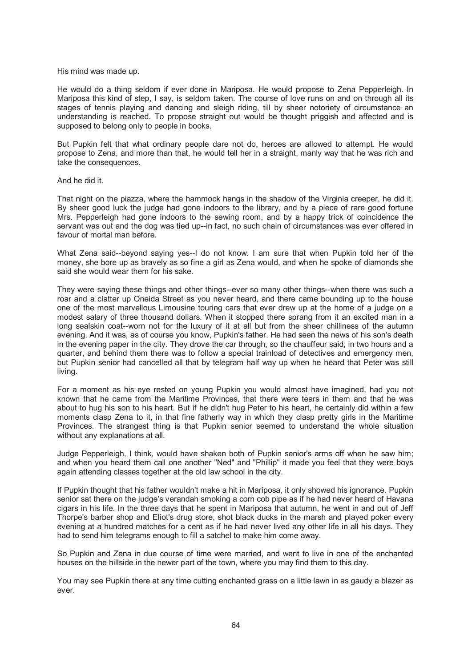His mind was made up.

He would do a thing seldom if ever done in Mariposa. He would propose to Zena Pepperleigh. In Mariposa this kind of step, I say, is seldom taken. The course of love runs on and on through all its stages of tennis playing and dancing and sleigh riding, till by sheer notoriety of circumstance an understanding is reached. To propose straight out would be thought priggish and affected and is supposed to belong only to people in books.

But Pupkin felt that what ordinary people dare not do, heroes are allowed to attempt. He would propose to Zena, and more than that, he would tell her in a straight, manly way that he was rich and take the consequences.

### And he did it.

That night on the piazza, where the hammock hangs in the shadow of the Virginia creeper, he did it. By sheer good luck the judge had gone indoors to the library, and by a piece of rare good fortune Mrs. Pepperleigh had gone indoors to the sewing room, and by a happy trick of coincidence the servant was out and the dog was tied up--in fact, no such chain of circumstances was ever offered in favour of mortal man before.

What Zena said--beyond saying yes--I do not know. I am sure that when Pupkin told her of the money, she bore up as bravely as so fine a girl as Zena would, and when he spoke of diamonds she said she would wear them for his sake.

They were saying these things and other things--ever so many other things--when there was such a roar and a clatter up Oneida Street as you never heard, and there came bounding up to the house one of the most marvellous Limousine touring cars that ever drew up at the home of a judge on a modest salary of three thousand dollars. When it stopped there sprang from it an excited man in a long sealskin coat--worn not for the luxury of it at all but from the sheer chilliness of the autumn evening. And it was, as of course you know, Pupkin's father. He had seen the news of his son's death in the evening paper in the city. They drove the car through, so the chauffeur said, in two hours and a quarter, and behind them there was to follow a special trainload of detectives and emergency men, but Pupkin senior had cancelled all that by telegram half way up when he heard that Peter was still living.

For a moment as his eye rested on young Pupkin you would almost have imagined, had you not known that he came from the Maritime Provinces, that there were tears in them and that he was about to hug his son to his heart. But if he didn't hug Peter to his heart, he certainly did within a few moments clasp Zena to it, in that fine fatherly way in which they clasp pretty girls in the Maritime Provinces. The strangest thing is that Pupkin senior seemed to understand the whole situation without any explanations at all.

Judge Pepperleigh, I think, would have shaken both of Pupkin senior's arms off when he saw him; and when you heard them call one another "Ned" and "Phillip" it made you feel that they were boys again attending classes together at the old law school in the city.

If Pupkin thought that his father wouldn't make a hit in Mariposa, it only showed his ignorance. Pupkin senior sat there on the judge's verandah smoking a corn cob pipe as if he had never heard of Havana cigars in his life. In the three days that he spent in Mariposa that autumn, he went in and out of Jeff Thorpe's barber shop and Eliot's drug store, shot black ducks in the marsh and played poker every evening at a hundred matches for a cent as if he had never lived any other life in all his days. They had to send him telegrams enough to fill a satchel to make him come away.

So Pupkin and Zena in due course of time were married, and went to live in one of the enchanted houses on the hillside in the newer part of the town, where you may find them to this day.

You may see Pupkin there at any time cutting enchanted grass on a little lawn in as gaudy a blazer as ever.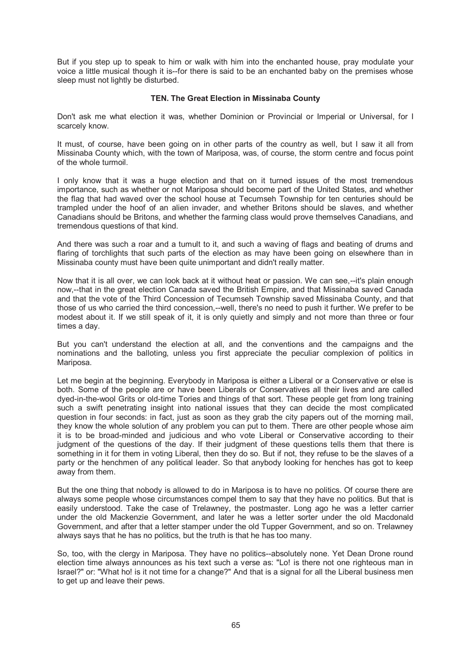But if you step up to speak to him or walk with him into the enchanted house, pray modulate your voice a little musical though it is--for there is said to be an enchanted baby on the premises whose sleep must not lightly be disturbed.

# **TEN. The Great Election in Missinaba County**

Don't ask me what election it was, whether Dominion or Provincial or Imperial or Universal, for I scarcely know.

It must, of course, have been going on in other parts of the country as well, but I saw it all from Missinaba County which, with the town of Mariposa, was, of course, the storm centre and focus point of the whole turmoil.

I only know that it was a huge election and that on it turned issues of the most tremendous importance, such as whether or not Mariposa should become part of the United States, and whether the flag that had waved over the school house at Tecumseh Township for ten centuries should be trampled under the hoof of an alien invader, and whether Britons should be slaves, and whether Canadians should be Britons, and whether the farming class would prove themselves Canadians, and tremendous questions of that kind.

And there was such a roar and a tumult to it, and such a waving of flags and beating of drums and flaring of torchlights that such parts of the election as may have been going on elsewhere than in Missinaba county must have been quite unimportant and didn't really matter.

Now that it is all over, we can look back at it without heat or passion. We can see,--it's plain enough now,--that in the great election Canada saved the British Empire, and that Missinaba saved Canada and that the vote of the Third Concession of Tecumseh Township saved Missinaba County, and that those of us who carried the third concession,--well, there's no need to push it further. We prefer to be modest about it. If we still speak of it, it is only quietly and simply and not more than three or four times a day.

But you can't understand the election at all, and the conventions and the campaigns and the nominations and the balloting, unless you first appreciate the peculiar complexion of politics in Mariposa.

Let me begin at the beginning. Everybody in Mariposa is either a Liberal or a Conservative or else is both. Some of the people are or have been Liberals or Conservatives all their lives and are called dyed-in-the-wool Grits or old-time Tories and things of that sort. These people get from long training such a swift penetrating insight into national issues that they can decide the most complicated question in four seconds: in fact, just as soon as they grab the city papers out of the morning mail, they know the whole solution of any problem you can put to them. There are other people whose aim it is to be broad-minded and judicious and who vote Liberal or Conservative according to their judgment of the questions of the day. If their judgment of these questions tells them that there is something in it for them in voting Liberal, then they do so. But if not, they refuse to be the slaves of a party or the henchmen of any political leader. So that anybody looking for henches has got to keep away from them.

But the one thing that nobody is allowed to do in Mariposa is to have no politics. Of course there are always some people whose circumstances compel them to say that they have no politics. But that is easily understood. Take the case of Trelawney, the postmaster. Long ago he was a letter carrier under the old Mackenzie Government, and later he was a letter sorter under the old Macdonald Government, and after that a letter stamper under the old Tupper Government, and so on. Trelawney always says that he has no politics, but the truth is that he has too many.

So, too, with the clergy in Mariposa. They have no politics--absolutely none. Yet Dean Drone round election time always announces as his text such a verse as: "Lo! is there not one righteous man in Israel?" or: "What ho! is it not time for a change?" And that is a signal for all the Liberal business men to get up and leave their pews.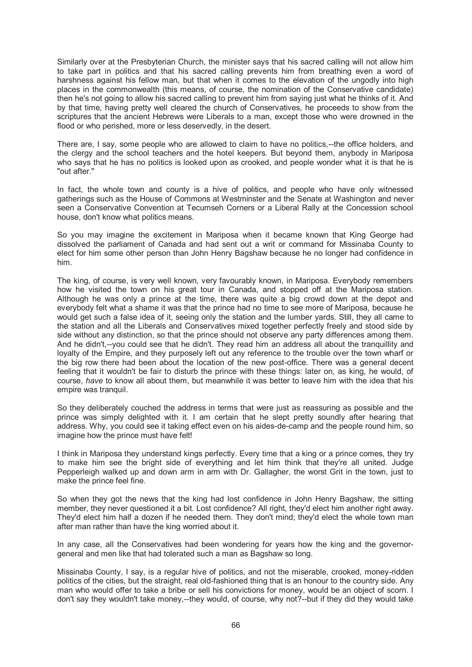Similarly over at the Presbyterian Church, the minister says that his sacred calling will not allow him to take part in politics and that his sacred calling prevents him from breathing even a word of harshness against his fellow man, but that when it comes to the elevation of the ungodly into high places in the commonwealth (this means, of course, the nomination of the Conservative candidate) then he's not going to allow his sacred calling to prevent him from saying just what he thinks of it. And by that time, having pretty well cleared the church of Conservatives, he proceeds to show from the scriptures that the ancient Hebrews were Liberals to a man, except those who were drowned in the flood or who perished, more or less deservedly, in the desert.

There are, I say, some people who are allowed to claim to have no politics,--the office holders, and the clergy and the school teachers and the hotel keepers. But beyond them, anybody in Mariposa who says that he has no politics is looked upon as crooked, and people wonder what it is that he is "out after."

In fact, the whole town and county is a hive of politics, and people who have only witnessed gatherings such as the House of Commons at Westminster and the Senate at Washington and never seen a Conservative Convention at Tecumseh Corners or a Liberal Rally at the Concession school house, don't know what politics means.

So you may imagine the excitement in Mariposa when it became known that King George had dissolved the parliament of Canada and had sent out a writ or command for Missinaba County to elect for him some other person than John Henry Bagshaw because he no longer had confidence in him.

The king, of course, is very well known, very favourably known, in Mariposa. Everybody remembers how he visited the town on his great tour in Canada, and stopped off at the Mariposa station. Although he was only a prince at the time, there was quite a big crowd down at the depot and everybody felt what a shame it was that the prince had no time to see more of Mariposa, because he would get such a false idea of it, seeing only the station and the lumber yards. Still, they all came to the station and all the Liberals and Conservatives mixed together perfectly freely and stood side by side without any distinction, so that the prince should not observe any party differences among them. And he didn't,--you could see that he didn't. They read him an address all about the tranquillity and loyalty of the Empire, and they purposely left out any reference to the trouble over the town wharf or the big row there had been about the location of the new post-office. There was a general decent feeling that it wouldn't be fair to disturb the prince with these things: later on, as king, he would, of course, *have* to know all about them, but meanwhile it was better to leave him with the idea that his empire was tranquil.

So they deliberately couched the address in terms that were just as reassuring as possible and the prince was simply delighted with it. I am certain that he slept pretty soundly after hearing that address. Why, you could see it taking effect even on his aides-de-camp and the people round him, so imagine how the prince must have felt!

I think in Mariposa they understand kings perfectly. Every time that a king or a prince comes, they try to make him see the bright side of everything and let him think that they're all united. Judge Pepperleigh walked up and down arm in arm with Dr. Gallagher, the worst Grit in the town, just to make the prince feel fine.

So when they got the news that the king had lost confidence in John Henry Bagshaw, the sitting member, they never questioned it a bit. Lost confidence? All right, they'd elect him another right away. They'd elect him half a dozen if he needed them. They don't mind; they'd elect the whole town man after man rather than have the king worried about it.

In any case, all the Conservatives had been wondering for years how the king and the governorgeneral and men like that had tolerated such a man as Bagshaw so long.

Missinaba County, I say, is a regular hive of politics, and not the miserable, crooked, money-ridden politics of the cities, but the straight, real old-fashioned thing that is an honour to the country side. Any man who would offer to take a bribe or sell his convictions for money, would be an object of scorn. I don't say they wouldn't take money,--they would, of course, why not?--but if they did they would take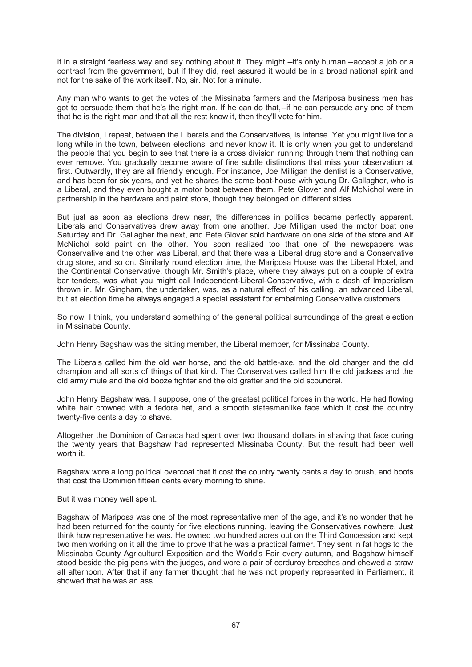it in a straight fearless way and say nothing about it. They might,--it's only human,--accept a job or a contract from the government, but if they did, rest assured it would be in a broad national spirit and not for the sake of the work itself. No, sir. Not for a minute.

Any man who wants to get the votes of the Missinaba farmers and the Mariposa business men has got to persuade them that he's the right man. If he can do that,--if he can persuade any one of them that he is the right man and that all the rest know it, then they'll vote for him.

The division, I repeat, between the Liberals and the Conservatives, is intense. Yet you might live for a long while in the town, between elections, and never know it. It is only when you get to understand the people that you begin to see that there is a cross division running through them that nothing can ever remove. You gradually become aware of fine subtle distinctions that miss your observation at first. Outwardly, they are all friendly enough. For instance, Joe Milligan the dentist is a Conservative, and has been for six years, and yet he shares the same boat-house with young Dr. Gallagher, who is a Liberal, and they even bought a motor boat between them. Pete Glover and Alf McNichol were in partnership in the hardware and paint store, though they belonged on different sides.

But just as soon as elections drew near, the differences in politics became perfectly apparent. Liberals and Conservatives drew away from one another. Joe Milligan used the motor boat one Saturday and Dr. Gallagher the next, and Pete Glover sold hardware on one side of the store and Alf McNichol sold paint on the other. You soon realized too that one of the newspapers was Conservative and the other was Liberal, and that there was a Liberal drug store and a Conservative drug store, and so on. Similarly round election time, the Mariposa House was the Liberal Hotel, and the Continental Conservative, though Mr. Smith's place, where they always put on a couple of extra bar tenders, was what you might call Independent-Liberal-Conservative, with a dash of Imperialism thrown in. Mr. Gingham, the undertaker, was, as a natural effect of his calling, an advanced Liberal, but at election time he always engaged a special assistant for embalming Conservative customers.

So now, I think, you understand something of the general political surroundings of the great election in Missinaba County.

John Henry Bagshaw was the sitting member, the Liberal member, for Missinaba County.

The Liberals called him the old war horse, and the old battle-axe, and the old charger and the old champion and all sorts of things of that kind. The Conservatives called him the old jackass and the old army mule and the old booze fighter and the old grafter and the old scoundrel.

John Henry Bagshaw was, I suppose, one of the greatest political forces in the world. He had flowing white hair crowned with a fedora hat, and a smooth statesmanlike face which it cost the country twenty-five cents a day to shave.

Altogether the Dominion of Canada had spent over two thousand dollars in shaving that face during the twenty years that Bagshaw had represented Missinaba County. But the result had been well worth it.

Bagshaw wore a long political overcoat that it cost the country twenty cents a day to brush, and boots that cost the Dominion fifteen cents every morning to shine.

#### But it was money well spent.

Bagshaw of Mariposa was one of the most representative men of the age, and it's no wonder that he had been returned for the county for five elections running, leaving the Conservatives nowhere. Just think how representative he was. He owned two hundred acres out on the Third Concession and kept two men working on it all the time to prove that he was a practical farmer. They sent in fat hogs to the Missinaba County Agricultural Exposition and the World's Fair every autumn, and Bagshaw himself stood beside the pig pens with the judges, and wore a pair of corduroy breeches and chewed a straw all afternoon. After that if any farmer thought that he was not properly represented in Parliament, it showed that he was an ass.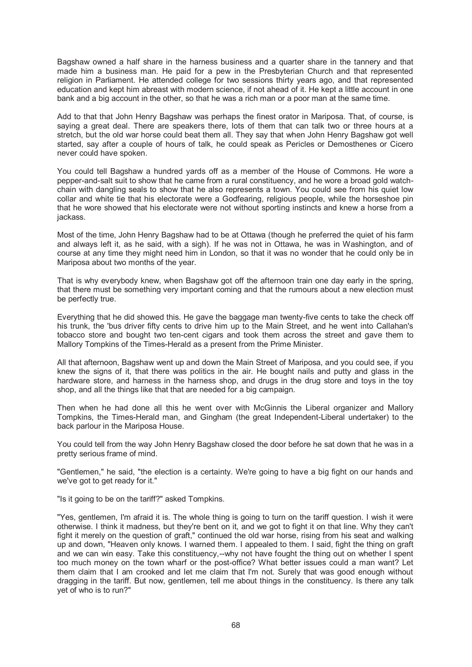Bagshaw owned a half share in the harness business and a quarter share in the tannery and that made him a business man. He paid for a pew in the Presbyterian Church and that represented religion in Parliament. He attended college for two sessions thirty years ago, and that represented education and kept him abreast with modern science, if not ahead of it. He kept a little account in one bank and a big account in the other, so that he was a rich man or a poor man at the same time.

Add to that that John Henry Bagshaw was perhaps the finest orator in Mariposa. That, of course, is saying a great deal. There are speakers there, lots of them that can talk two or three hours at a stretch, but the old war horse could beat them all. They say that when John Henry Bagshaw got well started, say after a couple of hours of talk, he could speak as Pericles or Demosthenes or Cicero never could have spoken.

You could tell Bagshaw a hundred yards off as a member of the House of Commons. He wore a pepper-and-salt suit to show that he came from a rural constituency, and he wore a broad gold watchchain with dangling seals to show that he also represents a town. You could see from his quiet low collar and white tie that his electorate were a Godfearing, religious people, while the horseshoe pin that he wore showed that his electorate were not without sporting instincts and knew a horse from a jackass.

Most of the time, John Henry Bagshaw had to be at Ottawa (though he preferred the quiet of his farm and always left it, as he said, with a sigh). If he was not in Ottawa, he was in Washington, and of course at any time they might need him in London, so that it was no wonder that he could only be in Mariposa about two months of the year.

That is why everybody knew, when Bagshaw got off the afternoon train one day early in the spring, that there must be something very important coming and that the rumours about a new election must be perfectly true.

Everything that he did showed this. He gave the baggage man twenty-five cents to take the check off his trunk, the 'bus driver fifty cents to drive him up to the Main Street, and he went into Callahan's tobacco store and bought two ten-cent cigars and took them across the street and gave them to Mallory Tompkins of the Times-Herald as a present from the Prime Minister.

All that afternoon, Bagshaw went up and down the Main Street of Mariposa, and you could see, if you knew the signs of it, that there was politics in the air. He bought nails and putty and glass in the hardware store, and harness in the harness shop, and drugs in the drug store and toys in the toy shop, and all the things like that that are needed for a big campaign.

Then when he had done all this he went over with McGinnis the Liberal organizer and Mallory Tompkins, the Times-Herald man, and Gingham (the great Independent-Liberal undertaker) to the back parlour in the Mariposa House.

You could tell from the way John Henry Bagshaw closed the door before he sat down that he was in a pretty serious frame of mind.

"Gentlemen," he said, "the election is a certainty. We're going to have a big fight on our hands and we've got to get ready for it."

"Is it going to be on the tariff?" asked Tompkins.

"Yes, gentlemen, I'm afraid it is. The whole thing is going to turn on the tariff question. I wish it were otherwise. I think it madness, but they're bent on it, and we got to fight it on that line. Why they can't fight it merely on the question of graft," continued the old war horse, rising from his seat and walking up and down, "Heaven only knows. I warned them. I appealed to them. I said, fight the thing on graft and we can win easy. Take this constituency,--why not have fought the thing out on whether I spent too much money on the town wharf or the post-office? What better issues could a man want? Let them claim that I am crooked and let me claim that I'm not. Surely that was good enough without dragging in the tariff. But now, gentlemen, tell me about things in the constituency. Is there any talk yet of who is to run?"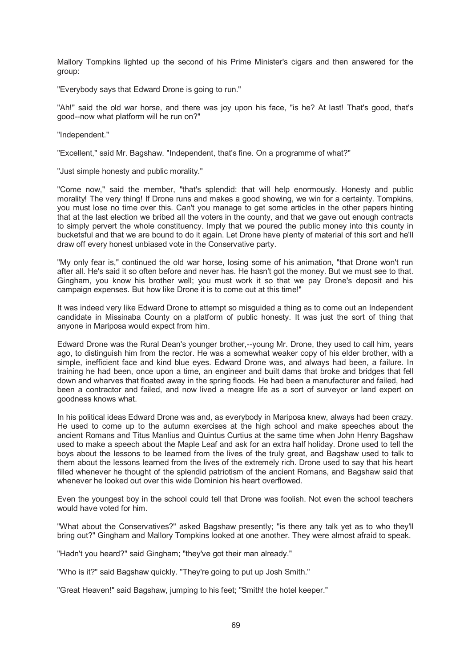Mallory Tompkins lighted up the second of his Prime Minister's cigars and then answered for the group:

"Everybody says that Edward Drone is going to run."

"Ah!" said the old war horse, and there was joy upon his face, "is he? At last! That's good, that's good--now what platform will he run on?"

"Independent."

"Excellent," said Mr. Bagshaw. "Independent, that's fine. On a programme of what?"

"Just simple honesty and public morality."

"Come now," said the member, "that's splendid: that will help enormously. Honesty and public morality! The very thing! If Drone runs and makes a good showing, we win for a certainty. Tompkins, you must lose no time over this. Can't you manage to get some articles in the other papers hinting that at the last election we bribed all the voters in the county, and that we gave out enough contracts to simply pervert the whole constituency. Imply that we poured the public money into this county in bucketsful and that we are bound to do it again. Let Drone have plenty of material of this sort and he'll draw off every honest unbiased vote in the Conservative party.

"My only fear is," continued the old war horse, losing some of his animation, "that Drone won't run after all. He's said it so often before and never has. He hasn't got the money. But we must see to that. Gingham, you know his brother well; you must work it so that we pay Drone's deposit and his campaign expenses. But how like Drone it is to come out at this time!"

It was indeed very like Edward Drone to attempt so misguided a thing as to come out an Independent candidate in Missinaba County on a platform of public honesty. It was just the sort of thing that anyone in Mariposa would expect from him.

Edward Drone was the Rural Dean's younger brother,--young Mr. Drone, they used to call him, years ago, to distinguish him from the rector. He was a somewhat weaker copy of his elder brother, with a simple, inefficient face and kind blue eyes. Edward Drone was, and always had been, a failure. In training he had been, once upon a time, an engineer and built dams that broke and bridges that fell down and wharves that floated away in the spring floods. He had been a manufacturer and failed, had been a contractor and failed, and now lived a meagre life as a sort of surveyor or land expert on goodness knows what.

In his political ideas Edward Drone was and, as everybody in Mariposa knew, always had been crazy. He used to come up to the autumn exercises at the high school and make speeches about the ancient Romans and Titus Manlius and Quintus Curtius at the same time when John Henry Bagshaw used to make a speech about the Maple Leaf and ask for an extra half holiday. Drone used to tell the boys about the lessons to be learned from the lives of the truly great, and Bagshaw used to talk to them about the lessons learned from the lives of the extremely rich. Drone used to say that his heart filled whenever he thought of the splendid patriotism of the ancient Romans, and Bagshaw said that whenever he looked out over this wide Dominion his heart overflowed.

Even the youngest boy in the school could tell that Drone was foolish. Not even the school teachers would have voted for him.

"What about the Conservatives?" asked Bagshaw presently; "is there any talk yet as to who they'll bring out?" Gingham and Mallory Tompkins looked at one another. They were almost afraid to speak.

"Hadn't you heard?" said Gingham; "they've got their man already."

"Who is it?" said Bagshaw quickly. "They're going to put up Josh Smith."

"Great Heaven!" said Bagshaw, jumping to his feet; "Smith! the hotel keeper."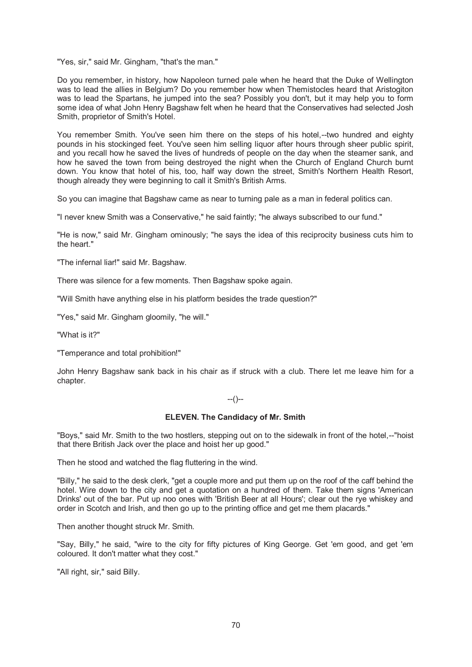"Yes, sir," said Mr. Gingham, "that's the man."

Do you remember, in history, how Napoleon turned pale when he heard that the Duke of Wellington was to lead the allies in Belgium? Do you remember how when Themistocles heard that Aristogiton was to lead the Spartans, he jumped into the sea? Possibly you don't, but it may help you to form some idea of what John Henry Bagshaw felt when he heard that the Conservatives had selected Josh Smith, proprietor of Smith's Hotel.

You remember Smith. You've seen him there on the steps of his hotel,--two hundred and eighty pounds in his stockinged feet. You've seen him selling liquor after hours through sheer public spirit, and you recall how he saved the lives of hundreds of people on the day when the steamer sank, and how he saved the town from being destroyed the night when the Church of England Church burnt down. You know that hotel of his, too, half way down the street, Smith's Northern Health Resort, though already they were beginning to call it Smith's British Arms.

So you can imagine that Bagshaw came as near to turning pale as a man in federal politics can.

"I never knew Smith was a Conservative," he said faintly; "he always subscribed to our fund."

"He is now," said Mr. Gingham ominously; "he says the idea of this reciprocity business cuts him to the heart."

"The infernal liar!" said Mr. Bagshaw.

There was silence for a few moments. Then Bagshaw spoke again.

"Will Smith have anything else in his platform besides the trade question?"

"Yes," said Mr. Gingham gloomily, "he will."

"What is it?"

"Temperance and total prohibition!"

John Henry Bagshaw sank back in his chair as if struck with a club. There let me leave him for a chapter.

--()--

### **ELEVEN. The Candidacy of Mr. Smith**

"Boys," said Mr. Smith to the two hostlers, stepping out on to the sidewalk in front of the hotel,--"hoist that there British Jack over the place and hoist her up good."

Then he stood and watched the flag fluttering in the wind.

"Billy," he said to the desk clerk, "get a couple more and put them up on the roof of the caff behind the hotel. Wire down to the city and get a quotation on a hundred of them. Take them signs 'American Drinks' out of the bar. Put up noo ones with 'British Beer at all Hours'; clear out the rye whiskey and order in Scotch and Irish, and then go up to the printing office and get me them placards."

Then another thought struck Mr. Smith.

"Say, Billy," he said, "wire to the city for fifty pictures of King George. Get 'em good, and get 'em coloured. It don't matter what they cost."

"All right, sir," said Billy.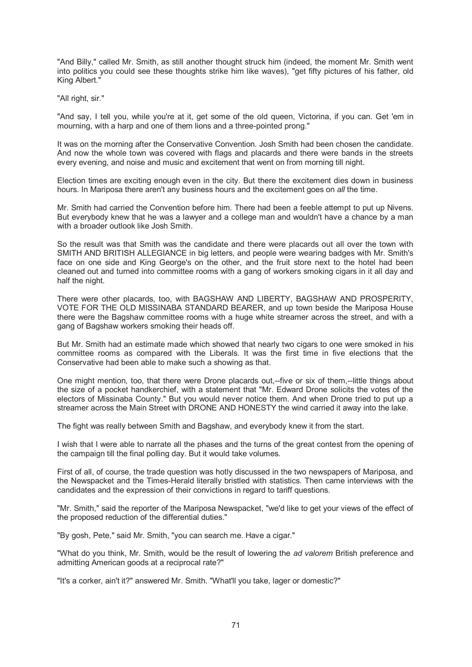"And Billy," called Mr. Smith, as still another thought struck him (indeed, the moment Mr. Smith went into politics you could see these thoughts strike him like waves), "get fifty pictures of his father, old King Albert."

"All right, sir."

"And say, I tell you, while you're at it, get some of the old queen, Victorina, if you can. Get 'em in mourning, with a harp and one of them lions and a three-pointed prong."

It was on the morning after the Conservative Convention. Josh Smith had been chosen the candidate. And now the whole town was covered with flags and placards and there were bands in the streets every evening, and noise and music and excitement that went on from morning till night.

Election times are exciting enough even in the city. But there the excitement dies down in business hours. In Mariposa there aren't any business hours and the excitement goes on *all* the time.

Mr. Smith had carried the Convention before him. There had been a feeble attempt to put up Nivens. But everybody knew that he was a lawyer and a college man and wouldn't have a chance by a man with a broader outlook like Josh Smith.

So the result was that Smith was the candidate and there were placards out all over the town with SMITH AND BRITISH ALLEGIANCE in big letters, and people were wearing badges with Mr. Smith's face on one side and King George's on the other, and the fruit store next to the hotel had been cleaned out and turned into committee rooms with a gang of workers smoking cigars in it all day and half the night.

There were other placards, too, with BAGSHAW AND LIBERTY, BAGSHAW AND PROSPERITY, VOTE FOR THE OLD MISSINABA STANDARD BEARER, and up town beside the Mariposa House there were the Bagshaw committee rooms with a huge white streamer across the street, and with a gang of Bagshaw workers smoking their heads off.

But Mr. Smith had an estimate made which showed that nearly two cigars to one were smoked in his committee rooms as compared with the Liberals. It was the first time in five elections that the Conservative had been able to make such a showing as that.

One might mention, too, that there were Drone placards out,--five or six of them,--little things about the size of a pocket handkerchief, with a statement that "Mr. Edward Drone solicits the votes of the electors of Missinaba County." But you would never notice them. And when Drone tried to put up a streamer across the Main Street with DRONE AND HONESTY the wind carried it away into the lake.

The fight was really between Smith and Bagshaw, and everybody knew it from the start.

I wish that I were able to narrate all the phases and the turns of the great contest from the opening of the campaign till the final polling day. But it would take volumes.

First of all, of course, the trade question was hotly discussed in the two newspapers of Mariposa, and the Newspacket and the Times-Herald literally bristled with statistics. Then came interviews with the candidates and the expression of their convictions in regard to tariff questions.

"Mr. Smith," said the reporter of the Mariposa Newspacket, "we'd like to get your views of the effect of the proposed reduction of the differential duties."

"By gosh, Pete," said Mr. Smith, "you can search me. Have a cigar."

"What do you think, Mr. Smith, would be the result of lowering the *ad valorem* British preference and admitting American goods at a reciprocal rate?"

"It's a corker, ain't it?" answered Mr. Smith. "What'll you take, lager or domestic?"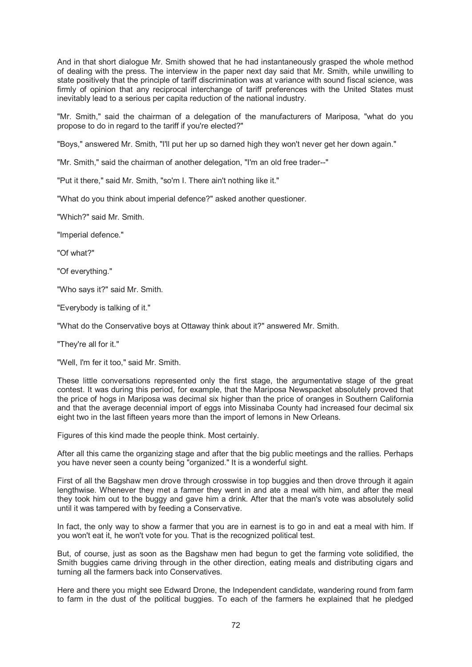And in that short dialogue Mr. Smith showed that he had instantaneously grasped the whole method of dealing with the press. The interview in the paper next day said that Mr. Smith, while unwilling to state positively that the principle of tariff discrimination was at variance with sound fiscal science, was firmly of opinion that any reciprocal interchange of tariff preferences with the United States must inevitably lead to a serious per capita reduction of the national industry.

"Mr. Smith," said the chairman of a delegation of the manufacturers of Mariposa, "what do you propose to do in regard to the tariff if you're elected?"

"Boys," answered Mr. Smith, "I'll put her up so darned high they won't never get her down again."

"Mr. Smith," said the chairman of another delegation, "I'm an old free trader--"

"Put it there," said Mr. Smith, "so'm I. There ain't nothing like it."

"What do you think about imperial defence?" asked another questioner.

"Which?" said Mr. Smith.

"Imperial defence."

"Of what?"

"Of everything."

"Who says it?" said Mr. Smith.

"Everybody is talking of it."

"What do the Conservative boys at Ottaway think about it?" answered Mr. Smith.

"They're all for it."

"Well, I'm fer it too," said Mr. Smith.

These little conversations represented only the first stage, the argumentative stage of the great contest. It was during this period, for example, that the Mariposa Newspacket absolutely proved that the price of hogs in Mariposa was decimal six higher than the price of oranges in Southern California and that the average decennial import of eggs into Missinaba County had increased four decimal six eight two in the last fifteen years more than the import of lemons in New Orleans.

Figures of this kind made the people think. Most certainly.

After all this came the organizing stage and after that the big public meetings and the rallies. Perhaps you have never seen a county being "organized." It is a wonderful sight.

First of all the Bagshaw men drove through crosswise in top buggies and then drove through it again lengthwise. Whenever they met a farmer they went in and ate a meal with him, and after the meal they took him out to the buggy and gave him a drink. After that the man's vote was absolutely solid until it was tampered with by feeding a Conservative.

In fact, the only way to show a farmer that you are in earnest is to go in and eat a meal with him. If you won't eat it, he won't vote for you. That is the recognized political test.

But, of course, just as soon as the Bagshaw men had begun to get the farming vote solidified, the Smith buggies came driving through in the other direction, eating meals and distributing cigars and turning all the farmers back into Conservatives.

Here and there you might see Edward Drone, the Independent candidate, wandering round from farm to farm in the dust of the political buggies. To each of the farmers he explained that he pledged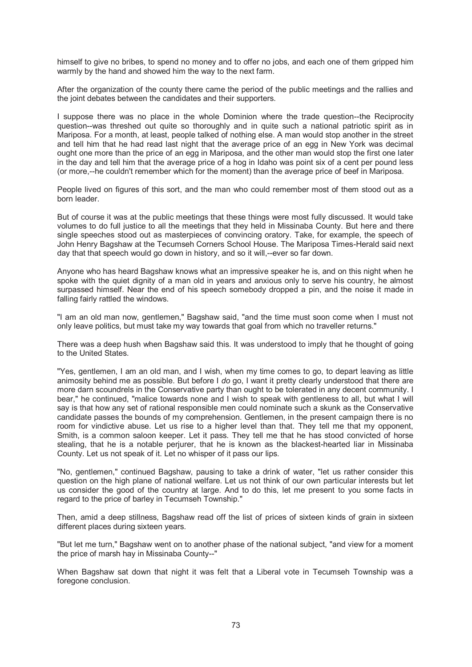himself to give no bribes, to spend no money and to offer no jobs, and each one of them gripped him warmly by the hand and showed him the way to the next farm.

After the organization of the county there came the period of the public meetings and the rallies and the joint debates between the candidates and their supporters.

I suppose there was no place in the whole Dominion where the trade question--the Reciprocity question--was threshed out quite so thoroughly and in quite such a national patriotic spirit as in Mariposa. For a month, at least, people talked of nothing else. A man would stop another in the street and tell him that he had read last night that the average price of an egg in New York was decimal ought one more than the price of an egg in Mariposa, and the other man would stop the first one later in the day and tell him that the average price of a hog in Idaho was point six of a cent per pound less (or more,--he couldn't remember which for the moment) than the average price of beef in Mariposa.

People lived on figures of this sort, and the man who could remember most of them stood out as a born leader.

But of course it was at the public meetings that these things were most fully discussed. It would take volumes to do full justice to all the meetings that they held in Missinaba County. But here and there single speeches stood out as masterpieces of convincing oratory. Take, for example, the speech of John Henry Bagshaw at the Tecumseh Corners School House. The Mariposa Times-Herald said next day that that speech would go down in history, and so it will,--ever so far down.

Anyone who has heard Bagshaw knows what an impressive speaker he is, and on this night when he spoke with the quiet dignity of a man old in years and anxious only to serve his country, he almost surpassed himself. Near the end of his speech somebody dropped a pin, and the noise it made in falling fairly rattled the windows.

"I am an old man now, gentlemen," Bagshaw said, "and the time must soon come when I must not only leave politics, but must take my way towards that goal from which no traveller returns."

There was a deep hush when Bagshaw said this. It was understood to imply that he thought of going to the United States.

"Yes, gentlemen, I am an old man, and I wish, when my time comes to go, to depart leaving as little animosity behind me as possible. But before I *do* go, I want it pretty clearly understood that there are more darn scoundrels in the Conservative party than ought to be tolerated in any decent community. I bear," he continued, "malice towards none and I wish to speak with gentleness to all, but what I will say is that how any set of rational responsible men could nominate such a skunk as the Conservative candidate passes the bounds of my comprehension. Gentlemen, in the present campaign there is no room for vindictive abuse. Let us rise to a higher level than that. They tell me that my opponent, Smith, is a common saloon keeper. Let it pass. They tell me that he has stood convicted of horse stealing, that he is a notable perjurer, that he is known as the blackest-hearted liar in Missinaba County. Let us not speak of it. Let no whisper of it pass our lips.

"No, gentlemen," continued Bagshaw, pausing to take a drink of water, "let us rather consider this question on the high plane of national welfare. Let us not think of our own particular interests but let us consider the good of the country at large. And to do this, let me present to you some facts in regard to the price of barley in Tecumseh Township."

Then, amid a deep stillness, Bagshaw read off the list of prices of sixteen kinds of grain in sixteen different places during sixteen years.

"But let me turn," Bagshaw went on to another phase of the national subject, "and view for a moment the price of marsh hay in Missinaba County--"

When Bagshaw sat down that night it was felt that a Liberal vote in Tecumseh Township was a foregone conclusion.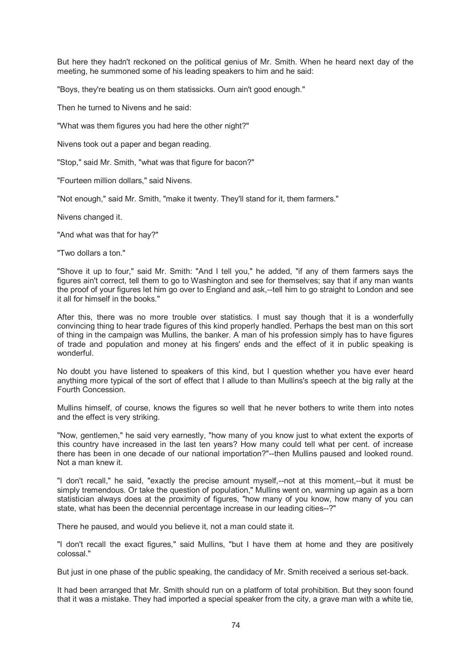But here they hadn't reckoned on the political genius of Mr. Smith. When he heard next day of the meeting, he summoned some of his leading speakers to him and he said:

"Boys, they're beating us on them statissicks. Ourn ain't good enough."

Then he turned to Nivens and he said:

"What was them figures you had here the other night?"

Nivens took out a paper and began reading.

"Stop," said Mr. Smith, "what was that figure for bacon?"

"Fourteen million dollars," said Nivens.

"Not enough," said Mr. Smith, "make it twenty. They'll stand for it, them farmers."

Nivens changed it.

"And what was that for hay?"

"Two dollars a ton."

"Shove it up to four," said Mr. Smith: "And I tell you," he added, "if any of them farmers says the figures ain't correct, tell them to go to Washington and see for themselves; say that if any man wants the proof of your figures let him go over to England and ask,--tell him to go straight to London and see it all for himself in the books."

After this, there was no more trouble over statistics. I must say though that it is a wonderfully convincing thing to hear trade figures of this kind properly handled. Perhaps the best man on this sort of thing in the campaign was Mullins, the banker. A man of his profession simply has to have figures of trade and population and money at his fingers' ends and the effect of it in public speaking is wonderful.

No doubt you have listened to speakers of this kind, but I question whether you have ever heard anything more typical of the sort of effect that I allude to than Mullins's speech at the big rally at the Fourth Concession.

Mullins himself, of course, knows the figures so well that he never bothers to write them into notes and the effect is very striking.

"Now, gentlemen," he said very earnestly, "how many of you know just to what extent the exports of this country have increased in the last ten years? How many could tell what per cent. of increase there has been in one decade of our national importation?"--then Mullins paused and looked round. Not a man knew it.

"I don't recall," he said, "exactly the precise amount myself,--not at this moment,--but it must be simply tremendous. Or take the question of population," Mullins went on, warming up again as a born statistician always does at the proximity of figures, "how many of you know, how many of you can state, what has been the decennial percentage increase in our leading cities--?"

There he paused, and would you believe it, not a man could state it.

"I don't recall the exact figures," said Mullins, "but I have them at home and they are positively colossal."

But just in one phase of the public speaking, the candidacy of Mr. Smith received a serious set-back.

It had been arranged that Mr. Smith should run on a platform of total prohibition. But they soon found that it was a mistake. They had imported a special speaker from the city, a grave man with a white tie,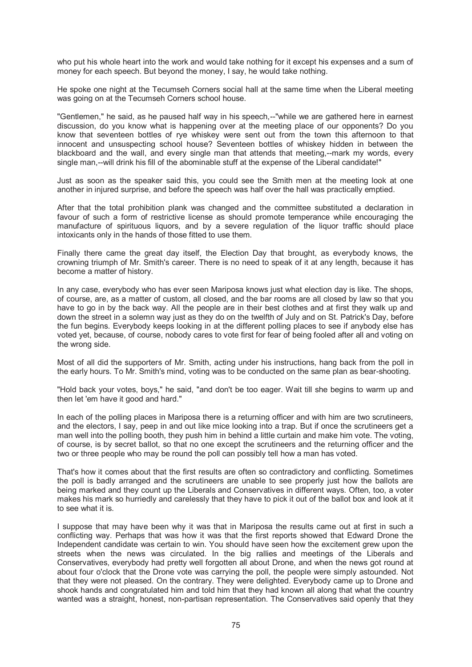who put his whole heart into the work and would take nothing for it except his expenses and a sum of money for each speech. But beyond the money, I say, he would take nothing.

He spoke one night at the Tecumseh Corners social hall at the same time when the Liberal meeting was going on at the Tecumseh Corners school house.

"Gentlemen," he said, as he paused half way in his speech,--"while we are gathered here in earnest discussion, do you know what is happening over at the meeting place of our opponents? Do you know that seventeen bottles of rye whiskey were sent out from the town this afternoon to that innocent and unsuspecting school house? Seventeen bottles of whiskey hidden in between the blackboard and the wall, and every single man that attends that meeting,--mark my words, every single man,--will drink his fill of the abominable stuff at the expense of the Liberal candidate!"

Just as soon as the speaker said this, you could see the Smith men at the meeting look at one another in injured surprise, and before the speech was half over the hall was practically emptied.

After that the total prohibition plank was changed and the committee substituted a declaration in favour of such a form of restrictive license as should promote temperance while encouraging the manufacture of spirituous liquors, and by a severe regulation of the liquor traffic should place intoxicants only in the hands of those fitted to use them.

Finally there came the great day itself, the Election Day that brought, as everybody knows, the crowning triumph of Mr. Smith's career. There is no need to speak of it at any length, because it has become a matter of history.

In any case, everybody who has ever seen Mariposa knows just what election day is like. The shops, of course, are, as a matter of custom, all closed, and the bar rooms are all closed by law so that you have to go in by the back way. All the people are in their best clothes and at first they walk up and down the street in a solemn way just as they do on the twelfth of July and on St. Patrick's Day, before the fun begins. Everybody keeps looking in at the different polling places to see if anybody else has voted yet, because, of course, nobody cares to vote first for fear of being fooled after all and voting on the wrong side.

Most of all did the supporters of Mr. Smith, acting under his instructions, hang back from the poll in the early hours. To Mr. Smith's mind, voting was to be conducted on the same plan as bear-shooting.

"Hold back your votes, boys," he said, "and don't be too eager. Wait till she begins to warm up and then let 'em have it good and hard."

In each of the polling places in Mariposa there is a returning officer and with him are two scrutineers, and the electors, I say, peep in and out like mice looking into a trap. But if once the scrutineers get a man well into the polling booth, they push him in behind a little curtain and make him vote. The voting, of course, is by secret ballot, so that no one except the scrutineers and the returning officer and the two or three people who may be round the poll can possibly tell how a man has voted.

That's how it comes about that the first results are often so contradictory and conflicting. Sometimes the poll is badly arranged and the scrutineers are unable to see properly just how the ballots are being marked and they count up the Liberals and Conservatives in different ways. Often, too, a voter makes his mark so hurriedly and carelessly that they have to pick it out of the ballot box and look at it to see what it is.

I suppose that may have been why it was that in Mariposa the results came out at first in such a conflicting way. Perhaps that was how it was that the first reports showed that Edward Drone the Independent candidate was certain to win. You should have seen how the excitement grew upon the streets when the news was circulated. In the big rallies and meetings of the Liberals and Conservatives, everybody had pretty well forgotten all about Drone, and when the news got round at about four o'clock that the Drone vote was carrying the poll, the people were simply astounded. Not that they were not pleased. On the contrary. They were delighted. Everybody came up to Drone and shook hands and congratulated him and told him that they had known all along that what the country wanted was a straight, honest, non-partisan representation. The Conservatives said openly that they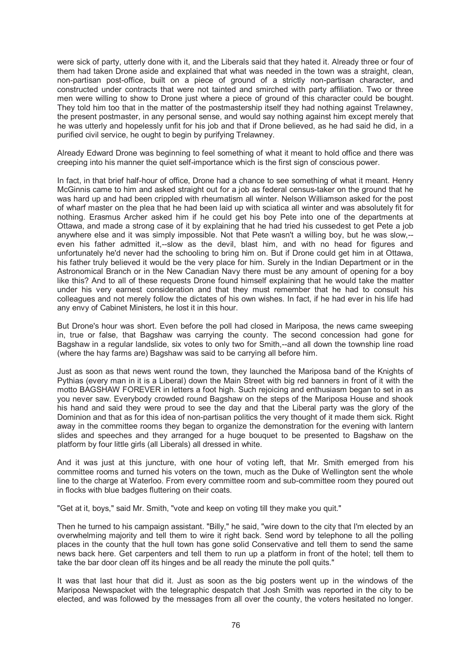were sick of party, utterly done with it, and the Liberals said that they hated it. Already three or four of them had taken Drone aside and explained that what was needed in the town was a straight, clean, non-partisan post-office, built on a piece of ground of a strictly non-partisan character, and constructed under contracts that were not tainted and smirched with party affiliation. Two or three men were willing to show to Drone just where a piece of ground of this character could be bought. They told him too that in the matter of the postmastership itself they had nothing against Trelawney, the present postmaster, in any personal sense, and would say nothing against him except merely that he was utterly and hopelessly unfit for his job and that if Drone believed, as he had said he did, in a purified civil service, he ought to begin by purifying Trelawney.

Already Edward Drone was beginning to feel something of what it meant to hold office and there was creeping into his manner the quiet self-importance which is the first sign of conscious power.

In fact, in that brief half-hour of office, Drone had a chance to see something of what it meant. Henry McGinnis came to him and asked straight out for a job as federal census-taker on the ground that he was hard up and had been crippled with rheumatism all winter. Nelson Williamson asked for the post of wharf master on the plea that he had been laid up with sciatica all winter and was absolutely fit for nothing. Erasmus Archer asked him if he could get his boy Pete into one of the departments at Ottawa, and made a strong case of it by explaining that he had tried his cussedest to get Pete a job anywhere else and it was simply impossible. Not that Pete wasn't a willing boy, but he was slow,- even his father admitted it,--slow as the devil, blast him, and with no head for figures and unfortunately he'd never had the schooling to bring him on. But if Drone could get him in at Ottawa, his father truly believed it would be the very place for him. Surely in the Indian Department or in the Astronomical Branch or in the New Canadian Navy there must be any amount of opening for a boy like this? And to all of these requests Drone found himself explaining that he would take the matter under his very earnest consideration and that they must remember that he had to consult his colleagues and not merely follow the dictates of his own wishes. In fact, if he had ever in his life had any envy of Cabinet Ministers, he lost it in this hour.

But Drone's hour was short. Even before the poll had closed in Mariposa, the news came sweeping in, true or false, that Bagshaw was carrying the county. The second concession had gone for Bagshaw in a regular landslide, six votes to only two for Smith,--and all down the township line road (where the hay farms are) Bagshaw was said to be carrying all before him.

Just as soon as that news went round the town, they launched the Mariposa band of the Knights of Pythias (every man in it is a Liberal) down the Main Street with big red banners in front of it with the motto BAGSHAW FOREVER in letters a foot high. Such rejoicing and enthusiasm began to set in as you never saw. Everybody crowded round Bagshaw on the steps of the Mariposa House and shook his hand and said they were proud to see the day and that the Liberal party was the glory of the Dominion and that as for this idea of non-partisan politics the very thought of it made them sick. Right away in the committee rooms they began to organize the demonstration for the evening with lantern slides and speeches and they arranged for a huge bouquet to be presented to Bagshaw on the platform by four little girls (all Liberals) all dressed in white.

And it was just at this juncture, with one hour of voting left, that Mr. Smith emerged from his committee rooms and turned his voters on the town, much as the Duke of Wellington sent the whole line to the charge at Waterloo. From every committee room and sub-committee room they poured out in flocks with blue badges fluttering on their coats.

"Get at it, boys," said Mr. Smith, "vote and keep on voting till they make you quit."

Then he turned to his campaign assistant. "Billy," he said, "wire down to the city that I'm elected by an overwhelming majority and tell them to wire it right back. Send word by telephone to all the polling places in the county that the hull town has gone solid Conservative and tell them to send the same news back here. Get carpenters and tell them to run up a platform in front of the hotel; tell them to take the bar door clean off its hinges and be all ready the minute the poll quits."

It was that last hour that did it. Just as soon as the big posters went up in the windows of the Mariposa Newspacket with the telegraphic despatch that Josh Smith was reported in the city to be elected, and was followed by the messages from all over the county, the voters hesitated no longer.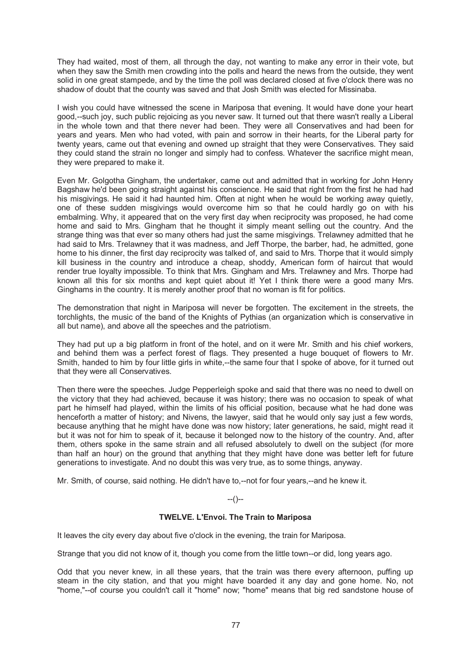They had waited, most of them, all through the day, not wanting to make any error in their vote, but when they saw the Smith men crowding into the polls and heard the news from the outside, they went solid in one great stampede, and by the time the poll was declared closed at five o'clock there was no shadow of doubt that the county was saved and that Josh Smith was elected for Missinaba.

I wish you could have witnessed the scene in Mariposa that evening. It would have done your heart good,--such joy, such public rejoicing as you never saw. It turned out that there wasn't really a Liberal in the whole town and that there never had been. They were all Conservatives and had been for years and years. Men who had voted, with pain and sorrow in their hearts, for the Liberal party for twenty years, came out that evening and owned up straight that they were Conservatives. They said they could stand the strain no longer and simply had to confess. Whatever the sacrifice might mean, they were prepared to make it.

Even Mr. Golgotha Gingham, the undertaker, came out and admitted that in working for John Henry Bagshaw he'd been going straight against his conscience. He said that right from the first he had had his misgivings. He said it had haunted him. Often at night when he would be working away quietly, one of these sudden misgivings would overcome him so that he could hardly go on with his embalming. Why, it appeared that on the very first day when reciprocity was proposed, he had come home and said to Mrs. Gingham that he thought it simply meant selling out the country. And the strange thing was that ever so many others had just the same misgivings. Trelawney admitted that he had said to Mrs. Trelawney that it was madness, and Jeff Thorpe, the barber, had, he admitted, gone home to his dinner, the first day reciprocity was talked of, and said to Mrs. Thorpe that it would simply kill business in the country and introduce a cheap, shoddy, American form of haircut that would render true loyalty impossible. To think that Mrs. Gingham and Mrs. Trelawney and Mrs. Thorpe had known all this for six months and kept quiet about it! Yet I think there were a good many Mrs. Ginghams in the country. It is merely another proof that no woman is fit for politics.

The demonstration that night in Mariposa will never be forgotten. The excitement in the streets, the torchlights, the music of the band of the Knights of Pythias (an organization which is conservative in all but name), and above all the speeches and the patriotism.

They had put up a big platform in front of the hotel, and on it were Mr. Smith and his chief workers, and behind them was a perfect forest of flags. They presented a huge bouquet of flowers to Mr. Smith, handed to him by four little girls in white,--the same four that I spoke of above, for it turned out that they were all Conservatives.

Then there were the speeches. Judge Pepperleigh spoke and said that there was no need to dwell on the victory that they had achieved, because it was history; there was no occasion to speak of what part he himself had played, within the limits of his official position, because what he had done was henceforth a matter of history; and Nivens, the lawyer, said that he would only say just a few words, because anything that he might have done was now history; later generations, he said, might read it but it was not for him to speak of it, because it belonged now to the history of the country. And, after them, others spoke in the same strain and all refused absolutely to dwell on the subject (for more than half an hour) on the ground that anything that they might have done was better left for future generations to investigate. And no doubt this was very true, as to some things, anyway.

Mr. Smith, of course, said nothing. He didn't have to,--not for four years,--and he knew it.

## $-(-)$

## **TWELVE. L'Envoi. The Train to Mariposa**

It leaves the city every day about five o'clock in the evening, the train for Mariposa.

Strange that you did not know of it, though you come from the little town--or did, long years ago.

Odd that you never knew, in all these years, that the train was there every afternoon, puffing up steam in the city station, and that you might have boarded it any day and gone home. No, not "home,"--of course you couldn't call it "home" now; "home" means that big red sandstone house of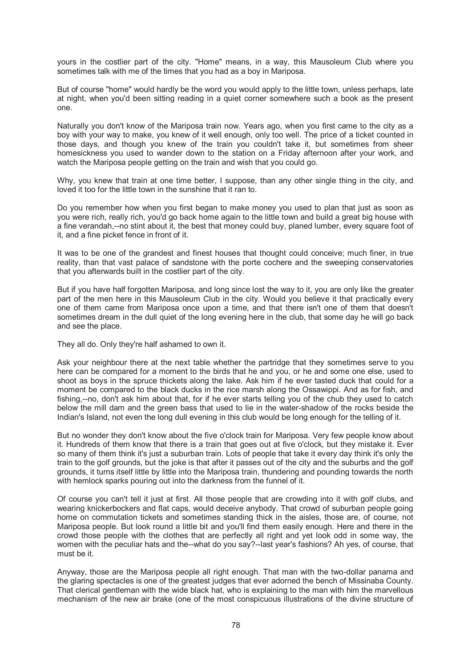yours in the costlier part of the city. "Home" means, in a way, this Mausoleum Club where you sometimes talk with me of the times that you had as a boy in Mariposa.

But of course "home" would hardly be the word you would apply to the little town, unless perhaps, late at night, when you'd been sitting reading in a quiet corner somewhere such a book as the present one.

Naturally you don't know of the Mariposa train now. Years ago, when you first came to the city as a boy with your way to make, you knew of it well enough, only too well. The price of a ticket counted in those days, and though you knew of the train you couldn't take it, but sometimes from sheer homesickness you used to wander down to the station on a Friday afternoon after your work, and watch the Mariposa people getting on the train and wish that you could go.

Why, you knew that train at one time better, I suppose, than any other single thing in the city, and loved it too for the little town in the sunshine that it ran to.

Do you remember how when you first began to make money you used to plan that just as soon as you were rich, really rich, you'd go back home again to the little town and build a great big house with a fine verandah,--no stint about it, the best that money could buy, planed lumber, every square foot of it, and a fine picket fence in front of it.

It was to be one of the grandest and finest houses that thought could conceive; much finer, in true reality, than that vast palace of sandstone with the porte cochere and the sweeping conservatories that you afterwards built in the costlier part of the city.

But if you have half forgotten Mariposa, and long since lost the way to it, you are only like the greater part of the men here in this Mausoleum Club in the city. Would you believe it that practically every one of them came from Mariposa once upon a time, and that there isn't one of them that doesn't sometimes dream in the dull quiet of the long evening here in the club, that some day he will go back and see the place.

They all do. Only they're half ashamed to own it.

Ask your neighbour there at the next table whether the partridge that they sometimes serve to you here can be compared for a moment to the birds that he and you, or he and some one else, used to shoot as boys in the spruce thickets along the lake. Ask him if he ever tasted duck that could for a moment be compared to the black ducks in the rice marsh along the Ossawippi. And as for fish, and fishing,--no, don't ask him about that, for if he ever starts telling you of the chub they used to catch below the mill dam and the green bass that used to lie in the water-shadow of the rocks beside the Indian's Island, not even the long dull evening in this club would be long enough for the telling of it.

But no wonder they don't know about the five o'clock train for Mariposa. Very few people know about it. Hundreds of them know that there is a train that goes out at five o'clock, but they mistake it. Ever so many of them think it's just a suburban train. Lots of people that take it every day think it's only the train to the golf grounds, but the joke is that after it passes out of the city and the suburbs and the golf grounds, it turns itself little by little into the Mariposa train, thundering and pounding towards the north with hemlock sparks pouring out into the darkness from the funnel of it.

Of course you can't tell it just at first. All those people that are crowding into it with golf clubs, and wearing knickerbockers and flat caps, would deceive anybody. That crowd of suburban people going home on commutation tickets and sometimes standing thick in the aisles, those are, of course, not Mariposa people. But look round a little bit and you'll find them easily enough. Here and there in the crowd those people with the clothes that are perfectly all right and yet look odd in some way, the women with the peculiar hats and the--what do you say?--last year's fashions? Ah yes, of course, that must be it.

Anyway, those are the Mariposa people all right enough. That man with the two-dollar panama and the glaring spectacles is one of the greatest judges that ever adorned the bench of Missinaba County. That clerical gentleman with the wide black hat, who is explaining to the man with him the marvellous mechanism of the new air brake (one of the most conspicuous illustrations of the divine structure of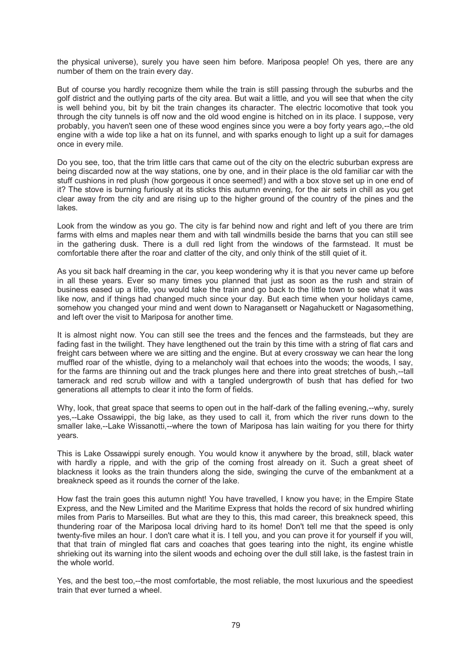the physical universe), surely you have seen him before. Mariposa people! Oh yes, there are any number of them on the train every day.

But of course you hardly recognize them while the train is still passing through the suburbs and the golf district and the outlying parts of the city area. But wait a little, and you will see that when the city is well behind you, bit by bit the train changes its character. The electric locomotive that took you through the city tunnels is off now and the old wood engine is hitched on in its place. I suppose, very probably, you haven't seen one of these wood engines since you were a boy forty years ago,--the old engine with a wide top like a hat on its funnel, and with sparks enough to light up a suit for damages once in every mile.

Do you see, too, that the trim little cars that came out of the city on the electric suburban express are being discarded now at the way stations, one by one, and in their place is the old familiar car with the stuff cushions in red plush (how gorgeous it once seemed!) and with a box stove set up in one end of it? The stove is burning furiously at its sticks this autumn evening, for the air sets in chill as you get clear away from the city and are rising up to the higher ground of the country of the pines and the lakes.

Look from the window as you go. The city is far behind now and right and left of you there are trim farms with elms and maples near them and with tall windmills beside the barns that you can still see in the gathering dusk. There is a dull red light from the windows of the farmstead. It must be comfortable there after the roar and clatter of the city, and only think of the still quiet of it.

As you sit back half dreaming in the car, you keep wondering why it is that you never came up before in all these years. Ever so many times you planned that just as soon as the rush and strain of business eased up a little, you would take the train and go back to the little town to see what it was like now, and if things had changed much since your day. But each time when your holidays came, somehow you changed your mind and went down to Naragansett or Nagahuckett or Nagasomething, and left over the visit to Mariposa for another time.

It is almost night now. You can still see the trees and the fences and the farmsteads, but they are fading fast in the twilight. They have lengthened out the train by this time with a string of flat cars and freight cars between where we are sitting and the engine. But at every crossway we can hear the long muffled roar of the whistle, dying to a melancholy wail that echoes into the woods; the woods, I say, for the farms are thinning out and the track plunges here and there into great stretches of bush,--tall tamerack and red scrub willow and with a tangled undergrowth of bush that has defied for two generations all attempts to clear it into the form of fields.

Why, look, that great space that seems to open out in the half-dark of the falling evening,--why, surely yes,--Lake Ossawippi, the big lake, as they used to call it, from which the river runs down to the smaller lake,--Lake Wissanotti,--where the town of Mariposa has lain waiting for you there for thirty years.

This is Lake Ossawippi surely enough. You would know it anywhere by the broad, still, black water with hardly a ripple, and with the grip of the coming frost already on it. Such a great sheet of blackness it looks as the train thunders along the side, swinging the curve of the embankment at a breakneck speed as it rounds the corner of the lake.

How fast the train goes this autumn night! You have travelled, I know you have; in the Empire State Express, and the New Limited and the Maritime Express that holds the record of six hundred whirling miles from Paris to Marseilles. But what are they to this, this mad career, this breakneck speed, this thundering roar of the Mariposa local driving hard to its home! Don't tell me that the speed is only twenty-five miles an hour. I don't care what it is. I tell you, and you can prove it for yourself if you will, that that train of mingled flat cars and coaches that goes tearing into the night, its engine whistle shrieking out its warning into the silent woods and echoing over the dull still lake, is the fastest train in the whole world.

Yes, and the best too,--the most comfortable, the most reliable, the most luxurious and the speediest train that ever turned a wheel.